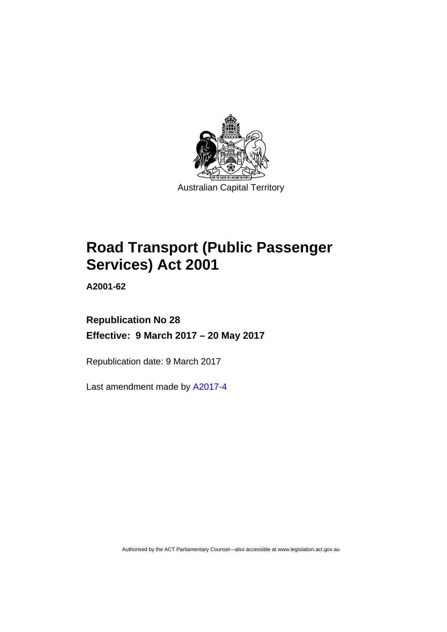

# **Road Transport (Public Passenger Services) Act 2001**

**A2001-62** 

## **Republication No 28 Effective: 9 March 2017 – 20 May 2017**

Republication date: 9 March 2017

Last amendment made by [A2017-4](http://www.legislation.act.gov.au/a/2017-4/default.asp)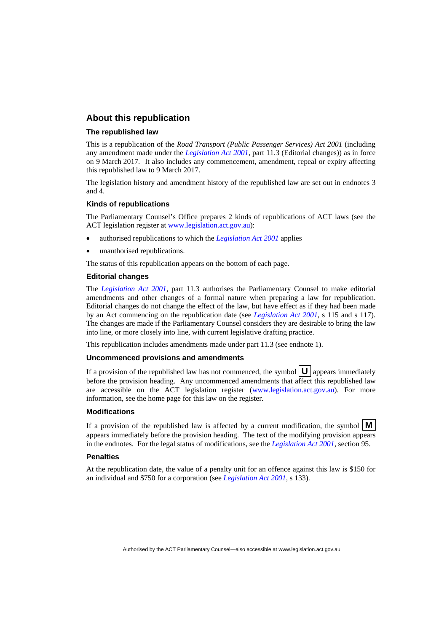### **About this republication**

#### **The republished law**

This is a republication of the *Road Transport (Public Passenger Services) Act 2001* (including any amendment made under the *[Legislation Act 2001](http://www.legislation.act.gov.au/a/2001-14)*, part 11.3 (Editorial changes)) as in force on 9 March 2017*.* It also includes any commencement, amendment, repeal or expiry affecting this republished law to 9 March 2017.

The legislation history and amendment history of the republished law are set out in endnotes 3 and 4.

#### **Kinds of republications**

The Parliamentary Counsel's Office prepares 2 kinds of republications of ACT laws (see the ACT legislation register at [www.legislation.act.gov.au](http://www.legislation.act.gov.au/)):

- authorised republications to which the *[Legislation Act 2001](http://www.legislation.act.gov.au/a/2001-14)* applies
- unauthorised republications.

The status of this republication appears on the bottom of each page.

#### **Editorial changes**

The *[Legislation Act 2001](http://www.legislation.act.gov.au/a/2001-14)*, part 11.3 authorises the Parliamentary Counsel to make editorial amendments and other changes of a formal nature when preparing a law for republication. Editorial changes do not change the effect of the law, but have effect as if they had been made by an Act commencing on the republication date (see *[Legislation Act 2001](http://www.legislation.act.gov.au/a/2001-14)*, s 115 and s 117). The changes are made if the Parliamentary Counsel considers they are desirable to bring the law into line, or more closely into line, with current legislative drafting practice.

This republication includes amendments made under part 11.3 (see endnote 1).

#### **Uncommenced provisions and amendments**

If a provision of the republished law has not commenced, the symbol  $\mathbf{U}$  appears immediately before the provision heading. Any uncommenced amendments that affect this republished law are accessible on the ACT legislation register [\(www.legislation.act.gov.au\)](http://www.legislation.act.gov.au/). For more information, see the home page for this law on the register.

#### **Modifications**

If a provision of the republished law is affected by a current modification, the symbol  $\mathbf{M}$ appears immediately before the provision heading. The text of the modifying provision appears in the endnotes. For the legal status of modifications, see the *[Legislation Act 2001](http://www.legislation.act.gov.au/a/2001-14)*, section 95.

#### **Penalties**

At the republication date, the value of a penalty unit for an offence against this law is \$150 for an individual and \$750 for a corporation (see *[Legislation Act 2001](http://www.legislation.act.gov.au/a/2001-14)*, s 133).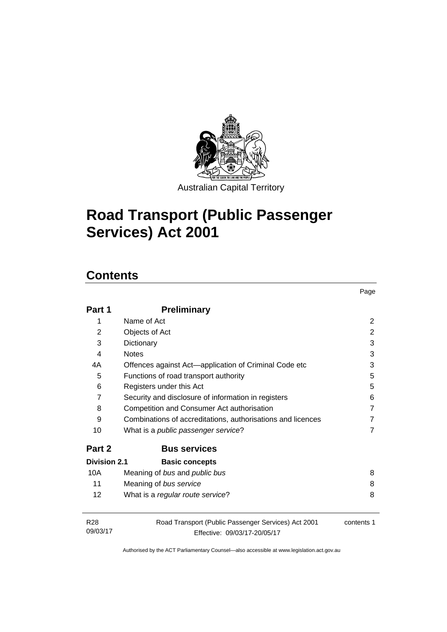

# **Road Transport (Public Passenger Services) Act 2001**

## **Contents**

| Part 1                      | <b>Preliminary</b>                                                                  |            |
|-----------------------------|-------------------------------------------------------------------------------------|------------|
| 1                           | Name of Act                                                                         | 2          |
| 2                           | Objects of Act                                                                      | 2          |
| 3                           | Dictionary                                                                          | 3          |
| 4                           | <b>Notes</b>                                                                        | 3          |
| 4A                          | Offences against Act-application of Criminal Code etc                               | 3          |
| 5                           | Functions of road transport authority                                               | 5          |
| 6                           | Registers under this Act                                                            | 5          |
| $\overline{7}$              | Security and disclosure of information in registers                                 | 6          |
| 8                           | Competition and Consumer Act authorisation                                          | 7          |
| 9                           | Combinations of accreditations, authorisations and licences                         | 7          |
| 10                          | What is a public passenger service?                                                 | 7          |
| Part 2                      | <b>Bus services</b>                                                                 |            |
| Division 2.1                | <b>Basic concepts</b>                                                               |            |
| 10A                         | Meaning of bus and public bus                                                       | 8          |
| 11                          | Meaning of bus service                                                              | 8          |
| $12 \overline{ }$           | What is a regular route service?                                                    | 8          |
| R <sub>28</sub><br>09/03/17 | Road Transport (Public Passenger Services) Act 2001<br>Effective: 09/03/17-20/05/17 | contents 1 |

Page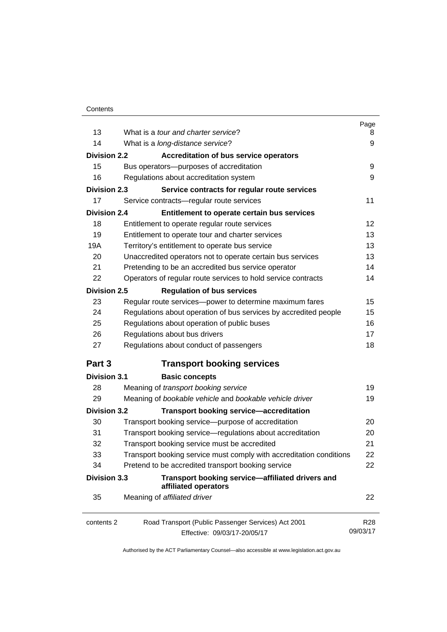|                     |                                                                                     | Page                        |
|---------------------|-------------------------------------------------------------------------------------|-----------------------------|
| 13                  | What is a tour and charter service?                                                 | 8                           |
| 14                  | What is a long-distance service?                                                    | 9                           |
| <b>Division 2.2</b> | Accreditation of bus service operators                                              |                             |
| 15                  | Bus operators-purposes of accreditation                                             | 9                           |
| 16                  | Regulations about accreditation system                                              | 9                           |
| <b>Division 2.3</b> | Service contracts for regular route services                                        |                             |
| 17                  | Service contracts-regular route services                                            | 11                          |
| <b>Division 2.4</b> | Entitlement to operate certain bus services                                         |                             |
| 18                  | Entitlement to operate regular route services                                       | 12                          |
| 19                  | Entitlement to operate tour and charter services                                    | 13                          |
| 19A                 | Territory's entitlement to operate bus service                                      | 13                          |
| 20                  | Unaccredited operators not to operate certain bus services                          | 13                          |
| 21                  | Pretending to be an accredited bus service operator                                 | 14                          |
| 22                  | Operators of regular route services to hold service contracts                       | 14                          |
| <b>Division 2.5</b> | <b>Regulation of bus services</b>                                                   |                             |
| 23                  | Regular route services-power to determine maximum fares                             | 15                          |
| 24                  | Regulations about operation of bus services by accredited people                    | 15                          |
| 25                  | Regulations about operation of public buses                                         | 16                          |
| 26                  | Regulations about bus drivers                                                       | 17                          |
| 27                  | Regulations about conduct of passengers                                             | 18                          |
| Part 3              | <b>Transport booking services</b>                                                   |                             |
| <b>Division 3.1</b> | <b>Basic concepts</b>                                                               |                             |
| 28                  | Meaning of transport booking service                                                | 19                          |
| 29                  | Meaning of bookable vehicle and bookable vehicle driver                             | 19                          |
| <b>Division 3.2</b> | <b>Transport booking service-accreditation</b>                                      |                             |
| 30                  | Transport booking service-purpose of accreditation                                  | 20                          |
| 31                  | Transport booking service-regulations about accreditation                           | 20                          |
| 32                  | Transport booking service must be accredited                                        | 21                          |
| 33                  | Transport booking service must comply with accreditation conditions                 | 22                          |
| 34                  | Pretend to be accredited transport booking service                                  | 22                          |
| <b>Division 3.3</b> | Transport booking service-affiliated drivers and<br>affiliated operators            |                             |
| 35                  | Meaning of affiliated driver                                                        | 22                          |
| contents 2          | Road Transport (Public Passenger Services) Act 2001<br>Effective: 09/03/17-20/05/17 | R <sub>28</sub><br>09/03/17 |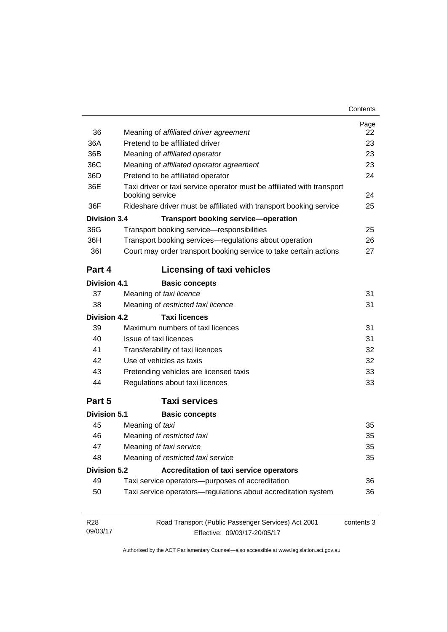| Contents |
|----------|
|----------|

| 36<br>36A           | Meaning of affiliated driver agreement<br>Pretend to be affiliated driver | Page<br>22<br>23 |
|---------------------|---------------------------------------------------------------------------|------------------|
| 36B                 | Meaning of affiliated operator                                            | 23               |
| 36C                 | Meaning of affiliated operator agreement                                  | 23               |
| 36D                 | Pretend to be affiliated operator                                         | 24               |
| 36E                 | Taxi driver or taxi service operator must be affiliated with transport    |                  |
|                     | booking service                                                           | 24               |
| 36F                 | Rideshare driver must be affiliated with transport booking service        | 25               |
| Division 3.4        | <b>Transport booking service-operation</b>                                |                  |
| 36G                 | Transport booking service-responsibilities                                | 25               |
| 36H                 | Transport booking services-regulations about operation                    | 26               |
| <b>361</b>          | Court may order transport booking service to take certain actions         | 27               |
| Part 4              | <b>Licensing of taxi vehicles</b>                                         |                  |
| <b>Division 4.1</b> | <b>Basic concepts</b>                                                     |                  |
| 37                  | Meaning of taxi licence                                                   | 31               |
| 38                  | Meaning of restricted taxi licence                                        | 31               |
| Division 4.2        | <b>Taxi licences</b>                                                      |                  |
| 39                  | Maximum numbers of taxi licences                                          | 31               |
| 40                  | Issue of taxi licences                                                    | 31               |
| 41                  | Transferability of taxi licences                                          | 32               |
| 42                  | Use of vehicles as taxis                                                  | 32               |
| 43                  | Pretending vehicles are licensed taxis                                    | 33               |
| 44                  | Regulations about taxi licences                                           | 33               |
| Part 5              | <b>Taxi services</b>                                                      |                  |
| <b>Division 5.1</b> | <b>Basic concepts</b>                                                     |                  |
| 45                  | Meaning of taxi                                                           | 35               |
| 46                  | Meaning of restricted taxi                                                | 35               |
| 47                  | Meaning of taxi service                                                   | 35               |
| 48                  | Meaning of restricted taxi service                                        | 35               |
| <b>Division 5.2</b> | Accreditation of taxi service operators                                   |                  |
| 49                  | Taxi service operators--purposes of accreditation                         | 36               |
| 50                  | Taxi service operators-regulations about accreditation system             | 36               |
| R <sub>28</sub>     | Road Transport (Public Passenger Services) Act 2001                       | contents 3       |
| 09/03/17            | Effective: 09/03/17-20/05/17                                              |                  |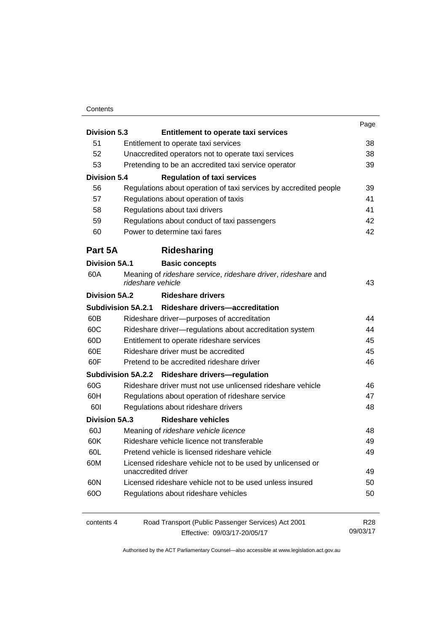#### **Contents**

| <b>Division 5.3</b>  | <b>Entitlement to operate taxi services</b>                                        | Page     |
|----------------------|------------------------------------------------------------------------------------|----------|
| 51                   |                                                                                    | 38       |
| 52                   | Entitlement to operate taxi services                                               | 38       |
| 53                   | Unaccredited operators not to operate taxi services                                | 39       |
|                      | Pretending to be an accredited taxi service operator                               |          |
| <b>Division 5.4</b>  | <b>Regulation of taxi services</b>                                                 |          |
| 56                   | Regulations about operation of taxi services by accredited people                  | 39       |
| 57                   | Regulations about operation of taxis                                               | 41       |
| 58                   | Regulations about taxi drivers                                                     | 41       |
| 59                   | Regulations about conduct of taxi passengers                                       | 42       |
| 60                   | Power to determine taxi fares                                                      | 42       |
| Part 5A              | Ridesharing                                                                        |          |
| <b>Division 5A.1</b> | <b>Basic concepts</b>                                                              |          |
| 60A                  | Meaning of rideshare service, rideshare driver, rideshare and<br>rideshare vehicle | 43       |
| <b>Division 5A.2</b> | <b>Rideshare drivers</b>                                                           |          |
|                      | Subdivision 5A.2.1 Rideshare drivers-accreditation                                 |          |
| 60B                  | Rideshare driver--purposes of accreditation                                        | 44       |
| 60C                  | Rideshare driver-regulations about accreditation system                            | 44       |
| 60D                  | Entitlement to operate rideshare services                                          | 45       |
| 60E                  | Rideshare driver must be accredited                                                | 45       |
| 60F                  | Pretend to be accredited rideshare driver                                          | 46       |
|                      | Subdivision 5A.2.2 Rideshare drivers-regulation                                    |          |
| 60G                  | Rideshare driver must not use unlicensed rideshare vehicle                         | 46       |
| 60H                  | Regulations about operation of rideshare service                                   | 47       |
| 601                  | Regulations about rideshare drivers                                                | 48       |
| <b>Division 5A.3</b> | <b>Rideshare vehicles</b>                                                          |          |
| 60J                  | Meaning of rideshare vehicle licence                                               | 48       |
| 60K                  | Rideshare vehicle licence not transferable                                         | 49       |
| 60L                  | Pretend vehicle is licensed rideshare vehicle                                      | 49       |
| 60M                  | Licensed rideshare vehicle not to be used by unlicensed or<br>unaccredited driver  | 49       |
| 60N                  | Licensed rideshare vehicle not to be used unless insured                           | 50       |
| 60O                  | Regulations about rideshare vehicles                                               | 50       |
| contents 4           | Road Transport (Public Passenger Services) Act 2001                                | R28      |
|                      | Effective: 09/03/17-20/05/17                                                       | 09/03/17 |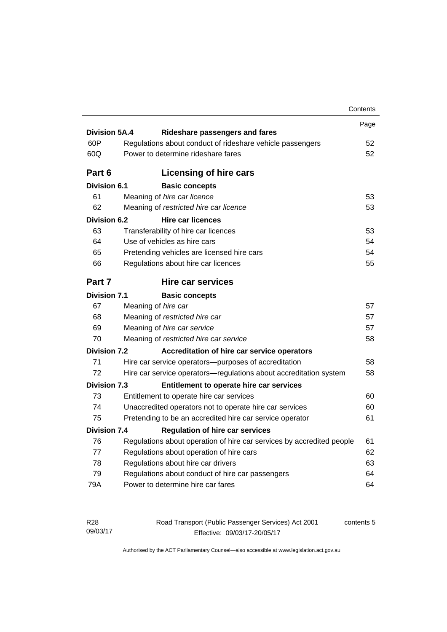|                      |                                                                       | Contents |
|----------------------|-----------------------------------------------------------------------|----------|
|                      |                                                                       | Page     |
| <b>Division 5A.4</b> | <b>Rideshare passengers and fares</b>                                 |          |
| 60P                  | Regulations about conduct of rideshare vehicle passengers             | 52       |
| 60Q                  | Power to determine rideshare fares                                    | 52       |
| Part 6               | Licensing of hire cars                                                |          |
| <b>Division 6.1</b>  | <b>Basic concepts</b>                                                 |          |
| 61                   | Meaning of hire car licence                                           | 53       |
| 62                   | Meaning of restricted hire car licence                                | 53       |
| <b>Division 6.2</b>  | <b>Hire car licences</b>                                              |          |
| 63                   | Transferability of hire car licences                                  | 53       |
| 64                   | Use of vehicles as hire cars                                          | 54       |
| 65                   | Pretending vehicles are licensed hire cars                            | 54       |
| 66                   | Regulations about hire car licences                                   | 55       |
| Part 7               | Hire car services                                                     |          |
| <b>Division 7.1</b>  | <b>Basic concepts</b>                                                 |          |
| 67                   | Meaning of hire car                                                   | 57       |
| 68                   | Meaning of restricted hire car                                        | 57       |
| 69                   | Meaning of hire car service                                           | 57       |
| 70                   | Meaning of restricted hire car service                                | 58       |
| <b>Division 7.2</b>  | Accreditation of hire car service operators                           |          |
| 71                   | Hire car service operators—purposes of accreditation                  | 58       |
| 72                   | Hire car service operators-regulations about accreditation system     | 58       |
| <b>Division 7.3</b>  | Entitlement to operate hire car services                              |          |
| 73                   | Entitlement to operate hire car services                              | 60       |
| 74                   | Unaccredited operators not to operate hire car services               | 60       |
| 75                   | Pretending to be an accredited hire car service operator              | 61       |
| <b>Division 7.4</b>  | <b>Regulation of hire car services</b>                                |          |
| 76                   | Regulations about operation of hire car services by accredited people | 61       |
| 77                   | Regulations about operation of hire cars                              | 62       |
| 78                   | Regulations about hire car drivers                                    | 63       |
|                      |                                                                       |          |
| 79                   | Regulations about conduct of hire car passengers                      | 64       |

| R28      | Road Transport (Public Passenger Services) Act 2001 | contents 5 |
|----------|-----------------------------------------------------|------------|
| 09/03/17 | Effective: 09/03/17-20/05/17                        |            |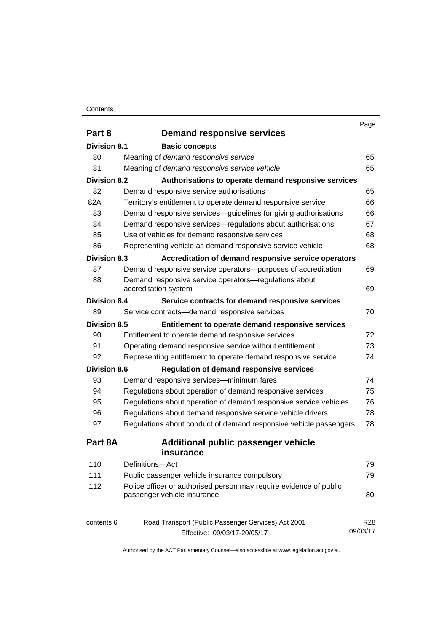#### **Contents**

|                     |                                                                    | Page       |
|---------------------|--------------------------------------------------------------------|------------|
| Part 8              | <b>Demand responsive services</b>                                  |            |
| Division 8.1        | <b>Basic concepts</b>                                              |            |
| 80                  | Meaning of demand responsive service                               | 65         |
| 81                  | Meaning of demand responsive service vehicle                       | 65         |
| <b>Division 8.2</b> | Authorisations to operate demand responsive services               |            |
| 82                  | Demand responsive service authorisations                           | 65         |
| 82A                 | Territory's entitlement to operate demand responsive service       | 66         |
| 83                  | Demand responsive services-guidelines for giving authorisations    | 66         |
| 84                  | Demand responsive services—regulations about authorisations        | 67         |
| 85                  | Use of vehicles for demand responsive services                     | 68         |
| 86                  | Representing vehicle as demand responsive service vehicle          | 68         |
| <b>Division 8.3</b> | Accreditation of demand responsive service operators               |            |
| 87                  | Demand responsive service operators-purposes of accreditation      | 69         |
| 88                  | Demand responsive service operators-regulations about              |            |
|                     | accreditation system                                               | 69         |
| <b>Division 8.4</b> | Service contracts for demand responsive services                   |            |
| 89                  | Service contracts-demand responsive services                       | 70         |
| <b>Division 8.5</b> | Entitlement to operate demand responsive services                  |            |
| 90                  | Entitlement to operate demand responsive services                  | 72         |
| 91                  | Operating demand responsive service without entitlement            | 73         |
| 92                  | Representing entitlement to operate demand responsive service      | 74         |
| <b>Division 8.6</b> | <b>Regulation of demand responsive services</b>                    |            |
| 93                  | Demand responsive services-minimum fares                           | 74         |
| 94                  | Regulations about operation of demand responsive services          | 75         |
| 95                  | Regulations about operation of demand responsive service vehicles  | 76         |
| 96                  | Regulations about demand responsive service vehicle drivers        | 78         |
| 97                  | Regulations about conduct of demand responsive vehicle passengers  | 78         |
| Part 8A             | <b>Additional public passenger vehicle</b>                         |            |
|                     | insurance                                                          |            |
| 110                 | Definitions-Act                                                    | 79         |
| 111                 | Public passenger vehicle insurance compulsory                      | 79         |
| 112                 | Police officer or authorised person may require evidence of public |            |
|                     | passenger vehicle insurance                                        | 80         |
| contents 6          | Road Transport (Public Passenger Services) Act 2001                | <b>R28</b> |
|                     | Effective: 09/03/17-20/05/17                                       | 09/03/17   |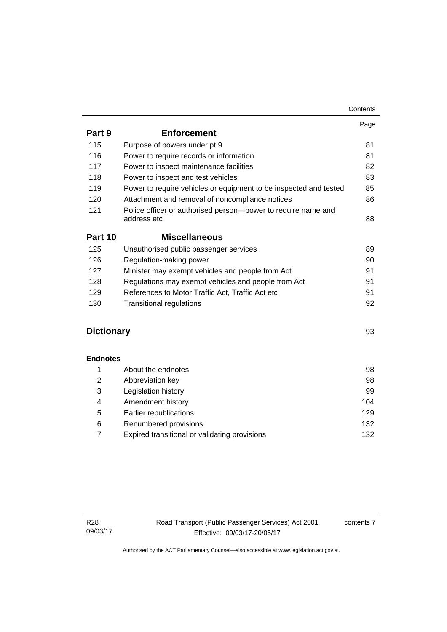|                   |                                                                              | Contents |
|-------------------|------------------------------------------------------------------------------|----------|
|                   |                                                                              | Page     |
| Part 9            | <b>Enforcement</b>                                                           |          |
| 115               | Purpose of powers under pt 9                                                 | 81       |
| 116               | Power to require records or information                                      | 81       |
| 117               | Power to inspect maintenance facilities                                      | 82       |
| 118               | Power to inspect and test vehicles                                           | 83       |
| 119               | Power to require vehicles or equipment to be inspected and tested            | 85       |
| 120               | Attachment and removal of noncompliance notices                              | 86       |
| 121               | Police officer or authorised person-power to require name and<br>address etc | 88       |
| Part 10           | <b>Miscellaneous</b>                                                         |          |
| 125               | Unauthorised public passenger services                                       | 89       |
| 126               | Regulation-making power                                                      | 90       |
| 127               | Minister may exempt vehicles and people from Act                             | 91       |
| 128               | Regulations may exempt vehicles and people from Act                          | 91       |
| 129               | References to Motor Traffic Act, Traffic Act etc                             | 91       |
| 130               | <b>Transitional regulations</b>                                              | 92       |
| <b>Dictionary</b> |                                                                              | 93       |
| <b>Endnotes</b>   |                                                                              |          |
| 1                 | About the endnotes                                                           | 98       |
| $\overline{2}$    | Abbreviation key                                                             | 98       |
| 3                 | Legislation history                                                          | 99       |
| 4                 | Amendment history                                                            | 104      |
| 5                 | Earlier republications                                                       | 129      |
| 6                 | Renumbered provisions                                                        | 132      |
| 7                 | Expired transitional or validating provisions                                | 132      |

contents 7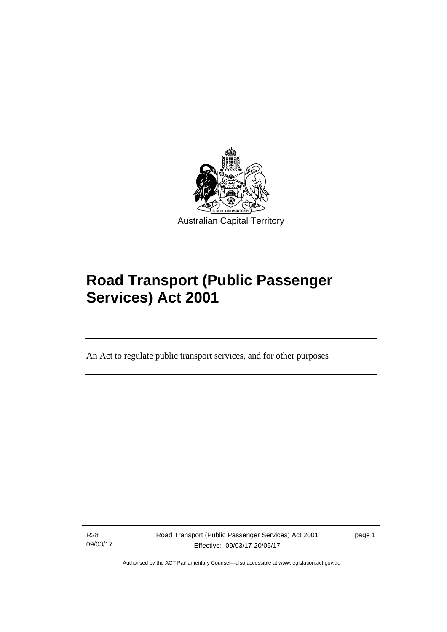

# **Road Transport (Public Passenger Services) Act 2001**

An Act to regulate public transport services, and for other purposes

R28 09/03/17

l

Road Transport (Public Passenger Services) Act 2001 Effective: 09/03/17-20/05/17

page 1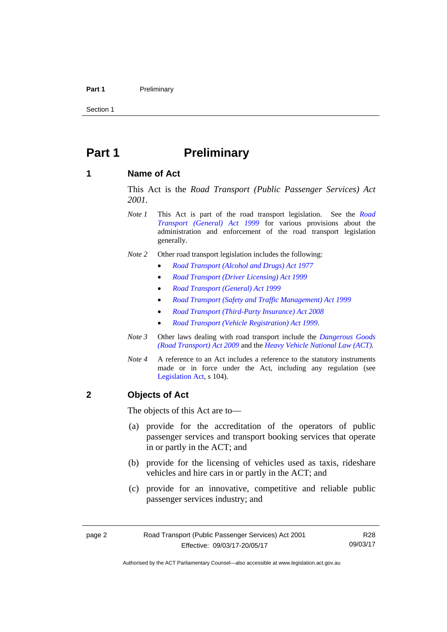#### Part 1 **Preliminary**

Section 1

### <span id="page-11-0"></span>**Part 1** Preliminary

### <span id="page-11-1"></span>**1 Name of Act**

This Act is the *Road Transport (Public Passenger Services) Act 2001.* 

- *Note 1* This Act is part of the road transport legislation. See the *[Road](http://www.legislation.act.gov.au/a/1999-77)  [Transport \(General\) Act 1999](http://www.legislation.act.gov.au/a/1999-77)* for various provisions about the administration and enforcement of the road transport legislation generally.
- *Note 2* Other road transport legislation includes the following:
	- *[Road Transport \(Alcohol and Drugs\) Act 1977](http://www.legislation.act.gov.au/a/1977-17)*
	- *[Road Transport \(Driver Licensing\) Act 1999](http://www.legislation.act.gov.au/a/1999-78)*
	- *[Road Transport \(General\) Act 1999](http://www.legislation.act.gov.au/a/1999-77)*
	- *[Road Transport \(Safety and Traffic Management\) Act 1999](http://www.legislation.act.gov.au/a/1999-80)*
	- *[Road Transport \(Third-Party Insurance\) Act 2008](http://www.legislation.act.gov.au/a/2008-1)*
	- *[Road Transport \(Vehicle Registration\) Act 1999](http://www.legislation.act.gov.au/a/1999-81)*.
- *Note 3* Other laws dealing with road transport include the *[Dangerous Goods](http://www.legislation.act.gov.au/a/2009-34)  [\(Road Transport\) Act 2009](http://www.legislation.act.gov.au/a/2009-34)* and the *[Heavy Vehicle National Law \(ACT\).](http://www.legislation.act.gov.au/a/db_49155/default.asp)*
- *Note 4* A reference to an Act includes a reference to the statutory instruments made or in force under the Act, including any regulation (see [Legislation Act,](http://www.legislation.act.gov.au/a/2001-14) s 104).

### <span id="page-11-2"></span>**2 Objects of Act**

The objects of this Act are to—

- (a) provide for the accreditation of the operators of public passenger services and transport booking services that operate in or partly in the ACT; and
- (b) provide for the licensing of vehicles used as taxis, rideshare vehicles and hire cars in or partly in the ACT; and
- (c) provide for an innovative, competitive and reliable public passenger services industry; and

R28 09/03/17

Authorised by the ACT Parliamentary Counsel—also accessible at www.legislation.act.gov.au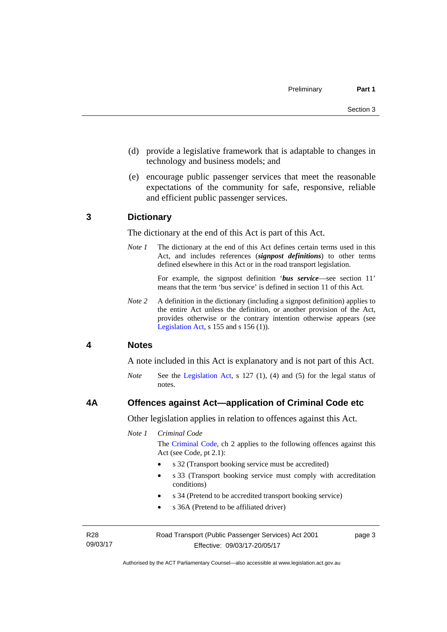- (d) provide a legislative framework that is adaptable to changes in technology and business models; and
- (e) encourage public passenger services that meet the reasonable expectations of the community for safe, responsive, reliable and efficient public passenger services.

### <span id="page-12-0"></span>**3 Dictionary**

The dictionary at the end of this Act is part of this Act.

*Note 1* The dictionary at the end of this Act defines certain terms used in this Act, and includes references (*signpost definitions*) to other terms defined elsewhere in this Act or in the road transport legislation.

> For example, the signpost definition '*bus service*—see section 11' means that the term 'bus service' is defined in section 11 of this Act.

*Note 2* A definition in the dictionary (including a signpost definition) applies to the entire Act unless the definition, or another provision of the Act, provides otherwise or the contrary intention otherwise appears (see [Legislation Act,](http://www.legislation.act.gov.au/a/2001-14) s  $155$  and s  $156$  (1)).

### <span id="page-12-1"></span>**4 Notes**

A note included in this Act is explanatory and is not part of this Act.

*Note* See the [Legislation Act](http://www.legislation.act.gov.au/a/2001-14), s 127 (1), (4) and (5) for the legal status of notes.

### <span id="page-12-2"></span>**4A Offences against Act—application of Criminal Code etc**

Other legislation applies in relation to offences against this Act.

*Note 1 Criminal Code*

The [Criminal Code](http://www.legislation.act.gov.au/a/2002-51), ch 2 applies to the following offences against this Act (see Code, pt 2.1):

- s 32 (Transport booking service must be accredited)
- s 33 (Transport booking service must comply with accreditation conditions)
- s 34 (Pretend to be accredited transport booking service)
- s 36A (Pretend to be affiliated driver)

R28 09/03/17 Road Transport (Public Passenger Services) Act 2001 Effective: 09/03/17-20/05/17

page 3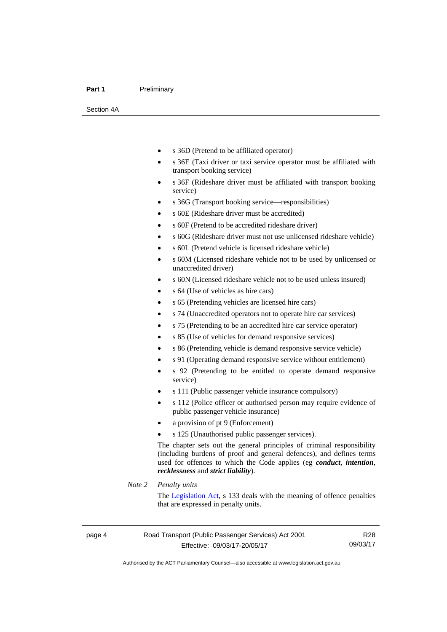#### Part 1 **Preliminary**

Section 4A

- s 36D (Pretend to be affiliated operator)
- s 36E (Taxi driver or taxi service operator must be affiliated with transport booking service)
- s 36F (Rideshare driver must be affiliated with transport booking service)
- s 36G (Transport booking service—responsibilities)
- s 60E (Rideshare driver must be accredited)
- s 60F (Pretend to be accredited rideshare driver)
- s 60G (Rideshare driver must not use unlicensed rideshare vehicle)
- s 60L (Pretend vehicle is licensed rideshare vehicle)
- s 60M (Licensed rideshare vehicle not to be used by unlicensed or unaccredited driver)
- s 60N (Licensed rideshare vehicle not to be used unless insured)
- s 64 (Use of vehicles as hire cars)
- s 65 (Pretending vehicles are licensed hire cars)
- s 74 (Unaccredited operators not to operate hire car services)
- s 75 (Pretending to be an accredited hire car service operator)
- s 85 (Use of vehicles for demand responsive services)
- s 86 (Pretending vehicle is demand responsive service vehicle)
- s 91 (Operating demand responsive service without entitlement)
- s 92 (Pretending to be entitled to operate demand responsive service)
- s 111 (Public passenger vehicle insurance compulsory)
- s 112 (Police officer or authorised person may require evidence of public passenger vehicle insurance)
- a provision of pt 9 (Enforcement)
- s 125 (Unauthorised public passenger services).

The chapter sets out the general principles of criminal responsibility (including burdens of proof and general defences), and defines terms used for offences to which the Code applies (eg *conduct*, *intention*, *recklessness* and *strict liability*).

#### *Note 2 Penalty units*

The [Legislation Act](http://www.legislation.act.gov.au/a/2001-14), s 133 deals with the meaning of offence penalties that are expressed in penalty units.

R28 09/03/17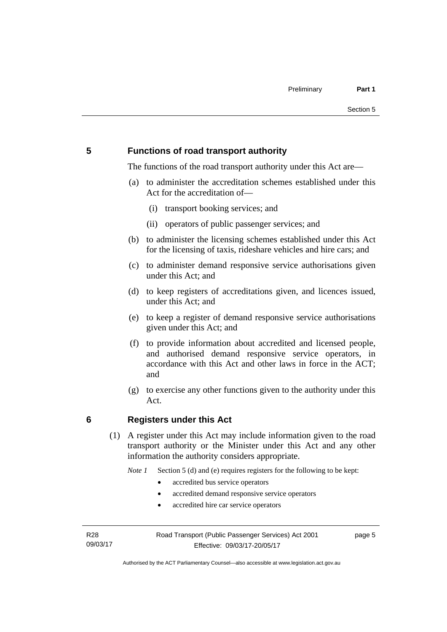### <span id="page-14-0"></span>**5 Functions of road transport authority**

The functions of the road transport authority under this Act are—

- (a) to administer the accreditation schemes established under this Act for the accreditation of—
	- (i) transport booking services; and
	- (ii) operators of public passenger services; and
- (b) to administer the licensing schemes established under this Act for the licensing of taxis, rideshare vehicles and hire cars; and
- (c) to administer demand responsive service authorisations given under this Act; and
- (d) to keep registers of accreditations given, and licences issued, under this Act; and
- (e) to keep a register of demand responsive service authorisations given under this Act; and
- (f) to provide information about accredited and licensed people, and authorised demand responsive service operators, in accordance with this Act and other laws in force in the ACT; and
- (g) to exercise any other functions given to the authority under this Act.

### <span id="page-14-1"></span>**6 Registers under this Act**

(1) A register under this Act may include information given to the road transport authority or the Minister under this Act and any other information the authority considers appropriate.

*Note 1* Section 5 (d) and (e) requires registers for the following to be kept:

- accredited bus service operators
- accredited demand responsive service operators
- accredited hire car service operators

R28 09/03/17 page 5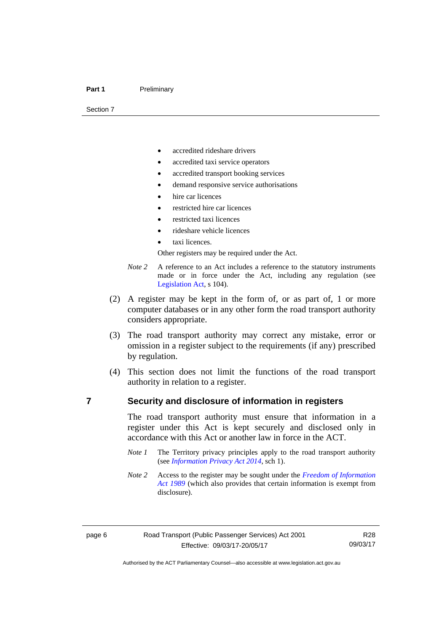#### Part 1 **Preliminary**

Section 7

- accredited rideshare drivers
- accredited taxi service operators
- accredited transport booking services
- demand responsive service authorisations
- hire car licences
- restricted hire car licences
- restricted taxi licences
- rideshare vehicle licences
- taxi licences.

Other registers may be required under the Act.

- *Note 2* A reference to an Act includes a reference to the statutory instruments made or in force under the Act, including any regulation (see [Legislation Act,](http://www.legislation.act.gov.au/a/2001-14) s 104).
- (2) A register may be kept in the form of, or as part of, 1 or more computer databases or in any other form the road transport authority considers appropriate.
- (3) The road transport authority may correct any mistake, error or omission in a register subject to the requirements (if any) prescribed by regulation.
- (4) This section does not limit the functions of the road transport authority in relation to a register.

### <span id="page-15-0"></span>**7 Security and disclosure of information in registers**

The road transport authority must ensure that information in a register under this Act is kept securely and disclosed only in accordance with this Act or another law in force in the ACT.

- *Note 1* The Territory privacy principles apply to the road transport authority (see *[Information Privacy Act 2014](http://www.legislation.act.gov.au/a/2014-24/default.asp)*, sch 1).
- *Note 2* Access to the register may be sought under the *[Freedom of Information](http://www.legislation.act.gov.au/a/alt_a1989-46co)  [Act 1989](http://www.legislation.act.gov.au/a/alt_a1989-46co)* (which also provides that certain information is exempt from disclosure).

R28 09/03/17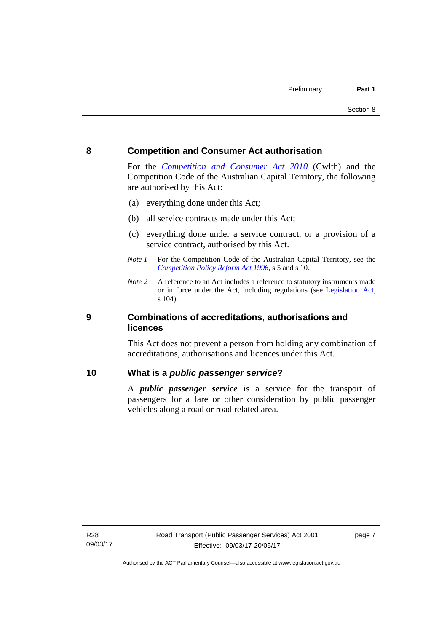### <span id="page-16-0"></span>**8 Competition and Consumer Act authorisation**

For the *[Competition and Consumer Act 2010](http://www.comlaw.gov.au/Details/C2013C00004)* (Cwlth) and the Competition Code of the Australian Capital Territory, the following are authorised by this Act:

- (a) everything done under this Act;
- (b) all service contracts made under this Act;
- (c) everything done under a service contract, or a provision of a service contract, authorised by this Act.
- *Note 1* For the Competition Code of the Australian Capital Territory, see the *[Competition Policy Reform Act 1996](http://www.legislation.act.gov.au/a/1996-21)*, s 5 and s 10.
- *Note 2* A reference to an Act includes a reference to statutory instruments made or in force under the Act, including regulations (see [Legislation Act,](http://www.legislation.act.gov.au/a/2001-14) s 104).

### <span id="page-16-1"></span>**9 Combinations of accreditations, authorisations and licences**

This Act does not prevent a person from holding any combination of accreditations, authorisations and licences under this Act.

### <span id="page-16-2"></span>**10 What is a** *public passenger service***?**

A *public passenger service* is a service for the transport of passengers for a fare or other consideration by public passenger vehicles along a road or road related area.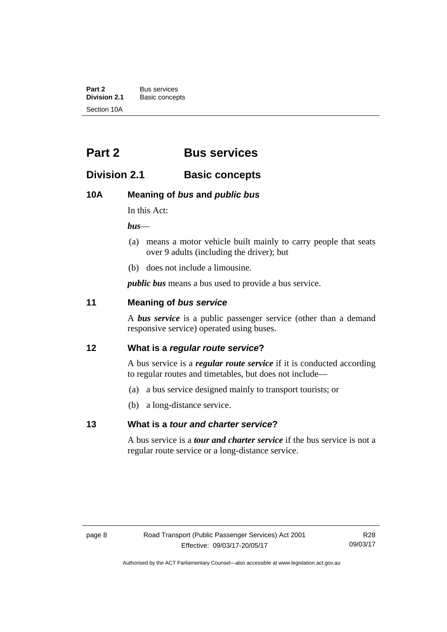**Part 2** Bus services<br> **Division 2.1** Basic concer **Division 2.1** Basic concepts Section 10A

## <span id="page-17-0"></span>**Part 2 Bus services**

### <span id="page-17-1"></span>**Division 2.1 Basic concepts**

### <span id="page-17-2"></span>**10A Meaning of** *bus* **and** *public bus*

In this Act:

*bus*—

- (a) means a motor vehicle built mainly to carry people that seats over 9 adults (including the driver); but
- (b) does not include a limousine.

*public bus* means a bus used to provide a bus service.

### <span id="page-17-3"></span>**11 Meaning of** *bus service*

A *bus service* is a public passenger service (other than a demand responsive service) operated using buses.

### <span id="page-17-4"></span>**12 What is a** *regular route service***?**

A bus service is a *regular route service* if it is conducted according to regular routes and timetables, but does not include—

- (a) a bus service designed mainly to transport tourists; or
- (b) a long-distance service.

### <span id="page-17-5"></span>**13 What is a** *tour and charter service***?**

A bus service is a *tour and charter service* if the bus service is not a regular route service or a long-distance service.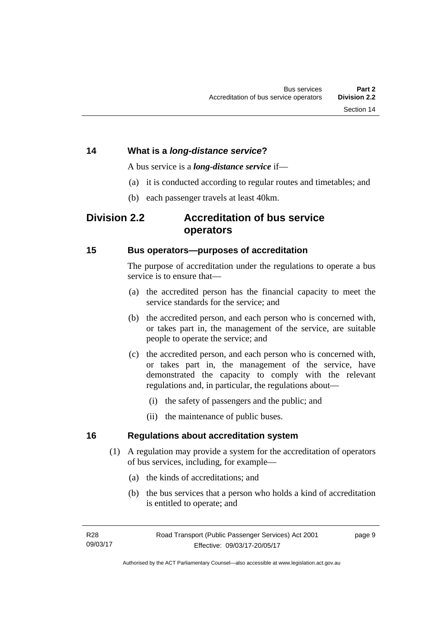### <span id="page-18-0"></span>**14 What is a** *long-distance service***?**

A bus service is a *long-distance service* if—

- (a) it is conducted according to regular routes and timetables; and
- (b) each passenger travels at least 40km.

### <span id="page-18-1"></span>**Division 2.2 Accreditation of bus service operators**

### <span id="page-18-2"></span>**15 Bus operators—purposes of accreditation**

The purpose of accreditation under the regulations to operate a bus service is to ensure that-

- (a) the accredited person has the financial capacity to meet the service standards for the service; and
- (b) the accredited person, and each person who is concerned with, or takes part in, the management of the service, are suitable people to operate the service; and
- (c) the accredited person, and each person who is concerned with, or takes part in, the management of the service, have demonstrated the capacity to comply with the relevant regulations and, in particular, the regulations about—
	- (i) the safety of passengers and the public; and
	- (ii) the maintenance of public buses.

### <span id="page-18-3"></span>**16 Regulations about accreditation system**

- (1) A regulation may provide a system for the accreditation of operators of bus services, including, for example—
	- (a) the kinds of accreditations; and
	- (b) the bus services that a person who holds a kind of accreditation is entitled to operate; and

page 9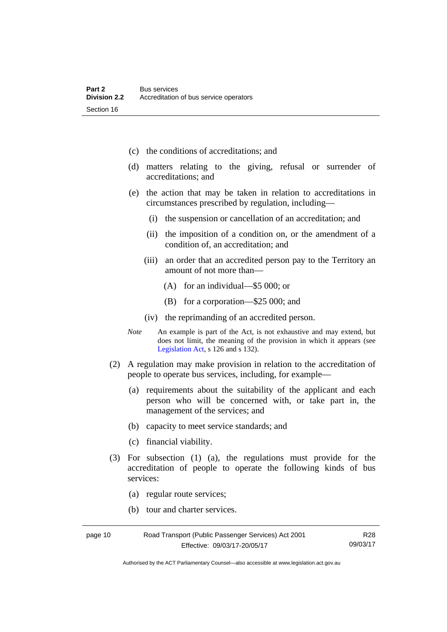- (c) the conditions of accreditations; and
- (d) matters relating to the giving, refusal or surrender of accreditations; and
- (e) the action that may be taken in relation to accreditations in circumstances prescribed by regulation, including—
	- (i) the suspension or cancellation of an accreditation; and
	- (ii) the imposition of a condition on, or the amendment of a condition of, an accreditation; and
	- (iii) an order that an accredited person pay to the Territory an amount of not more than—
		- (A) for an individual—\$5 000; or
		- (B) for a corporation—\$25 000; and
	- (iv) the reprimanding of an accredited person.
- *Note* An example is part of the Act, is not exhaustive and may extend, but does not limit, the meaning of the provision in which it appears (see [Legislation Act,](http://www.legislation.act.gov.au/a/2001-14) s 126 and s 132).
- (2) A regulation may make provision in relation to the accreditation of people to operate bus services, including, for example—
	- (a) requirements about the suitability of the applicant and each person who will be concerned with, or take part in, the management of the services; and
	- (b) capacity to meet service standards; and
	- (c) financial viability.
- (3) For subsection (1) (a), the regulations must provide for the accreditation of people to operate the following kinds of bus services:
	- (a) regular route services;
	- (b) tour and charter services.

| page 10 | Road Transport (Public Passenger Services) Act 2001 | R <sub>28</sub> |
|---------|-----------------------------------------------------|-----------------|
|         | Effective: 09/03/17-20/05/17                        | 09/03/17        |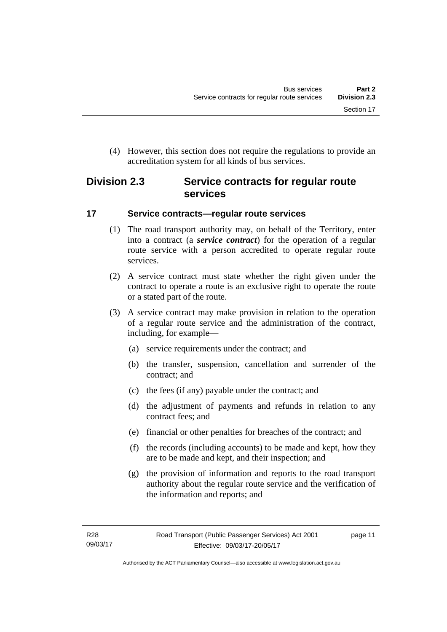(4) However, this section does not require the regulations to provide an accreditation system for all kinds of bus services.

### <span id="page-20-0"></span>**Division 2.3 Service contracts for regular route services**

### <span id="page-20-1"></span>**17 Service contracts—regular route services**

- (1) The road transport authority may, on behalf of the Territory, enter into a contract (a *service contract*) for the operation of a regular route service with a person accredited to operate regular route services.
- (2) A service contract must state whether the right given under the contract to operate a route is an exclusive right to operate the route or a stated part of the route.
- (3) A service contract may make provision in relation to the operation of a regular route service and the administration of the contract, including, for example—
	- (a) service requirements under the contract; and
	- (b) the transfer, suspension, cancellation and surrender of the contract; and
	- (c) the fees (if any) payable under the contract; and
	- (d) the adjustment of payments and refunds in relation to any contract fees; and
	- (e) financial or other penalties for breaches of the contract; and
	- (f) the records (including accounts) to be made and kept, how they are to be made and kept, and their inspection; and
	- (g) the provision of information and reports to the road transport authority about the regular route service and the verification of the information and reports; and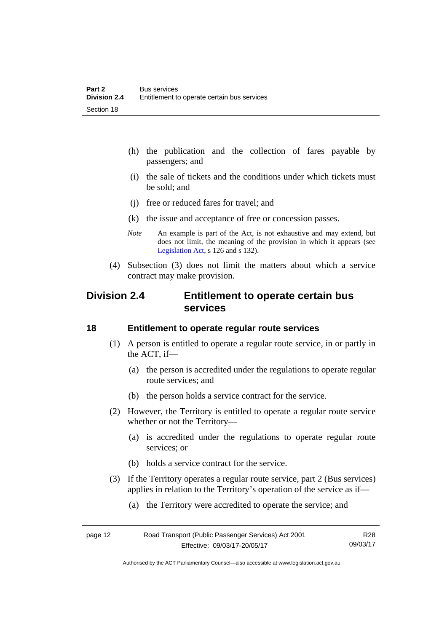- (h) the publication and the collection of fares payable by passengers; and
- (i) the sale of tickets and the conditions under which tickets must be sold; and
- (j) free or reduced fares for travel; and
- (k) the issue and acceptance of free or concession passes.
- *Note* An example is part of the Act, is not exhaustive and may extend, but does not limit, the meaning of the provision in which it appears (see [Legislation Act,](http://www.legislation.act.gov.au/a/2001-14) s 126 and s 132).
- (4) Subsection (3) does not limit the matters about which a service contract may make provision.

### <span id="page-21-0"></span>**Division 2.4 Entitlement to operate certain bus services**

### <span id="page-21-1"></span>**18 Entitlement to operate regular route services**

- (1) A person is entitled to operate a regular route service, in or partly in the ACT, if—
	- (a) the person is accredited under the regulations to operate regular route services; and
	- (b) the person holds a service contract for the service.
- (2) However, the Territory is entitled to operate a regular route service whether or not the Territory—
	- (a) is accredited under the regulations to operate regular route services; or
	- (b) holds a service contract for the service.
- (3) If the Territory operates a regular route service, part 2 (Bus services) applies in relation to the Territory's operation of the service as if—
	- (a) the Territory were accredited to operate the service; and

| page 12 | Road Transport (Public Passenger Services) Act 2001 | R <sub>28</sub> |
|---------|-----------------------------------------------------|-----------------|
|         | Effective: 09/03/17-20/05/17                        | 09/03/17        |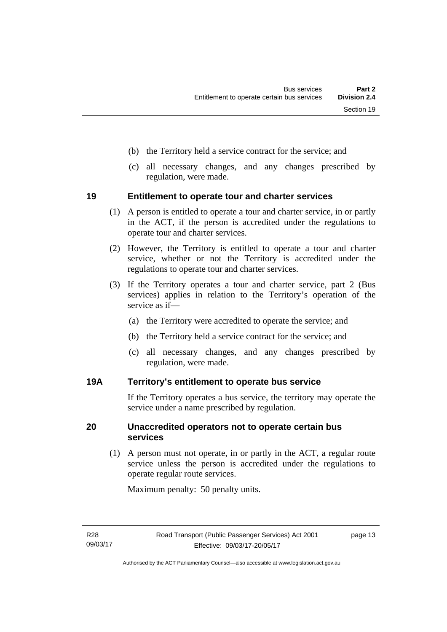- (b) the Territory held a service contract for the service; and
- (c) all necessary changes, and any changes prescribed by regulation, were made.

### <span id="page-22-0"></span>**19 Entitlement to operate tour and charter services**

- (1) A person is entitled to operate a tour and charter service, in or partly in the ACT, if the person is accredited under the regulations to operate tour and charter services.
- (2) However, the Territory is entitled to operate a tour and charter service, whether or not the Territory is accredited under the regulations to operate tour and charter services.
- (3) If the Territory operates a tour and charter service, part 2 (Bus services) applies in relation to the Territory's operation of the service as if—
	- (a) the Territory were accredited to operate the service; and
	- (b) the Territory held a service contract for the service; and
	- (c) all necessary changes, and any changes prescribed by regulation, were made.

### <span id="page-22-1"></span>**19A Territory's entitlement to operate bus service**

If the Territory operates a bus service, the territory may operate the service under a name prescribed by regulation.

### <span id="page-22-2"></span>**20 Unaccredited operators not to operate certain bus services**

(1) A person must not operate, in or partly in the ACT, a regular route service unless the person is accredited under the regulations to operate regular route services.

Maximum penalty: 50 penalty units.

page 13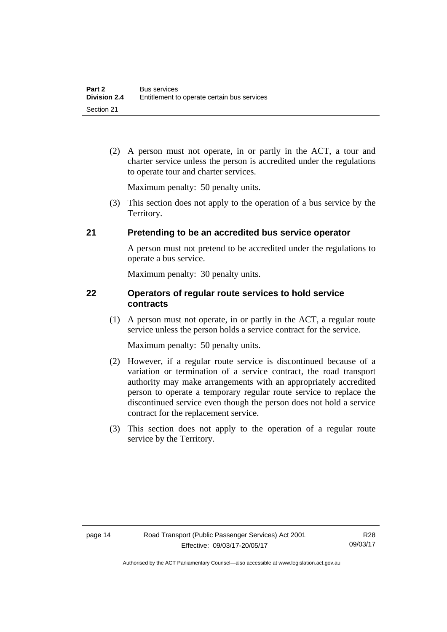(2) A person must not operate, in or partly in the ACT, a tour and charter service unless the person is accredited under the regulations to operate tour and charter services.

Maximum penalty: 50 penalty units.

 (3) This section does not apply to the operation of a bus service by the Territory.

### <span id="page-23-0"></span>**21 Pretending to be an accredited bus service operator**

A person must not pretend to be accredited under the regulations to operate a bus service.

Maximum penalty: 30 penalty units.

### <span id="page-23-1"></span>**22 Operators of regular route services to hold service contracts**

(1) A person must not operate, in or partly in the ACT, a regular route service unless the person holds a service contract for the service.

Maximum penalty: 50 penalty units.

- (2) However, if a regular route service is discontinued because of a variation or termination of a service contract, the road transport authority may make arrangements with an appropriately accredited person to operate a temporary regular route service to replace the discontinued service even though the person does not hold a service contract for the replacement service.
- (3) This section does not apply to the operation of a regular route service by the Territory.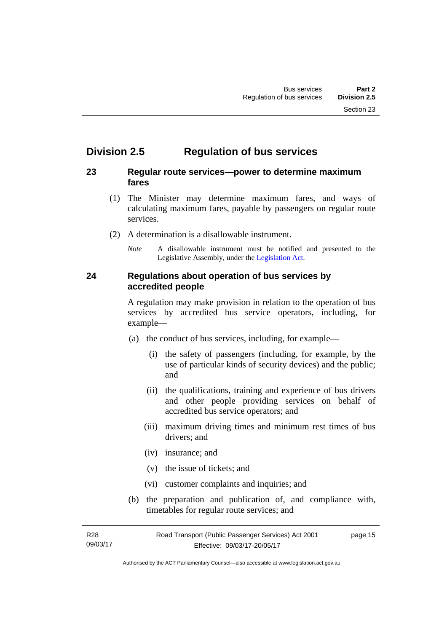### <span id="page-24-0"></span>**Division 2.5 Regulation of bus services**

### <span id="page-24-1"></span>**23 Regular route services—power to determine maximum fares**

- (1) The Minister may determine maximum fares, and ways of calculating maximum fares, payable by passengers on regular route services.
- (2) A determination is a disallowable instrument.
	- *Note* A disallowable instrument must be notified and presented to the Legislative Assembly, under the [Legislation Act.](http://www.legislation.act.gov.au/a/2001-14)

### <span id="page-24-2"></span>**24 Regulations about operation of bus services by accredited people**

A regulation may make provision in relation to the operation of bus services by accredited bus service operators, including, for example—

- (a) the conduct of bus services, including, for example—
	- (i) the safety of passengers (including, for example, by the use of particular kinds of security devices) and the public; and
	- (ii) the qualifications, training and experience of bus drivers and other people providing services on behalf of accredited bus service operators; and
	- (iii) maximum driving times and minimum rest times of bus drivers; and
	- (iv) insurance; and
	- (v) the issue of tickets; and
	- (vi) customer complaints and inquiries; and
- (b) the preparation and publication of, and compliance with, timetables for regular route services; and

R28 09/03/17 Road Transport (Public Passenger Services) Act 2001 Effective: 09/03/17-20/05/17 page 15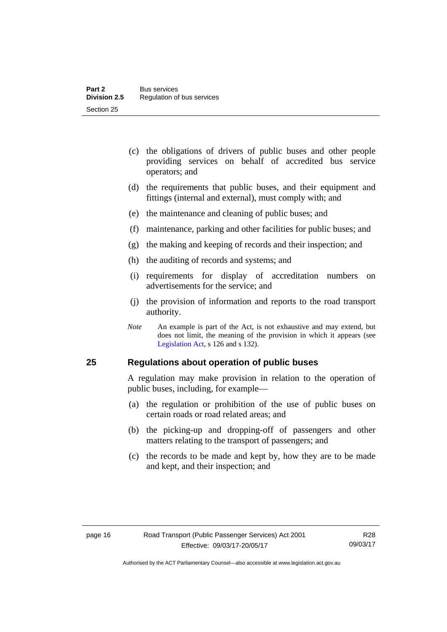- (c) the obligations of drivers of public buses and other people providing services on behalf of accredited bus service operators; and
- (d) the requirements that public buses, and their equipment and fittings (internal and external), must comply with; and
- (e) the maintenance and cleaning of public buses; and
- (f) maintenance, parking and other facilities for public buses; and
- (g) the making and keeping of records and their inspection; and
- (h) the auditing of records and systems; and
- (i) requirements for display of accreditation numbers on advertisements for the service; and
- (j) the provision of information and reports to the road transport authority.
- *Note* An example is part of the Act, is not exhaustive and may extend, but does not limit, the meaning of the provision in which it appears (see [Legislation Act,](http://www.legislation.act.gov.au/a/2001-14) s 126 and s 132).

### <span id="page-25-0"></span>**25 Regulations about operation of public buses**

A regulation may make provision in relation to the operation of public buses, including, for example—

- (a) the regulation or prohibition of the use of public buses on certain roads or road related areas; and
- (b) the picking-up and dropping-off of passengers and other matters relating to the transport of passengers; and
- (c) the records to be made and kept by, how they are to be made and kept, and their inspection; and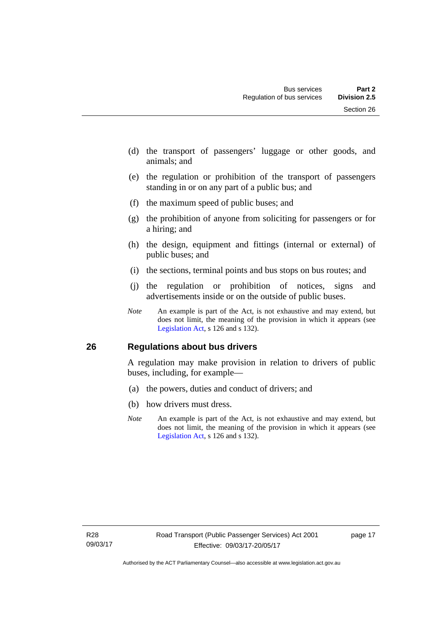- (d) the transport of passengers' luggage or other goods, and animals; and
- (e) the regulation or prohibition of the transport of passengers standing in or on any part of a public bus; and
- (f) the maximum speed of public buses; and
- (g) the prohibition of anyone from soliciting for passengers or for a hiring; and
- (h) the design, equipment and fittings (internal or external) of public buses; and
- (i) the sections, terminal points and bus stops on bus routes; and
- (j) the regulation or prohibition of notices, signs and advertisements inside or on the outside of public buses.
- *Note* An example is part of the Act, is not exhaustive and may extend, but does not limit, the meaning of the provision in which it appears (see [Legislation Act,](http://www.legislation.act.gov.au/a/2001-14) s 126 and s 132).

### <span id="page-26-0"></span>**26 Regulations about bus drivers**

A regulation may make provision in relation to drivers of public buses, including, for example—

- (a) the powers, duties and conduct of drivers; and
- (b) how drivers must dress.
- *Note* An example is part of the Act, is not exhaustive and may extend, but does not limit, the meaning of the provision in which it appears (see [Legislation Act,](http://www.legislation.act.gov.au/a/2001-14) s 126 and s 132).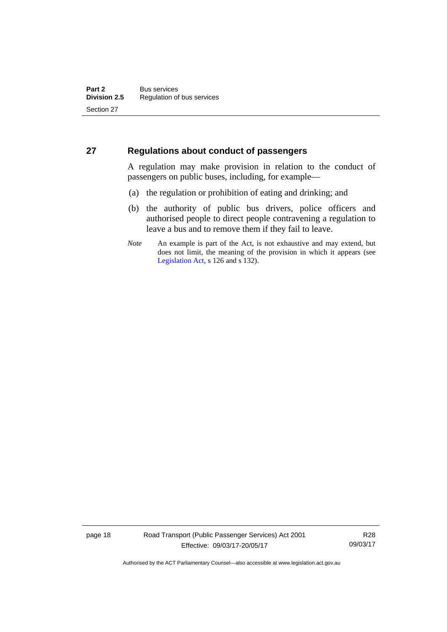### <span id="page-27-0"></span>**27 Regulations about conduct of passengers**

A regulation may make provision in relation to the conduct of passengers on public buses, including, for example—

- (a) the regulation or prohibition of eating and drinking; and
- (b) the authority of public bus drivers, police officers and authorised people to direct people contravening a regulation to leave a bus and to remove them if they fail to leave.
- *Note* An example is part of the Act, is not exhaustive and may extend, but does not limit, the meaning of the provision in which it appears (see [Legislation Act,](http://www.legislation.act.gov.au/a/2001-14) s 126 and s 132).

page 18 Road Transport (Public Passenger Services) Act 2001 Effective: 09/03/17-20/05/17

R28 09/03/17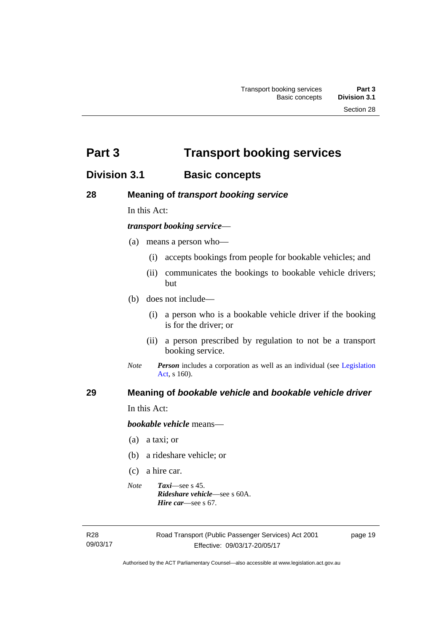<span id="page-28-0"></span>**Part 3 Transport booking services** 

### <span id="page-28-1"></span>**Division 3.1 Basic concepts**

### <span id="page-28-2"></span>**28 Meaning of** *transport booking service*

In this Act:

### *transport booking service*—

- (a) means a person who—
	- (i) accepts bookings from people for bookable vehicles; and
	- (ii) communicates the bookings to bookable vehicle drivers; but
- (b) does not include—
	- (i) a person who is a bookable vehicle driver if the booking is for the driver; or
	- (ii) a person prescribed by regulation to not be a transport booking service.
- *Note Person* includes a corporation as well as an individual (see [Legislation](http://www.legislation.act.gov.au/a/2001-14)  [Act](http://www.legislation.act.gov.au/a/2001-14), s 160).

### <span id="page-28-3"></span>**29 Meaning of** *bookable vehicle* **and** *bookable vehicle driver*

In this Act:

*bookable vehicle* means—

- (a) a taxi; or
- (b) a rideshare vehicle; or
- (c) a hire car.
- *Note Taxi*—see s 45. *Rideshare vehicle*—see s 60A. *Hire car*—see s 67.

R28 09/03/17 page 19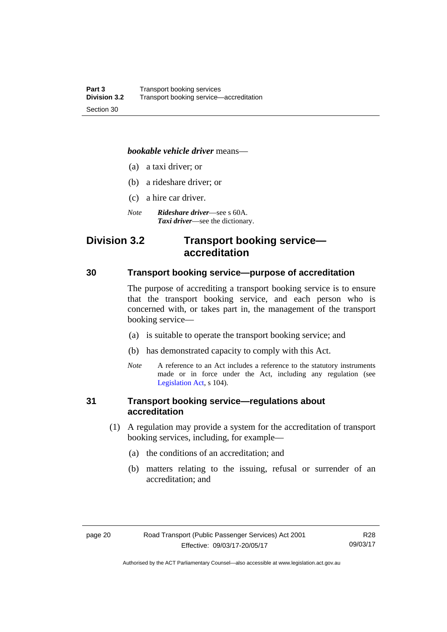### *bookable vehicle driver* means—

- (a) a taxi driver; or
- (b) a rideshare driver; or
- (c) a hire car driver.
- *Note Rideshare driver*—see s 60A. *Taxi driver*—see the dictionary.

### <span id="page-29-0"></span>**Division 3.2 Transport booking service accreditation**

### <span id="page-29-1"></span>**30 Transport booking service—purpose of accreditation**

The purpose of accrediting a transport booking service is to ensure that the transport booking service, and each person who is concerned with, or takes part in, the management of the transport booking service—

- (a) is suitable to operate the transport booking service; and
- (b) has demonstrated capacity to comply with this Act.
- *Note* A reference to an Act includes a reference to the statutory instruments made or in force under the Act, including any regulation (see [Legislation Act,](http://www.legislation.act.gov.au/a/2001-14) s 104).

### <span id="page-29-2"></span>**31 Transport booking service—regulations about accreditation**

- (1) A regulation may provide a system for the accreditation of transport booking services, including, for example—
	- (a) the conditions of an accreditation; and
	- (b) matters relating to the issuing, refusal or surrender of an accreditation; and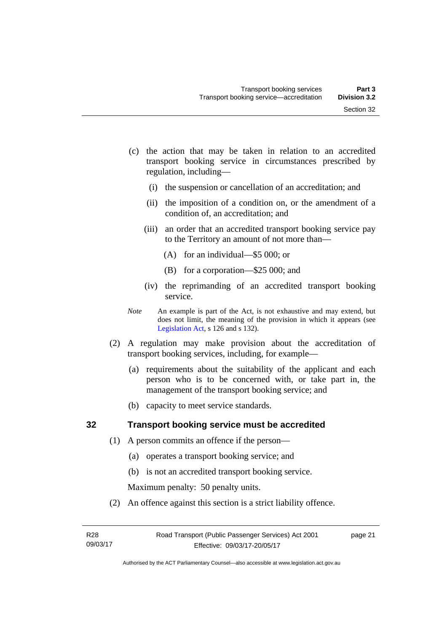- (c) the action that may be taken in relation to an accredited transport booking service in circumstances prescribed by regulation, including—
	- (i) the suspension or cancellation of an accreditation; and
	- (ii) the imposition of a condition on, or the amendment of a condition of, an accreditation; and
	- (iii) an order that an accredited transport booking service pay to the Territory an amount of not more than—
		- (A) for an individual—\$5 000; or
		- (B) for a corporation—\$25 000; and
	- (iv) the reprimanding of an accredited transport booking service.
- *Note* An example is part of the Act, is not exhaustive and may extend, but does not limit, the meaning of the provision in which it appears (see [Legislation Act,](http://www.legislation.act.gov.au/a/2001-14) s 126 and s 132).
- (2) A regulation may make provision about the accreditation of transport booking services, including, for example—
	- (a) requirements about the suitability of the applicant and each person who is to be concerned with, or take part in, the management of the transport booking service; and
	- (b) capacity to meet service standards.

### <span id="page-30-0"></span>**32 Transport booking service must be accredited**

- (1) A person commits an offence if the person—
	- (a) operates a transport booking service; and
	- (b) is not an accredited transport booking service.

Maximum penalty: 50 penalty units.

(2) An offence against this section is a strict liability offence.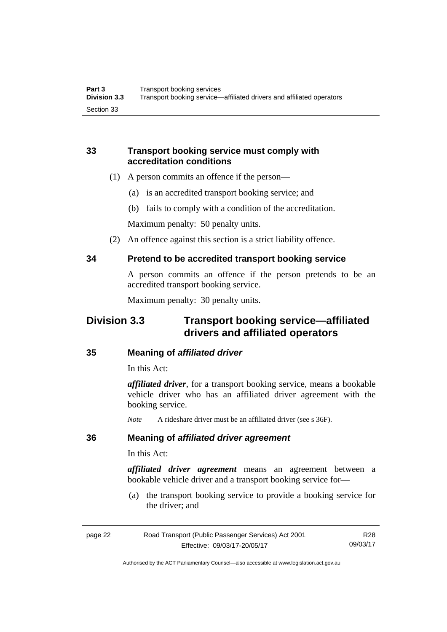### <span id="page-31-0"></span>**33 Transport booking service must comply with accreditation conditions**

- (1) A person commits an offence if the person—
	- (a) is an accredited transport booking service; and
	- (b) fails to comply with a condition of the accreditation.

Maximum penalty: 50 penalty units.

(2) An offence against this section is a strict liability offence.

### <span id="page-31-1"></span>**34 Pretend to be accredited transport booking service**

A person commits an offence if the person pretends to be an accredited transport booking service.

Maximum penalty: 30 penalty units.

### <span id="page-31-2"></span>**Division 3.3 Transport booking service—affiliated drivers and affiliated operators**

### <span id="page-31-3"></span>**35 Meaning of** *affiliated driver*

In this Act:

*affiliated driver*, for a transport booking service, means a bookable vehicle driver who has an affiliated driver agreement with the booking service.

*Note* A rideshare driver must be an affiliated driver (see s 36F).

### <span id="page-31-4"></span>**36 Meaning of** *affiliated driver agreement*

In this Act:

*affiliated driver agreement* means an agreement between a bookable vehicle driver and a transport booking service for—

 (a) the transport booking service to provide a booking service for the driver; and

| page 22 | Road Transport (Public Passenger Services) Act 2001 | R28      |
|---------|-----------------------------------------------------|----------|
|         | Effective: 09/03/17-20/05/17                        | 09/03/17 |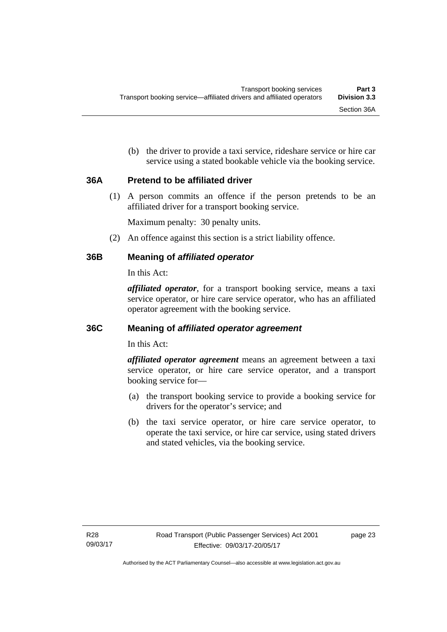(b) the driver to provide a taxi service, rideshare service or hire car service using a stated bookable vehicle via the booking service.

### <span id="page-32-0"></span>**36A Pretend to be affiliated driver**

(1) A person commits an offence if the person pretends to be an affiliated driver for a transport booking service.

Maximum penalty: 30 penalty units.

(2) An offence against this section is a strict liability offence.

### <span id="page-32-1"></span>**36B Meaning of** *affiliated operator*

In this Act:

*affiliated operator*, for a transport booking service, means a taxi service operator, or hire care service operator, who has an affiliated operator agreement with the booking service.

### <span id="page-32-2"></span>**36C Meaning of** *affiliated operator agreement*

In this Act:

*affiliated operator agreement* means an agreement between a taxi service operator, or hire care service operator, and a transport booking service for—

- (a) the transport booking service to provide a booking service for drivers for the operator's service; and
- (b) the taxi service operator, or hire care service operator, to operate the taxi service, or hire car service, using stated drivers and stated vehicles, via the booking service.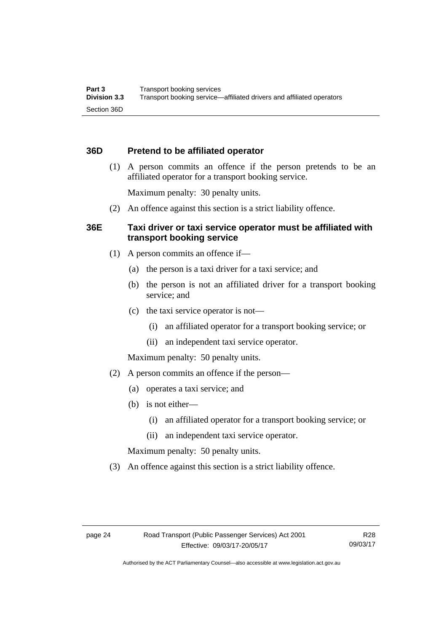### <span id="page-33-0"></span>**36D Pretend to be affiliated operator**

 (1) A person commits an offence if the person pretends to be an affiliated operator for a transport booking service.

Maximum penalty: 30 penalty units.

(2) An offence against this section is a strict liability offence.

### <span id="page-33-1"></span>**36E Taxi driver or taxi service operator must be affiliated with transport booking service**

- (1) A person commits an offence if—
	- (a) the person is a taxi driver for a taxi service; and
	- (b) the person is not an affiliated driver for a transport booking service; and
	- (c) the taxi service operator is not—
		- (i) an affiliated operator for a transport booking service; or
		- (ii) an independent taxi service operator.

Maximum penalty: 50 penalty units.

- (2) A person commits an offence if the person—
	- (a) operates a taxi service; and
	- (b) is not either—
		- (i) an affiliated operator for a transport booking service; or
		- (ii) an independent taxi service operator.

Maximum penalty: 50 penalty units.

(3) An offence against this section is a strict liability offence.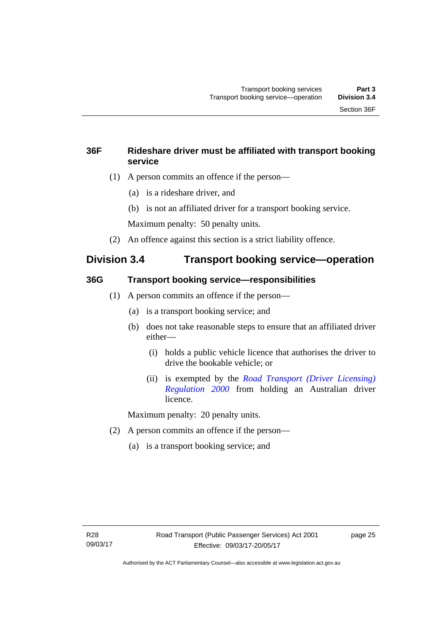### <span id="page-34-0"></span>**36F Rideshare driver must be affiliated with transport booking service**

- (1) A person commits an offence if the person—
	- (a) is a rideshare driver, and
	- (b) is not an affiliated driver for a transport booking service.

Maximum penalty: 50 penalty units.

(2) An offence against this section is a strict liability offence.

### <span id="page-34-1"></span>**Division 3.4 Transport booking service—operation**

### <span id="page-34-2"></span>**36G Transport booking service—responsibilities**

- (1) A person commits an offence if the person—
	- (a) is a transport booking service; and
	- (b) does not take reasonable steps to ensure that an affiliated driver either—
		- (i) holds a public vehicle licence that authorises the driver to drive the bookable vehicle; or
		- (ii) is exempted by the *[Road Transport \(Driver Licensing\)](http://www.legislation.act.gov.au/sl/2000-14)  [Regulation 2000](http://www.legislation.act.gov.au/sl/2000-14)* from holding an Australian driver licence.

Maximum penalty: 20 penalty units.

- (2) A person commits an offence if the person—
	- (a) is a transport booking service; and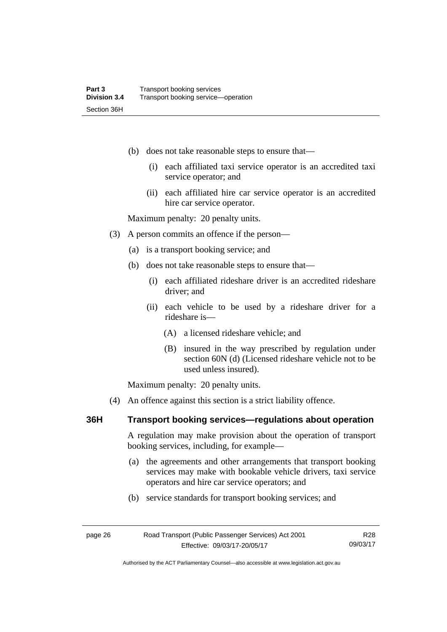- (b) does not take reasonable steps to ensure that—
	- (i) each affiliated taxi service operator is an accredited taxi service operator; and
	- (ii) each affiliated hire car service operator is an accredited hire car service operator.

Maximum penalty: 20 penalty units.

- (3) A person commits an offence if the person—
	- (a) is a transport booking service; and
	- (b) does not take reasonable steps to ensure that—
		- (i) each affiliated rideshare driver is an accredited rideshare driver; and
		- (ii) each vehicle to be used by a rideshare driver for a rideshare is—
			- (A) a licensed rideshare vehicle; and
			- (B) insured in the way prescribed by regulation under section 60N (d) (Licensed rideshare vehicle not to be used unless insured).

Maximum penalty: 20 penalty units.

(4) An offence against this section is a strict liability offence.

### <span id="page-35-0"></span>**36H Transport booking services—regulations about operation**

A regulation may make provision about the operation of transport booking services, including, for example—

- (a) the agreements and other arrangements that transport booking services may make with bookable vehicle drivers, taxi service operators and hire car service operators; and
- (b) service standards for transport booking services; and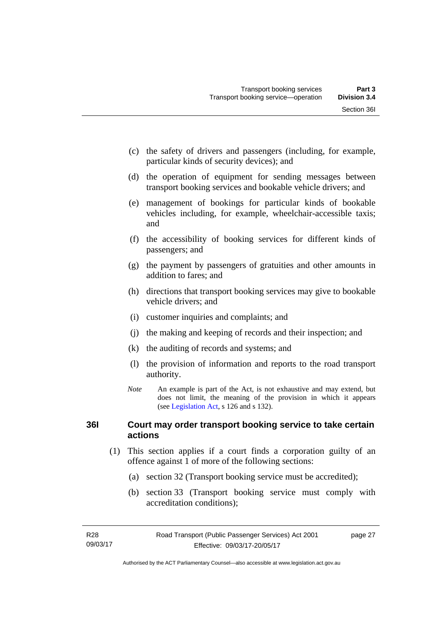- (c) the safety of drivers and passengers (including, for example, particular kinds of security devices); and
- (d) the operation of equipment for sending messages between transport booking services and bookable vehicle drivers; and
- (e) management of bookings for particular kinds of bookable vehicles including, for example, wheelchair-accessible taxis; and
- (f) the accessibility of booking services for different kinds of passengers; and
- (g) the payment by passengers of gratuities and other amounts in addition to fares; and
- (h) directions that transport booking services may give to bookable vehicle drivers; and
- (i) customer inquiries and complaints; and
- (j) the making and keeping of records and their inspection; and
- (k) the auditing of records and systems; and
- (l) the provision of information and reports to the road transport authority.
- *Note* An example is part of the Act, is not exhaustive and may extend, but does not limit, the meaning of the provision in which it appears (see [Legislation Act,](http://www.legislation.act.gov.au/a/2001-14) s 126 and s 132).

# **36I Court may order transport booking service to take certain actions**

- (1) This section applies if a court finds a corporation guilty of an offence against 1 of more of the following sections:
	- (a) section 32 (Transport booking service must be accredited);
	- (b) section 33 (Transport booking service must comply with accreditation conditions);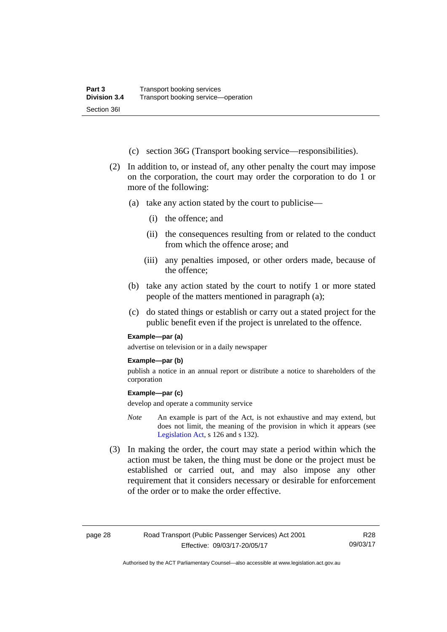- (c) section 36G (Transport booking service—responsibilities).
- (2) In addition to, or instead of, any other penalty the court may impose on the corporation, the court may order the corporation to do 1 or more of the following:
	- (a) take any action stated by the court to publicise—
		- (i) the offence; and
		- (ii) the consequences resulting from or related to the conduct from which the offence arose; and
		- (iii) any penalties imposed, or other orders made, because of the offence;
	- (b) take any action stated by the court to notify 1 or more stated people of the matters mentioned in paragraph (a);
	- (c) do stated things or establish or carry out a stated project for the public benefit even if the project is unrelated to the offence.

#### **Example—par (a)**

advertise on television or in a daily newspaper

#### **Example—par (b)**

publish a notice in an annual report or distribute a notice to shareholders of the corporation

#### **Example—par (c)**

develop and operate a community service

- *Note* An example is part of the Act, is not exhaustive and may extend, but does not limit, the meaning of the provision in which it appears (see [Legislation Act,](http://www.legislation.act.gov.au/a/2001-14) s 126 and s 132).
- (3) In making the order, the court may state a period within which the action must be taken, the thing must be done or the project must be established or carried out, and may also impose any other requirement that it considers necessary or desirable for enforcement of the order or to make the order effective.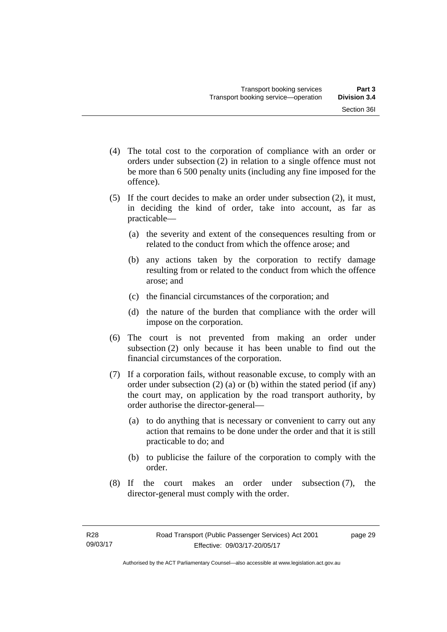- (4) The total cost to the corporation of compliance with an order or orders under subsection (2) in relation to a single offence must not be more than 6 500 penalty units (including any fine imposed for the offence).
- (5) If the court decides to make an order under subsection (2), it must, in deciding the kind of order, take into account, as far as practicable—
	- (a) the severity and extent of the consequences resulting from or related to the conduct from which the offence arose; and
	- (b) any actions taken by the corporation to rectify damage resulting from or related to the conduct from which the offence arose; and
	- (c) the financial circumstances of the corporation; and
	- (d) the nature of the burden that compliance with the order will impose on the corporation.
- (6) The court is not prevented from making an order under subsection (2) only because it has been unable to find out the financial circumstances of the corporation.
- (7) If a corporation fails, without reasonable excuse, to comply with an order under subsection (2) (a) or (b) within the stated period (if any) the court may, on application by the road transport authority, by order authorise the director-general—
	- (a) to do anything that is necessary or convenient to carry out any action that remains to be done under the order and that it is still practicable to do; and
	- (b) to publicise the failure of the corporation to comply with the order.
- (8) If the court makes an order under subsection (7), the director-general must comply with the order.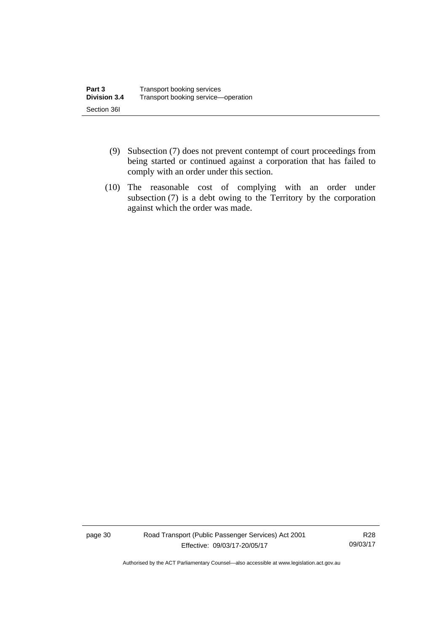- (9) Subsection (7) does not prevent contempt of court proceedings from being started or continued against a corporation that has failed to comply with an order under this section.
- (10) The reasonable cost of complying with an order under subsection (7) is a debt owing to the Territory by the corporation against which the order was made.

page 30 Road Transport (Public Passenger Services) Act 2001 Effective: 09/03/17-20/05/17

R28 09/03/17

Authorised by the ACT Parliamentary Counsel—also accessible at www.legislation.act.gov.au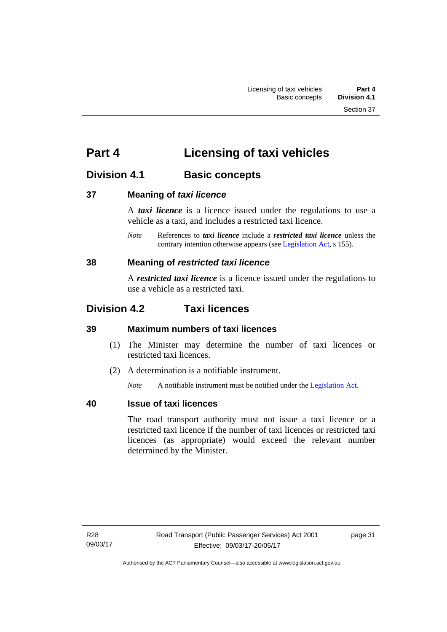# **Part 4 Licensing of taxi vehicles**

# **Division 4.1 Basic concepts**

# **37 Meaning of** *taxi licence*

A *taxi licence* is a licence issued under the regulations to use a vehicle as a taxi, and includes a restricted taxi licence.

*Note* References to *taxi licence* include a *restricted taxi licence* unless the contrary intention otherwise appears (see [Legislation Act,](http://www.legislation.act.gov.au/a/2001-14) s 155).

# **38 Meaning of** *restricted taxi licence*

A *restricted taxi licence* is a licence issued under the regulations to use a vehicle as a restricted taxi.

# **Division 4.2 Taxi licences**

# **39 Maximum numbers of taxi licences**

- (1) The Minister may determine the number of taxi licences or restricted taxi licences.
- (2) A determination is a notifiable instrument.

*Note* A notifiable instrument must be notified under the [Legislation Act](http://www.legislation.act.gov.au/a/2001-14).

# **40 Issue of taxi licences**

The road transport authority must not issue a taxi licence or a restricted taxi licence if the number of taxi licences or restricted taxi licences (as appropriate) would exceed the relevant number determined by the Minister.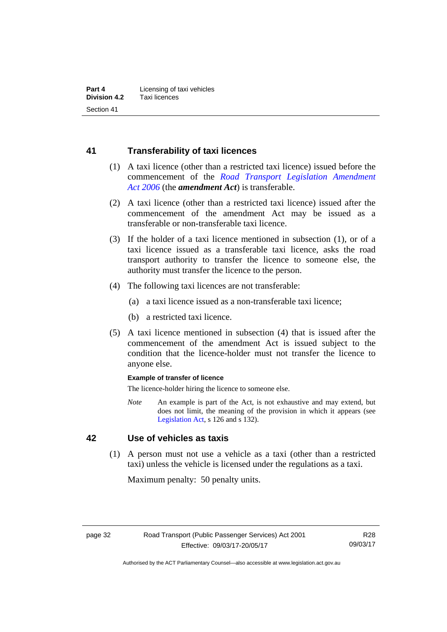# **41 Transferability of taxi licences**

- (1) A taxi licence (other than a restricted taxi licence) issued before the commencement of the *[Road Transport Legislation Amendment](http://www.legislation.act.gov.au/a/2006-26)  [Act 2006](http://www.legislation.act.gov.au/a/2006-26)* (the *amendment Act*) is transferable.
- (2) A taxi licence (other than a restricted taxi licence) issued after the commencement of the amendment Act may be issued as a transferable or non-transferable taxi licence.
- (3) If the holder of a taxi licence mentioned in subsection (1), or of a taxi licence issued as a transferable taxi licence, asks the road transport authority to transfer the licence to someone else, the authority must transfer the licence to the person.
- (4) The following taxi licences are not transferable:
	- (a) a taxi licence issued as a non-transferable taxi licence;
	- (b) a restricted taxi licence.
- (5) A taxi licence mentioned in subsection (4) that is issued after the commencement of the amendment Act is issued subject to the condition that the licence-holder must not transfer the licence to anyone else.

#### **Example of transfer of licence**

The licence-holder hiring the licence to someone else.

*Note* An example is part of the Act, is not exhaustive and may extend, but does not limit, the meaning of the provision in which it appears (see [Legislation Act,](http://www.legislation.act.gov.au/a/2001-14) s 126 and s 132).

# **42 Use of vehicles as taxis**

 (1) A person must not use a vehicle as a taxi (other than a restricted taxi) unless the vehicle is licensed under the regulations as a taxi.

Maximum penalty: 50 penalty units.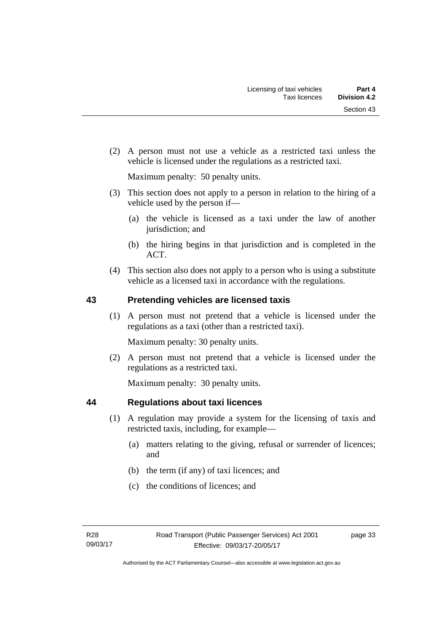(2) A person must not use a vehicle as a restricted taxi unless the vehicle is licensed under the regulations as a restricted taxi.

Maximum penalty: 50 penalty units.

- (3) This section does not apply to a person in relation to the hiring of a vehicle used by the person if—
	- (a) the vehicle is licensed as a taxi under the law of another jurisdiction; and
	- (b) the hiring begins in that jurisdiction and is completed in the ACT.
- (4) This section also does not apply to a person who is using a substitute vehicle as a licensed taxi in accordance with the regulations.

# **43 Pretending vehicles are licensed taxis**

(1) A person must not pretend that a vehicle is licensed under the regulations as a taxi (other than a restricted taxi).

Maximum penalty: 30 penalty units.

 (2) A person must not pretend that a vehicle is licensed under the regulations as a restricted taxi.

Maximum penalty: 30 penalty units.

# **44 Regulations about taxi licences**

- (1) A regulation may provide a system for the licensing of taxis and restricted taxis, including, for example—
	- (a) matters relating to the giving, refusal or surrender of licences; and
	- (b) the term (if any) of taxi licences; and
	- (c) the conditions of licences; and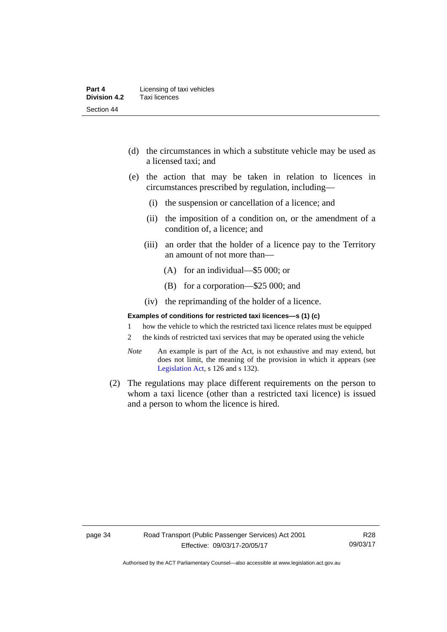- (d) the circumstances in which a substitute vehicle may be used as a licensed taxi; and
- (e) the action that may be taken in relation to licences in circumstances prescribed by regulation, including—
	- (i) the suspension or cancellation of a licence; and
	- (ii) the imposition of a condition on, or the amendment of a condition of, a licence; and
	- (iii) an order that the holder of a licence pay to the Territory an amount of not more than—
		- (A) for an individual—\$5 000; or
		- (B) for a corporation—\$25 000; and
	- (iv) the reprimanding of the holder of a licence.

#### **Examples of conditions for restricted taxi licences—s (1) (c)**

- 1 how the vehicle to which the restricted taxi licence relates must be equipped
- 2 the kinds of restricted taxi services that may be operated using the vehicle
- *Note* An example is part of the Act, is not exhaustive and may extend, but does not limit, the meaning of the provision in which it appears (see [Legislation Act,](http://www.legislation.act.gov.au/a/2001-14) s 126 and s 132).
- (2) The regulations may place different requirements on the person to whom a taxi licence (other than a restricted taxi licence) is issued and a person to whom the licence is hired.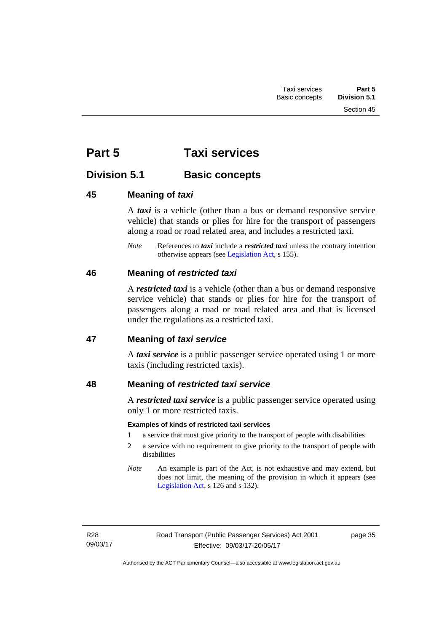# **Part 5 Taxi services**

# **Division 5.1 Basic concepts**

# **45 Meaning of** *taxi*

A *taxi* is a vehicle (other than a bus or demand responsive service vehicle) that stands or plies for hire for the transport of passengers along a road or road related area, and includes a restricted taxi.

*Note* References to *taxi* include a *restricted taxi* unless the contrary intention otherwise appears (see [Legislation Act,](http://www.legislation.act.gov.au/a/2001-14) s 155).

# **46 Meaning of** *restricted taxi*

A *restricted taxi* is a vehicle (other than a bus or demand responsive service vehicle) that stands or plies for hire for the transport of passengers along a road or road related area and that is licensed under the regulations as a restricted taxi.

# **47 Meaning of** *taxi service*

A *taxi service* is a public passenger service operated using 1 or more taxis (including restricted taxis).

# **48 Meaning of** *restricted taxi service*

A *restricted taxi service* is a public passenger service operated using only 1 or more restricted taxis.

# **Examples of kinds of restricted taxi services**

- 1 a service that must give priority to the transport of people with disabilities
- 2 a service with no requirement to give priority to the transport of people with disabilities
- *Note* An example is part of the Act, is not exhaustive and may extend, but does not limit, the meaning of the provision in which it appears (see [Legislation Act,](http://www.legislation.act.gov.au/a/2001-14) s 126 and s 132).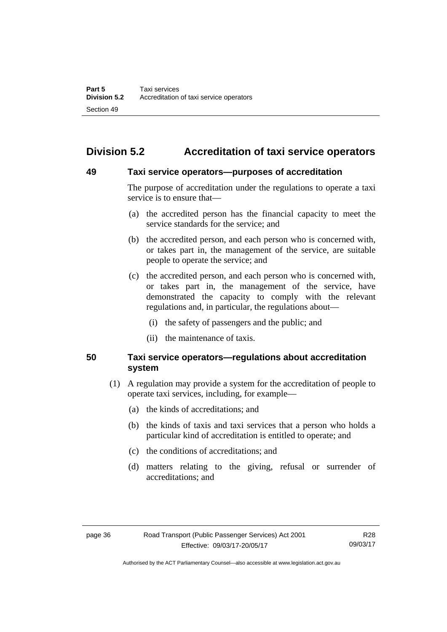# **Division 5.2 Accreditation of taxi service operators**

### **49 Taxi service operators—purposes of accreditation**

The purpose of accreditation under the regulations to operate a taxi service is to ensure that—

- (a) the accredited person has the financial capacity to meet the service standards for the service; and
- (b) the accredited person, and each person who is concerned with, or takes part in, the management of the service, are suitable people to operate the service; and
- (c) the accredited person, and each person who is concerned with, or takes part in, the management of the service, have demonstrated the capacity to comply with the relevant regulations and, in particular, the regulations about—
	- (i) the safety of passengers and the public; and
	- (ii) the maintenance of taxis.

# **50 Taxi service operators—regulations about accreditation system**

- (1) A regulation may provide a system for the accreditation of people to operate taxi services, including, for example—
	- (a) the kinds of accreditations; and
	- (b) the kinds of taxis and taxi services that a person who holds a particular kind of accreditation is entitled to operate; and
	- (c) the conditions of accreditations; and
	- (d) matters relating to the giving, refusal or surrender of accreditations; and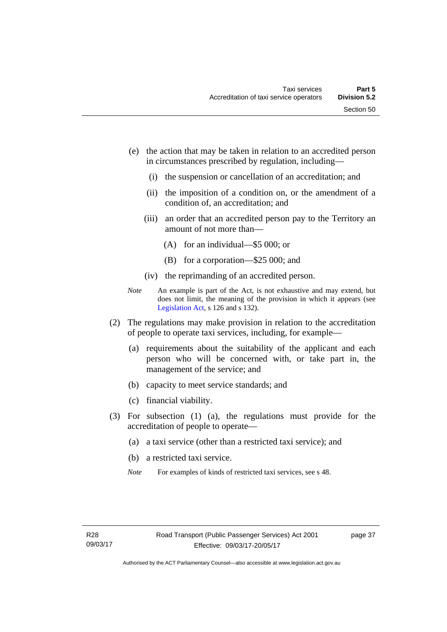- (e) the action that may be taken in relation to an accredited person in circumstances prescribed by regulation, including—
	- (i) the suspension or cancellation of an accreditation; and
	- (ii) the imposition of a condition on, or the amendment of a condition of, an accreditation; and
	- (iii) an order that an accredited person pay to the Territory an amount of not more than—
		- (A) for an individual—\$5 000; or
		- (B) for a corporation—\$25 000; and
	- (iv) the reprimanding of an accredited person.
- *Note* An example is part of the Act, is not exhaustive and may extend, but does not limit, the meaning of the provision in which it appears (see [Legislation Act,](http://www.legislation.act.gov.au/a/2001-14) s 126 and s 132).
- (2) The regulations may make provision in relation to the accreditation of people to operate taxi services, including, for example—
	- (a) requirements about the suitability of the applicant and each person who will be concerned with, or take part in, the management of the service; and
	- (b) capacity to meet service standards; and
	- (c) financial viability.
- (3) For subsection (1) (a), the regulations must provide for the accreditation of people to operate—
	- (a) a taxi service (other than a restricted taxi service); and
	- (b) a restricted taxi service.
	- *Note* For examples of kinds of restricted taxi services, see s 48.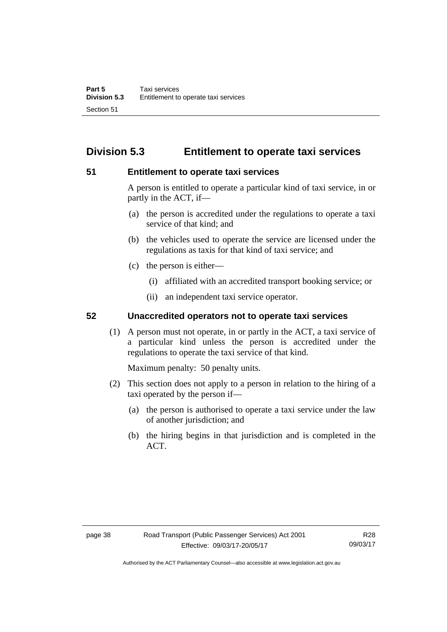# **Division 5.3 Entitlement to operate taxi services**

# **51 Entitlement to operate taxi services**

A person is entitled to operate a particular kind of taxi service, in or partly in the ACT, if—

- (a) the person is accredited under the regulations to operate a taxi service of that kind; and
- (b) the vehicles used to operate the service are licensed under the regulations as taxis for that kind of taxi service; and
- (c) the person is either—
	- (i) affiliated with an accredited transport booking service; or
	- (ii) an independent taxi service operator.

# **52 Unaccredited operators not to operate taxi services**

(1) A person must not operate, in or partly in the ACT, a taxi service of a particular kind unless the person is accredited under the regulations to operate the taxi service of that kind.

Maximum penalty: 50 penalty units.

- (2) This section does not apply to a person in relation to the hiring of a taxi operated by the person if—
	- (a) the person is authorised to operate a taxi service under the law of another jurisdiction; and
	- (b) the hiring begins in that jurisdiction and is completed in the ACT.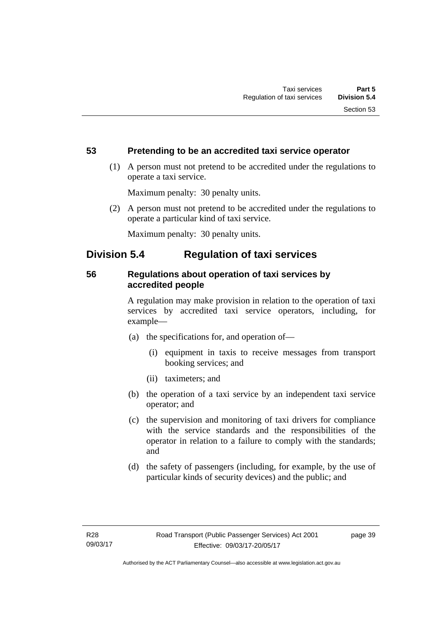# **53 Pretending to be an accredited taxi service operator**

 (1) A person must not pretend to be accredited under the regulations to operate a taxi service.

Maximum penalty: 30 penalty units.

 (2) A person must not pretend to be accredited under the regulations to operate a particular kind of taxi service.

Maximum penalty: 30 penalty units.

# **Division 5.4 Regulation of taxi services**

# **56 Regulations about operation of taxi services by accredited people**

A regulation may make provision in relation to the operation of taxi services by accredited taxi service operators, including, for example—

- (a) the specifications for, and operation of—
	- (i) equipment in taxis to receive messages from transport booking services; and
	- (ii) taximeters; and
- (b) the operation of a taxi service by an independent taxi service operator; and
- (c) the supervision and monitoring of taxi drivers for compliance with the service standards and the responsibilities of the operator in relation to a failure to comply with the standards; and
- (d) the safety of passengers (including, for example, by the use of particular kinds of security devices) and the public; and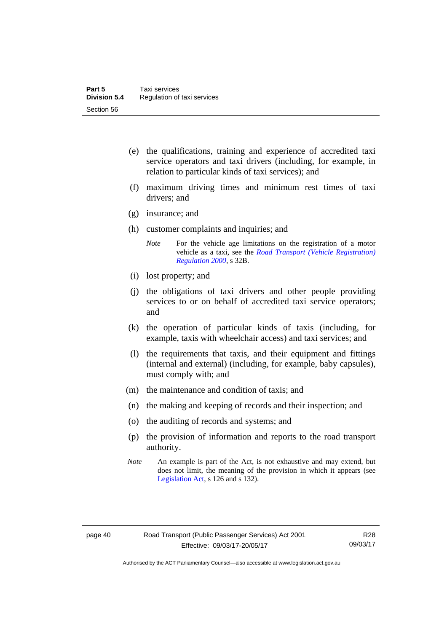- (e) the qualifications, training and experience of accredited taxi service operators and taxi drivers (including, for example, in relation to particular kinds of taxi services); and
- (f) maximum driving times and minimum rest times of taxi drivers; and
- (g) insurance; and
- (h) customer complaints and inquiries; and
	- *Note* For the vehicle age limitations on the registration of a motor vehicle as a taxi, see the *[Road Transport \(Vehicle Registration\)](http://www.legislation.act.gov.au/sl/2000-12)  [Regulation 2000](http://www.legislation.act.gov.au/sl/2000-12)*, s 32B.
- (i) lost property; and
- (j) the obligations of taxi drivers and other people providing services to or on behalf of accredited taxi service operators; and
- (k) the operation of particular kinds of taxis (including, for example, taxis with wheelchair access) and taxi services; and
- (l) the requirements that taxis, and their equipment and fittings (internal and external) (including, for example, baby capsules), must comply with; and
- (m) the maintenance and condition of taxis; and
- (n) the making and keeping of records and their inspection; and
- (o) the auditing of records and systems; and
- (p) the provision of information and reports to the road transport authority.
- *Note* An example is part of the Act, is not exhaustive and may extend, but does not limit, the meaning of the provision in which it appears (see [Legislation Act,](http://www.legislation.act.gov.au/a/2001-14) s 126 and s 132).

Authorised by the ACT Parliamentary Counsel—also accessible at www.legislation.act.gov.au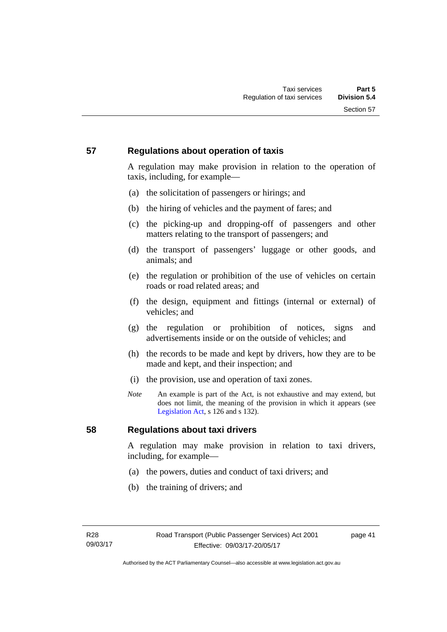# **57 Regulations about operation of taxis**

A regulation may make provision in relation to the operation of taxis, including, for example—

- (a) the solicitation of passengers or hirings; and
- (b) the hiring of vehicles and the payment of fares; and
- (c) the picking-up and dropping-off of passengers and other matters relating to the transport of passengers; and
- (d) the transport of passengers' luggage or other goods, and animals; and
- (e) the regulation or prohibition of the use of vehicles on certain roads or road related areas; and
- (f) the design, equipment and fittings (internal or external) of vehicles; and
- (g) the regulation or prohibition of notices, signs and advertisements inside or on the outside of vehicles; and
- (h) the records to be made and kept by drivers, how they are to be made and kept, and their inspection; and
- (i) the provision, use and operation of taxi zones.
- *Note* An example is part of the Act, is not exhaustive and may extend, but does not limit, the meaning of the provision in which it appears (see [Legislation Act,](http://www.legislation.act.gov.au/a/2001-14) s 126 and s 132).

# **58 Regulations about taxi drivers**

A regulation may make provision in relation to taxi drivers, including, for example—

- (a) the powers, duties and conduct of taxi drivers; and
- (b) the training of drivers; and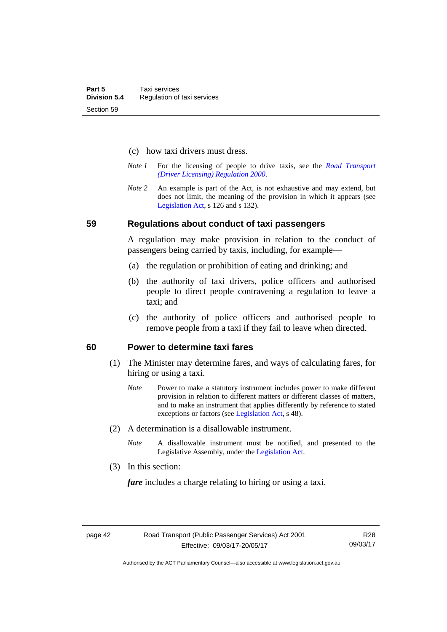- (c) how taxi drivers must dress.
- *Note 1* For the licensing of people to drive taxis, see the *[Road Transport](http://www.legislation.act.gov.au/sl/2000-14)  [\(Driver Licensing\) Regulation 2000](http://www.legislation.act.gov.au/sl/2000-14)*.
- *Note 2* An example is part of the Act, is not exhaustive and may extend, but does not limit, the meaning of the provision in which it appears (see [Legislation Act,](http://www.legislation.act.gov.au/a/2001-14) s 126 and s 132).

#### **59 Regulations about conduct of taxi passengers**

A regulation may make provision in relation to the conduct of passengers being carried by taxis, including, for example—

- (a) the regulation or prohibition of eating and drinking; and
- (b) the authority of taxi drivers, police officers and authorised people to direct people contravening a regulation to leave a taxi; and
- (c) the authority of police officers and authorised people to remove people from a taxi if they fail to leave when directed.

### **60 Power to determine taxi fares**

- (1) The Minister may determine fares, and ways of calculating fares, for hiring or using a taxi.
	- *Note* Power to make a statutory instrument includes power to make different provision in relation to different matters or different classes of matters, and to make an instrument that applies differently by reference to stated exceptions or factors (see [Legislation Act](http://www.legislation.act.gov.au/a/2001-14), s 48).
- (2) A determination is a disallowable instrument.
	- *Note* A disallowable instrument must be notified, and presented to the Legislative Assembly, under the [Legislation Act.](http://www.legislation.act.gov.au/a/2001-14)
- (3) In this section:

*fare* includes a charge relating to hiring or using a taxi.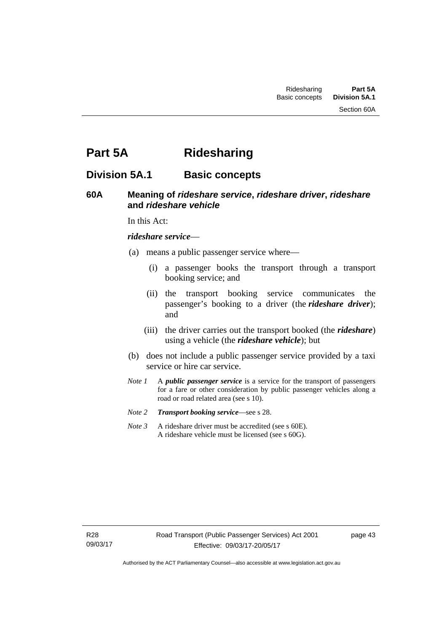Section 60A

# **Part 5A Ridesharing**

# **Division 5A.1 Basic concepts**

# **60A Meaning of** *rideshare service***,** *rideshare driver***,** *rideshare* **and** *rideshare vehicle*

In this Act:

#### *rideshare service*—

- (a) means a public passenger service where—
	- (i) a passenger books the transport through a transport booking service; and
	- (ii) the transport booking service communicates the passenger's booking to a driver (the *rideshare driver*); and
	- (iii) the driver carries out the transport booked (the *rideshare*) using a vehicle (the *rideshare vehicle*); but
- (b) does not include a public passenger service provided by a taxi service or hire car service.
- *Note 1* A *public passenger service* is a service for the transport of passengers for a fare or other consideration by public passenger vehicles along a road or road related area (see s 10).
- *Note 2 Transport booking service*—see s 28.
- *Note 3* A rideshare driver must be accredited (see s 60E). A rideshare vehicle must be licensed (see s 60G).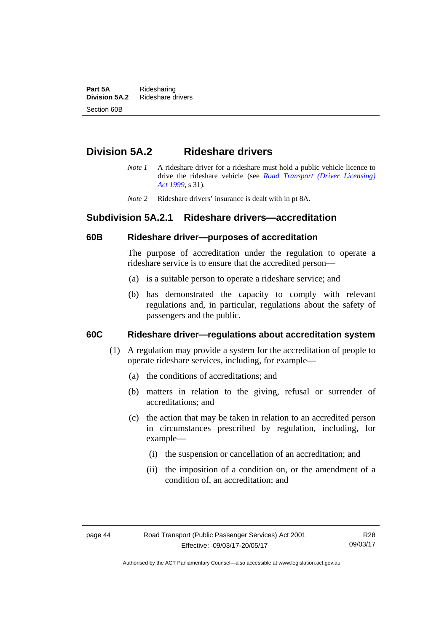**Part 5A** Ridesharing<br>**Division 5A.2** Rideshare d **Division 5A.2** Rideshare drivers Section 60B

# **Division 5A.2 Rideshare drivers**

- *Note 1* A rideshare driver for a rideshare must hold a public vehicle licence to drive the rideshare vehicle (see *[Road Transport \(Driver Licensing\)](http://www.legislation.act.gov.au/a/1999-78)  [Act 1999](http://www.legislation.act.gov.au/a/1999-78)*, s 31).
- *Note 2* Rideshare drivers' insurance is dealt with in pt 8A.

# **Subdivision 5A.2.1 Rideshare drivers—accreditation**

### **60B Rideshare driver—purposes of accreditation**

The purpose of accreditation under the regulation to operate a rideshare service is to ensure that the accredited person—

- (a) is a suitable person to operate a rideshare service; and
- (b) has demonstrated the capacity to comply with relevant regulations and, in particular, regulations about the safety of passengers and the public.

# **60C Rideshare driver—regulations about accreditation system**

- (1) A regulation may provide a system for the accreditation of people to operate rideshare services, including, for example—
	- (a) the conditions of accreditations; and
	- (b) matters in relation to the giving, refusal or surrender of accreditations; and
	- (c) the action that may be taken in relation to an accredited person in circumstances prescribed by regulation, including, for example—
		- (i) the suspension or cancellation of an accreditation; and
		- (ii) the imposition of a condition on, or the amendment of a condition of, an accreditation; and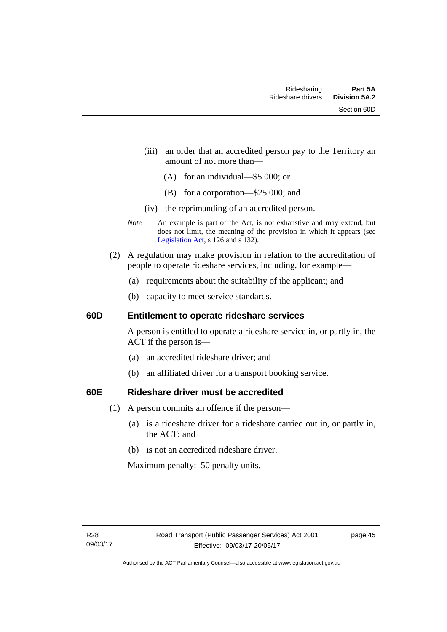- (iii) an order that an accredited person pay to the Territory an amount of not more than—
	- (A) for an individual—\$5 000; or
	- (B) for a corporation—\$25 000; and
- (iv) the reprimanding of an accredited person.
- *Note* An example is part of the Act, is not exhaustive and may extend, but does not limit, the meaning of the provision in which it appears (see [Legislation Act,](http://www.legislation.act.gov.au/a/2001-14) s 126 and s 132).
- (2) A regulation may make provision in relation to the accreditation of people to operate rideshare services, including, for example—
	- (a) requirements about the suitability of the applicant; and
	- (b) capacity to meet service standards.

### **60D Entitlement to operate rideshare services**

A person is entitled to operate a rideshare service in, or partly in, the ACT if the person is—

- (a) an accredited rideshare driver; and
- (b) an affiliated driver for a transport booking service.

# **60E Rideshare driver must be accredited**

- (1) A person commits an offence if the person—
	- (a) is a rideshare driver for a rideshare carried out in, or partly in, the ACT; and
	- (b) is not an accredited rideshare driver.

Maximum penalty: 50 penalty units.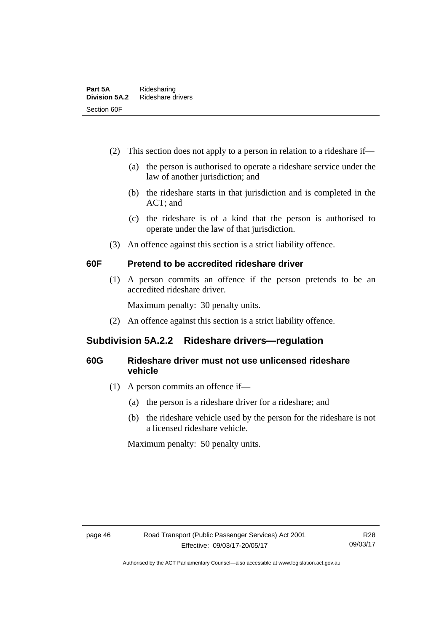- (2) This section does not apply to a person in relation to a rideshare if—
	- (a) the person is authorised to operate a rideshare service under the law of another jurisdiction; and
	- (b) the rideshare starts in that jurisdiction and is completed in the ACT; and
	- (c) the rideshare is of a kind that the person is authorised to operate under the law of that jurisdiction.
- (3) An offence against this section is a strict liability offence.

# **60F Pretend to be accredited rideshare driver**

(1) A person commits an offence if the person pretends to be an accredited rideshare driver.

Maximum penalty: 30 penalty units.

(2) An offence against this section is a strict liability offence.

# **Subdivision 5A.2.2 Rideshare drivers—regulation**

# **60G Rideshare driver must not use unlicensed rideshare vehicle**

- (1) A person commits an offence if—
	- (a) the person is a rideshare driver for a rideshare; and
	- (b) the rideshare vehicle used by the person for the rideshare is not a licensed rideshare vehicle.

Maximum penalty: 50 penalty units.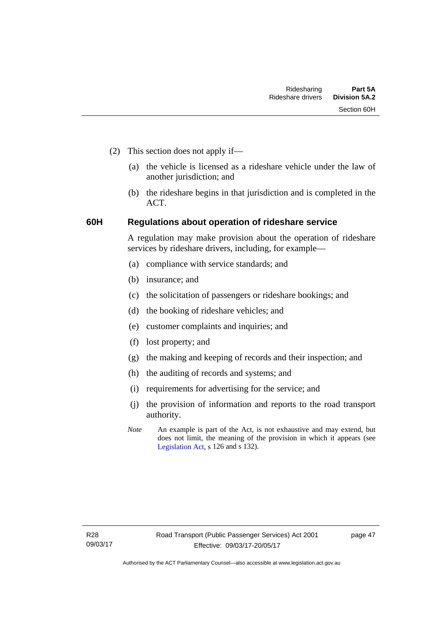- (2) This section does not apply if—
	- (a) the vehicle is licensed as a rideshare vehicle under the law of another jurisdiction; and
	- (b) the rideshare begins in that jurisdiction and is completed in the ACT.

# **60H Regulations about operation of rideshare service**

A regulation may make provision about the operation of rideshare services by rideshare drivers, including, for example—

- (a) compliance with service standards; and
- (b) insurance; and
- (c) the solicitation of passengers or rideshare bookings; and
- (d) the booking of rideshare vehicles; and
- (e) customer complaints and inquiries; and
- (f) lost property; and
- (g) the making and keeping of records and their inspection; and
- (h) the auditing of records and systems; and
- (i) requirements for advertising for the service; and
- (j) the provision of information and reports to the road transport authority.
- *Note* An example is part of the Act, is not exhaustive and may extend, but does not limit, the meaning of the provision in which it appears (see [Legislation Act,](http://www.legislation.act.gov.au/a/2001-14) s 126 and s 132).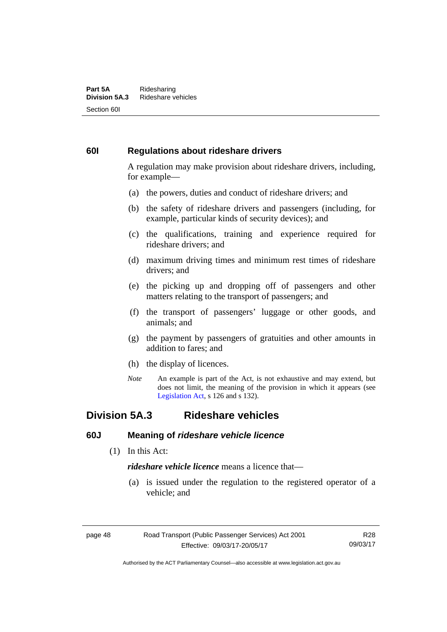#### **Part 5A** Ridesharing<br>**Division 5A.3** Rideshare ve **Division 5A.3** Rideshare vehicles Section 60I

# **60I Regulations about rideshare drivers**

A regulation may make provision about rideshare drivers, including, for example—

- (a) the powers, duties and conduct of rideshare drivers; and
- (b) the safety of rideshare drivers and passengers (including, for example, particular kinds of security devices); and
- (c) the qualifications, training and experience required for rideshare drivers; and
- (d) maximum driving times and minimum rest times of rideshare drivers; and
- (e) the picking up and dropping off of passengers and other matters relating to the transport of passengers; and
- (f) the transport of passengers' luggage or other goods, and animals; and
- (g) the payment by passengers of gratuities and other amounts in addition to fares; and
- (h) the display of licences.
- *Note* An example is part of the Act, is not exhaustive and may extend, but does not limit, the meaning of the provision in which it appears (see [Legislation Act,](http://www.legislation.act.gov.au/a/2001-14) s 126 and s 132).

# **Division 5A.3 Rideshare vehicles**

# **60J Meaning of** *rideshare vehicle licence*

(1) In this Act:

*rideshare vehicle licence* means a licence that—

 (a) is issued under the regulation to the registered operator of a vehicle; and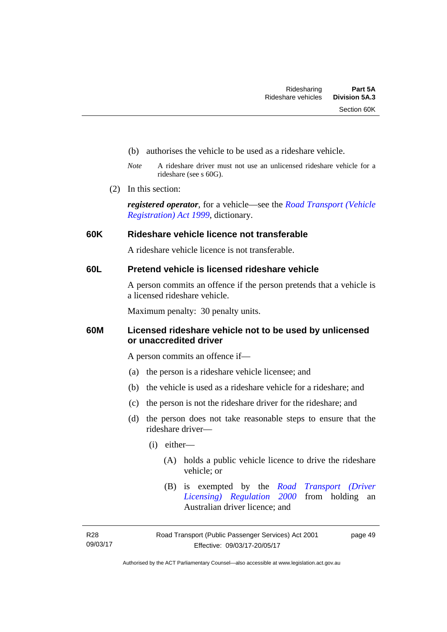- (b) authorises the vehicle to be used as a rideshare vehicle.
- *Note* A rideshare driver must not use an unlicensed rideshare vehicle for a rideshare (see s 60G).
- (2) In this section:

*registered operator*, for a vehicle—see the *[Road Transport \(Vehicle](http://www.legislation.act.gov.au/a/1999-81)  [Registration\) Act 1999](http://www.legislation.act.gov.au/a/1999-81)*, dictionary.

### **60K Rideshare vehicle licence not transferable**

A rideshare vehicle licence is not transferable.

# **60L Pretend vehicle is licensed rideshare vehicle**

A person commits an offence if the person pretends that a vehicle is a licensed rideshare vehicle.

Maximum penalty: 30 penalty units.

# **60M Licensed rideshare vehicle not to be used by unlicensed or unaccredited driver**

A person commits an offence if—

- (a) the person is a rideshare vehicle licensee; and
- (b) the vehicle is used as a rideshare vehicle for a rideshare; and
- (c) the person is not the rideshare driver for the rideshare; and
- (d) the person does not take reasonable steps to ensure that the rideshare driver—
	- (i) either—
		- (A) holds a public vehicle licence to drive the rideshare vehicle; or
		- (B) is exempted by the *[Road Transport \(Driver](http://www.legislation.act.gov.au/sl/2000-14/default.asp)  [Licensing\) Regulation 2000](http://www.legislation.act.gov.au/sl/2000-14/default.asp)* from holding an Australian driver licence; and

R28 09/03/17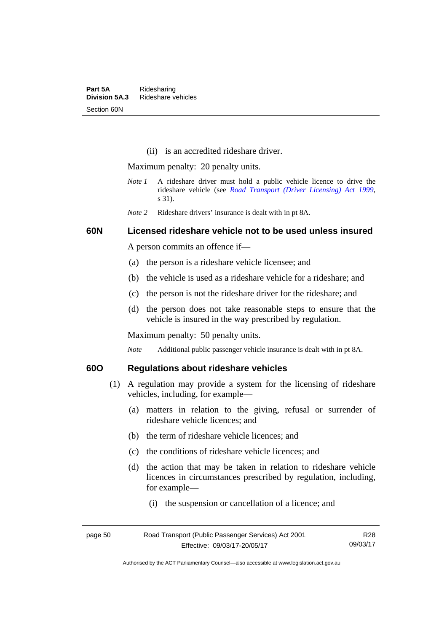(ii) is an accredited rideshare driver.

Maximum penalty: 20 penalty units.

- *Note 1* A rideshare driver must hold a public vehicle licence to drive the rideshare vehicle (see *[Road Transport \(Driver Licensing\) Act 1999](http://www.legislation.act.gov.au/a/1999-78)*, s 31).
- *Note 2* Rideshare drivers' insurance is dealt with in pt 8A.

### **60N Licensed rideshare vehicle not to be used unless insured**

A person commits an offence if—

- (a) the person is a rideshare vehicle licensee; and
- (b) the vehicle is used as a rideshare vehicle for a rideshare; and
- (c) the person is not the rideshare driver for the rideshare; and
- (d) the person does not take reasonable steps to ensure that the vehicle is insured in the way prescribed by regulation.

Maximum penalty: 50 penalty units.

*Note* Additional public passenger vehicle insurance is dealt with in pt 8A.

# **60O Regulations about rideshare vehicles**

- (1) A regulation may provide a system for the licensing of rideshare vehicles, including, for example—
	- (a) matters in relation to the giving, refusal or surrender of rideshare vehicle licences; and
	- (b) the term of rideshare vehicle licences; and
	- (c) the conditions of rideshare vehicle licences; and
	- (d) the action that may be taken in relation to rideshare vehicle licences in circumstances prescribed by regulation, including, for example—
		- (i) the suspension or cancellation of a licence; and

| page 50 | Road Transport (Public Passenger Services) Act 2001 | R28      |
|---------|-----------------------------------------------------|----------|
|         | Effective: 09/03/17-20/05/17                        | 09/03/17 |

Authorised by the ACT Parliamentary Counsel—also accessible at www.legislation.act.gov.au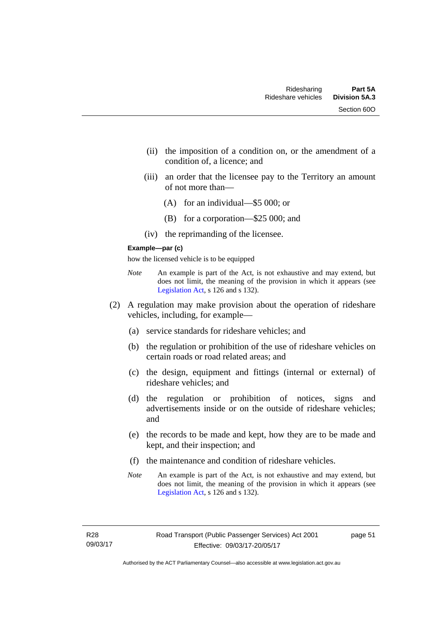- (ii) the imposition of a condition on, or the amendment of a condition of, a licence; and
- (iii) an order that the licensee pay to the Territory an amount of not more than—
	- (A) for an individual—\$5 000; or
	- (B) for a corporation—\$25 000; and
- (iv) the reprimanding of the licensee.

#### **Example—par (c)**

how the licensed vehicle is to be equipped

- *Note* An example is part of the Act, is not exhaustive and may extend, but does not limit, the meaning of the provision in which it appears (see [Legislation Act,](http://www.legislation.act.gov.au/a/2001-14) s 126 and s 132).
- (2) A regulation may make provision about the operation of rideshare vehicles, including, for example—
	- (a) service standards for rideshare vehicles; and
	- (b) the regulation or prohibition of the use of rideshare vehicles on certain roads or road related areas; and
	- (c) the design, equipment and fittings (internal or external) of rideshare vehicles; and
	- (d) the regulation or prohibition of notices, signs and advertisements inside or on the outside of rideshare vehicles; and
	- (e) the records to be made and kept, how they are to be made and kept, and their inspection; and
	- (f) the maintenance and condition of rideshare vehicles.
	- *Note* An example is part of the Act, is not exhaustive and may extend, but does not limit, the meaning of the provision in which it appears (see [Legislation Act,](http://www.legislation.act.gov.au/a/2001-14) s 126 and s 132).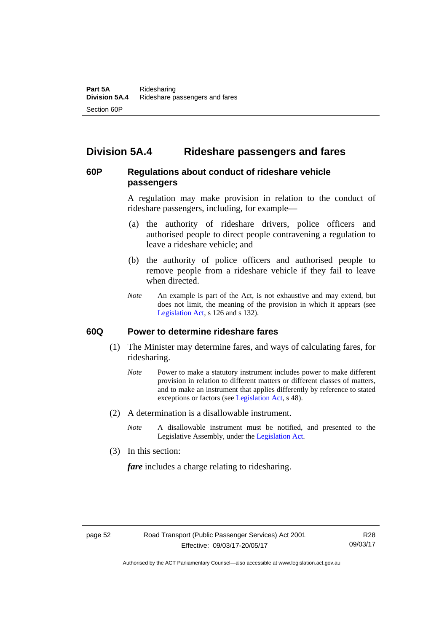# **Division 5A.4 Rideshare passengers and fares**

# **60P Regulations about conduct of rideshare vehicle passengers**

A regulation may make provision in relation to the conduct of rideshare passengers, including, for example—

- (a) the authority of rideshare drivers, police officers and authorised people to direct people contravening a regulation to leave a rideshare vehicle; and
- (b) the authority of police officers and authorised people to remove people from a rideshare vehicle if they fail to leave when directed.
- *Note* An example is part of the Act, is not exhaustive and may extend, but does not limit, the meaning of the provision in which it appears (see [Legislation Act,](http://www.legislation.act.gov.au/a/2001-14) s 126 and s 132).

# **60Q Power to determine rideshare fares**

- (1) The Minister may determine fares, and ways of calculating fares, for ridesharing.
	- *Note* Power to make a statutory instrument includes power to make different provision in relation to different matters or different classes of matters, and to make an instrument that applies differently by reference to stated exceptions or factors (see [Legislation Act](http://www.legislation.act.gov.au/a/2001-14), s 48).
- (2) A determination is a disallowable instrument.
	- *Note* A disallowable instrument must be notified, and presented to the Legislative Assembly, under the [Legislation Act.](http://www.legislation.act.gov.au/a/2001-14)
- (3) In this section:

*fare* includes a charge relating to ridesharing.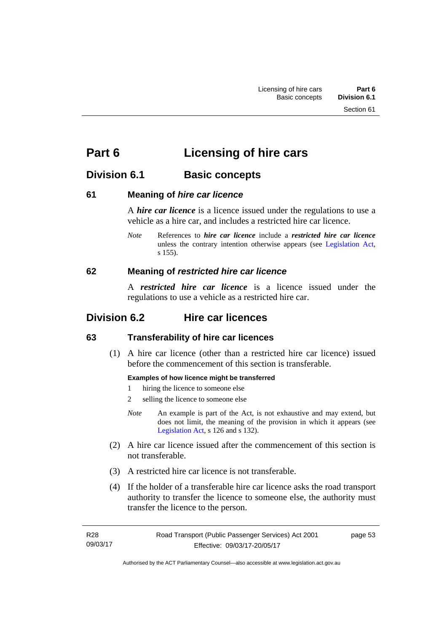# **Part 6 Licensing of hire cars**

# **Division 6.1 Basic concepts**

# **61 Meaning of** *hire car licence*

A *hire car licence* is a licence issued under the regulations to use a vehicle as a hire car, and includes a restricted hire car licence.

*Note* References to *hire car licence* include a *restricted hire car licence* unless the contrary intention otherwise appears (see [Legislation Act,](http://www.legislation.act.gov.au/a/2001-14) s 155).

# **62 Meaning of** *restricted hire car licence*

A *restricted hire car licence* is a licence issued under the regulations to use a vehicle as a restricted hire car.

# **Division 6.2 Hire car licences**

# **63 Transferability of hire car licences**

 (1) A hire car licence (other than a restricted hire car licence) issued before the commencement of this section is transferable.

#### **Examples of how licence might be transferred**

- 1 hiring the licence to someone else
- 2 selling the licence to someone else
- *Note* An example is part of the Act, is not exhaustive and may extend, but does not limit, the meaning of the provision in which it appears (see [Legislation Act,](http://www.legislation.act.gov.au/a/2001-14) s 126 and s 132).
- (2) A hire car licence issued after the commencement of this section is not transferable.
- (3) A restricted hire car licence is not transferable.
- (4) If the holder of a transferable hire car licence asks the road transport authority to transfer the licence to someone else, the authority must transfer the licence to the person.

| R28      | Road Transport (Public Passenger Services) Act 2001 | page 53 |
|----------|-----------------------------------------------------|---------|
| 09/03/17 | Effective: 09/03/17-20/05/17                        |         |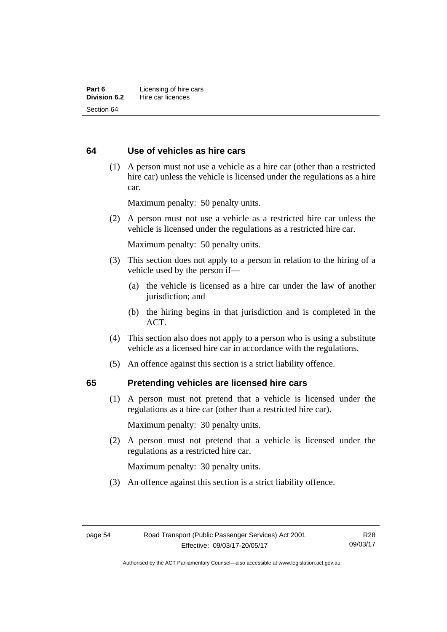# **64 Use of vehicles as hire cars**

 (1) A person must not use a vehicle as a hire car (other than a restricted hire car) unless the vehicle is licensed under the regulations as a hire car.

Maximum penalty: 50 penalty units.

 (2) A person must not use a vehicle as a restricted hire car unless the vehicle is licensed under the regulations as a restricted hire car.

Maximum penalty: 50 penalty units.

- (3) This section does not apply to a person in relation to the hiring of a vehicle used by the person if—
	- (a) the vehicle is licensed as a hire car under the law of another jurisdiction; and
	- (b) the hiring begins in that jurisdiction and is completed in the ACT.
- (4) This section also does not apply to a person who is using a substitute vehicle as a licensed hire car in accordance with the regulations.
- (5) An offence against this section is a strict liability offence.

# **65 Pretending vehicles are licensed hire cars**

(1) A person must not pretend that a vehicle is licensed under the regulations as a hire car (other than a restricted hire car).

Maximum penalty: 30 penalty units.

 (2) A person must not pretend that a vehicle is licensed under the regulations as a restricted hire car.

Maximum penalty: 30 penalty units.

(3) An offence against this section is a strict liability offence.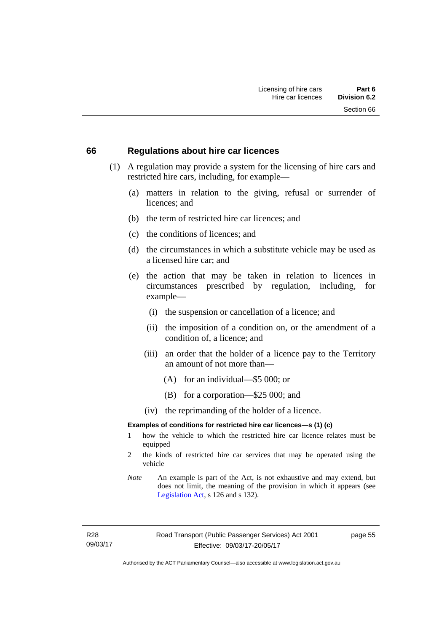#### **66 Regulations about hire car licences**

- (1) A regulation may provide a system for the licensing of hire cars and restricted hire cars, including, for example—
	- (a) matters in relation to the giving, refusal or surrender of licences; and
	- (b) the term of restricted hire car licences; and
	- (c) the conditions of licences; and
	- (d) the circumstances in which a substitute vehicle may be used as a licensed hire car; and
	- (e) the action that may be taken in relation to licences in circumstances prescribed by regulation, including, for example—
		- (i) the suspension or cancellation of a licence; and
		- (ii) the imposition of a condition on, or the amendment of a condition of, a licence; and
		- (iii) an order that the holder of a licence pay to the Territory an amount of not more than—
			- (A) for an individual—\$5 000; or
			- (B) for a corporation—\$25 000; and
		- (iv) the reprimanding of the holder of a licence.

#### **Examples of conditions for restricted hire car licences—s (1) (c)**

- 1 how the vehicle to which the restricted hire car licence relates must be equipped
- 2 the kinds of restricted hire car services that may be operated using the vehicle
- *Note* An example is part of the Act, is not exhaustive and may extend, but does not limit, the meaning of the provision in which it appears (see [Legislation Act,](http://www.legislation.act.gov.au/a/2001-14) s 126 and s 132).

R28 09/03/17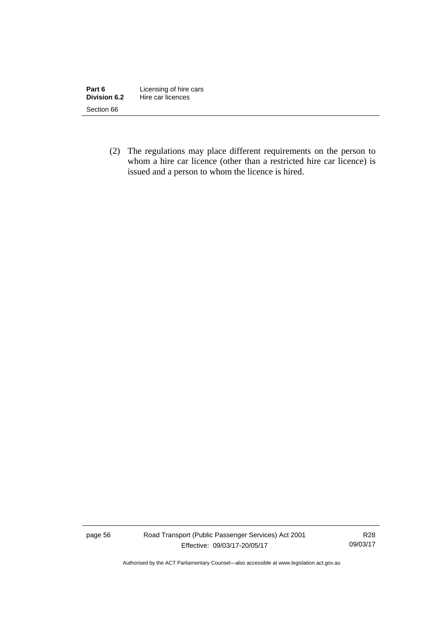| Part 6       | Licensing of hire cars |
|--------------|------------------------|
| Division 6.2 | Hire car licences      |
| Section 66   |                        |

 (2) The regulations may place different requirements on the person to whom a hire car licence (other than a restricted hire car licence) is issued and a person to whom the licence is hired.

page 56 Road Transport (Public Passenger Services) Act 2001 Effective: 09/03/17-20/05/17

R28 09/03/17

Authorised by the ACT Parliamentary Counsel—also accessible at www.legislation.act.gov.au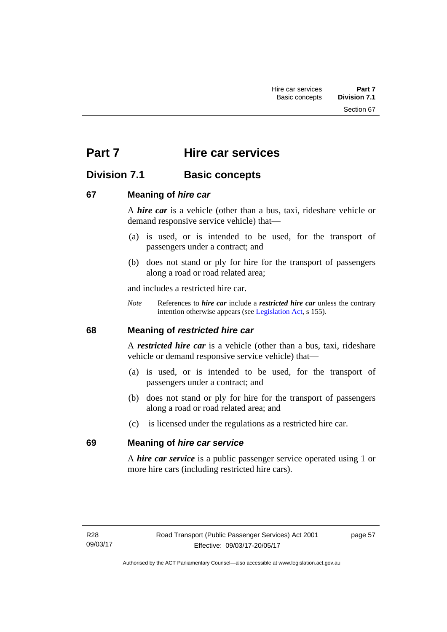Section 67

# **Part 7 Hire car services**

# **Division 7.1 Basic concepts**

# **67 Meaning of** *hire car*

A *hire car* is a vehicle (other than a bus, taxi, rideshare vehicle or demand responsive service vehicle) that—

- (a) is used, or is intended to be used, for the transport of passengers under a contract; and
- (b) does not stand or ply for hire for the transport of passengers along a road or road related area;

and includes a restricted hire car.

*Note* References to *hire car* include a *restricted hire car* unless the contrary intention otherwise appears (see [Legislation Act](http://www.legislation.act.gov.au/a/2001-14), s 155).

# **68 Meaning of** *restricted hire car*

A *restricted hire car* is a vehicle (other than a bus, taxi, rideshare vehicle or demand responsive service vehicle) that—

- (a) is used, or is intended to be used, for the transport of passengers under a contract; and
- (b) does not stand or ply for hire for the transport of passengers along a road or road related area; and
- (c) is licensed under the regulations as a restricted hire car.

# **69 Meaning of** *hire car service*

A *hire car service* is a public passenger service operated using 1 or more hire cars (including restricted hire cars).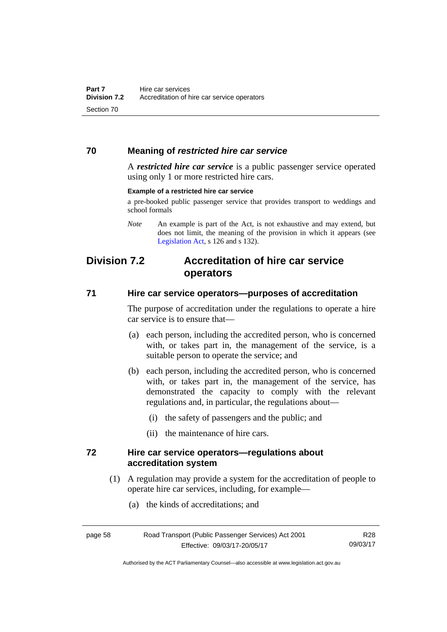# **70 Meaning of** *restricted hire car service*

A *restricted hire car service* is a public passenger service operated using only 1 or more restricted hire cars.

#### **Example of a restricted hire car service**

a pre-booked public passenger service that provides transport to weddings and school formals

# **Division 7.2 Accreditation of hire car service operators**

### **71 Hire car service operators—purposes of accreditation**

The purpose of accreditation under the regulations to operate a hire car service is to ensure that—

- (a) each person, including the accredited person, who is concerned with, or takes part in, the management of the service, is a suitable person to operate the service; and
- (b) each person, including the accredited person, who is concerned with, or takes part in, the management of the service, has demonstrated the capacity to comply with the relevant regulations and, in particular, the regulations about—
	- (i) the safety of passengers and the public; and
	- (ii) the maintenance of hire cars.

### **72 Hire car service operators—regulations about accreditation system**

- (1) A regulation may provide a system for the accreditation of people to operate hire car services, including, for example—
	- (a) the kinds of accreditations; and

| page 58 | <b>Roa</b> |
|---------|------------|
|         |            |

*Note* An example is part of the Act, is not exhaustive and may extend, but does not limit, the meaning of the provision in which it appears (see [Legislation Act,](http://www.legislation.act.gov.au/a/2001-14) s 126 and s 132).

Authorised by the ACT Parliamentary Counsel—also accessible at www.legislation.act.gov.au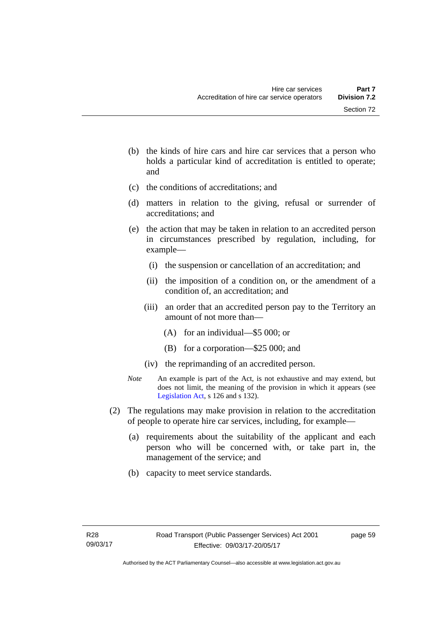- (b) the kinds of hire cars and hire car services that a person who holds a particular kind of accreditation is entitled to operate; and
- (c) the conditions of accreditations; and
- (d) matters in relation to the giving, refusal or surrender of accreditations; and
- (e) the action that may be taken in relation to an accredited person in circumstances prescribed by regulation, including, for example—
	- (i) the suspension or cancellation of an accreditation; and
	- (ii) the imposition of a condition on, or the amendment of a condition of, an accreditation; and
	- (iii) an order that an accredited person pay to the Territory an amount of not more than—
		- (A) for an individual—\$5 000; or
		- (B) for a corporation—\$25 000; and
	- (iv) the reprimanding of an accredited person.
- *Note* An example is part of the Act, is not exhaustive and may extend, but does not limit, the meaning of the provision in which it appears (see [Legislation Act,](http://www.legislation.act.gov.au/a/2001-14) s 126 and s 132).
- (2) The regulations may make provision in relation to the accreditation of people to operate hire car services, including, for example—
	- (a) requirements about the suitability of the applicant and each person who will be concerned with, or take part in, the management of the service; and
	- (b) capacity to meet service standards.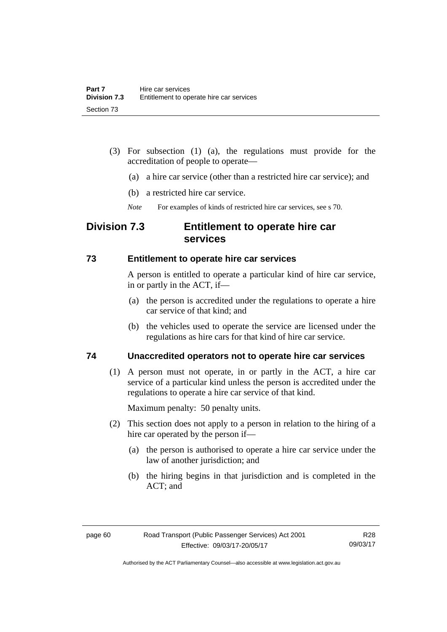- (3) For subsection (1) (a), the regulations must provide for the accreditation of people to operate—
	- (a) a hire car service (other than a restricted hire car service); and
	- (b) a restricted hire car service.
	- *Note* For examples of kinds of restricted hire car services, see s 70.

# **Division 7.3 Entitlement to operate hire car services**

### **73 Entitlement to operate hire car services**

A person is entitled to operate a particular kind of hire car service, in or partly in the ACT, if—

- (a) the person is accredited under the regulations to operate a hire car service of that kind; and
- (b) the vehicles used to operate the service are licensed under the regulations as hire cars for that kind of hire car service.

# **74 Unaccredited operators not to operate hire car services**

(1) A person must not operate, in or partly in the ACT, a hire car service of a particular kind unless the person is accredited under the regulations to operate a hire car service of that kind.

Maximum penalty: 50 penalty units.

- (2) This section does not apply to a person in relation to the hiring of a hire car operated by the person if—
	- (a) the person is authorised to operate a hire car service under the law of another jurisdiction; and
	- (b) the hiring begins in that jurisdiction and is completed in the ACT; and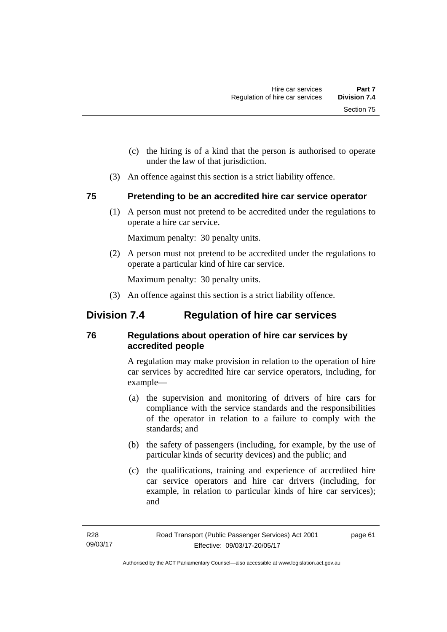- (c) the hiring is of a kind that the person is authorised to operate under the law of that jurisdiction.
- (3) An offence against this section is a strict liability offence.

# **75 Pretending to be an accredited hire car service operator**

(1) A person must not pretend to be accredited under the regulations to operate a hire car service.

Maximum penalty: 30 penalty units.

 (2) A person must not pretend to be accredited under the regulations to operate a particular kind of hire car service.

Maximum penalty: 30 penalty units.

(3) An offence against this section is a strict liability offence.

# **Division 7.4 Regulation of hire car services**

# **76 Regulations about operation of hire car services by accredited people**

A regulation may make provision in relation to the operation of hire car services by accredited hire car service operators, including, for example—

- (a) the supervision and monitoring of drivers of hire cars for compliance with the service standards and the responsibilities of the operator in relation to a failure to comply with the standards; and
- (b) the safety of passengers (including, for example, by the use of particular kinds of security devices) and the public; and
- (c) the qualifications, training and experience of accredited hire car service operators and hire car drivers (including, for example, in relation to particular kinds of hire car services); and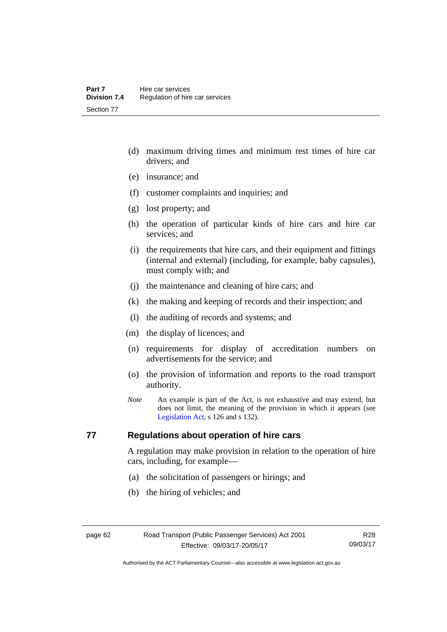- (d) maximum driving times and minimum rest times of hire car drivers; and
- (e) insurance; and
- (f) customer complaints and inquiries; and
- (g) lost property; and
- (h) the operation of particular kinds of hire cars and hire car services; and
- (i) the requirements that hire cars, and their equipment and fittings (internal and external) (including, for example, baby capsules), must comply with; and
- (j) the maintenance and cleaning of hire cars; and
- (k) the making and keeping of records and their inspection; and
- (l) the auditing of records and systems; and
- (m) the display of licences; and
- (n) requirements for display of accreditation numbers on advertisements for the service; and
- (o) the provision of information and reports to the road transport authority.
- *Note* An example is part of the Act, is not exhaustive and may extend, but does not limit, the meaning of the provision in which it appears (see [Legislation Act,](http://www.legislation.act.gov.au/a/2001-14) s 126 and s 132).

# **77 Regulations about operation of hire cars**

A regulation may make provision in relation to the operation of hire cars, including, for example—

- (a) the solicitation of passengers or hirings; and
- (b) the hiring of vehicles; and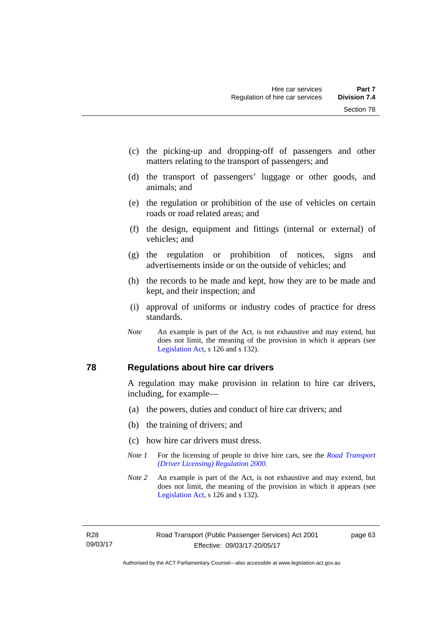- (c) the picking-up and dropping-off of passengers and other matters relating to the transport of passengers; and
- (d) the transport of passengers' luggage or other goods, and animals; and
- (e) the regulation or prohibition of the use of vehicles on certain roads or road related areas; and
- (f) the design, equipment and fittings (internal or external) of vehicles; and
- (g) the regulation or prohibition of notices, signs and advertisements inside or on the outside of vehicles; and
- (h) the records to be made and kept, how they are to be made and kept, and their inspection; and
- (i) approval of uniforms or industry codes of practice for dress standards.
- *Note* An example is part of the Act, is not exhaustive and may extend, but does not limit, the meaning of the provision in which it appears (see [Legislation Act,](http://www.legislation.act.gov.au/a/2001-14) s 126 and s 132).

#### **78 Regulations about hire car drivers**

A regulation may make provision in relation to hire car drivers, including, for example—

- (a) the powers, duties and conduct of hire car drivers; and
- (b) the training of drivers; and
- (c) how hire car drivers must dress.
- *Note 1* For the licensing of people to drive hire cars, see the *Road Transport [\(Driver Licensing\) Regulation 2000](http://www.legislation.act.gov.au/sl/2000-14)*.
- *Note 2* An example is part of the Act, is not exhaustive and may extend, but does not limit, the meaning of the provision in which it appears (see [Legislation Act,](http://www.legislation.act.gov.au/a/2001-14) s 126 and s 132).

R28 09/03/17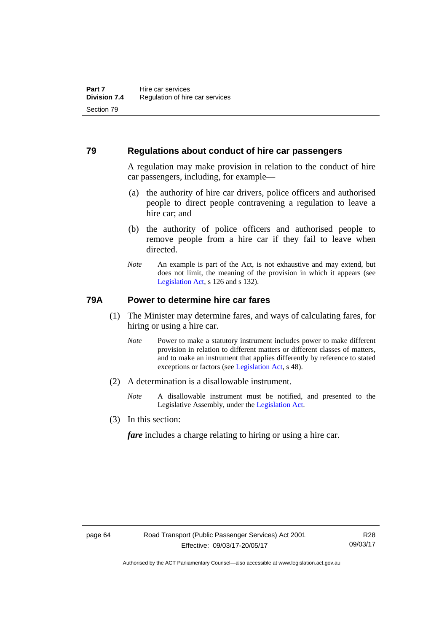#### **79 Regulations about conduct of hire car passengers**

A regulation may make provision in relation to the conduct of hire car passengers, including, for example—

- (a) the authority of hire car drivers, police officers and authorised people to direct people contravening a regulation to leave a hire car; and
- (b) the authority of police officers and authorised people to remove people from a hire car if they fail to leave when directed.
- *Note* An example is part of the Act, is not exhaustive and may extend, but does not limit, the meaning of the provision in which it appears (see [Legislation Act,](http://www.legislation.act.gov.au/a/2001-14) s 126 and s 132).

### **79A Power to determine hire car fares**

- (1) The Minister may determine fares, and ways of calculating fares, for hiring or using a hire car.
	- *Note* Power to make a statutory instrument includes power to make different provision in relation to different matters or different classes of matters, and to make an instrument that applies differently by reference to stated exceptions or factors (see [Legislation Act](http://www.legislation.act.gov.au/a/2001-14), s 48).
- (2) A determination is a disallowable instrument.
	- *Note* A disallowable instrument must be notified, and presented to the Legislative Assembly, under the [Legislation Act.](http://www.legislation.act.gov.au/a/2001-14)
- (3) In this section:

*fare* includes a charge relating to hiring or using a hire car.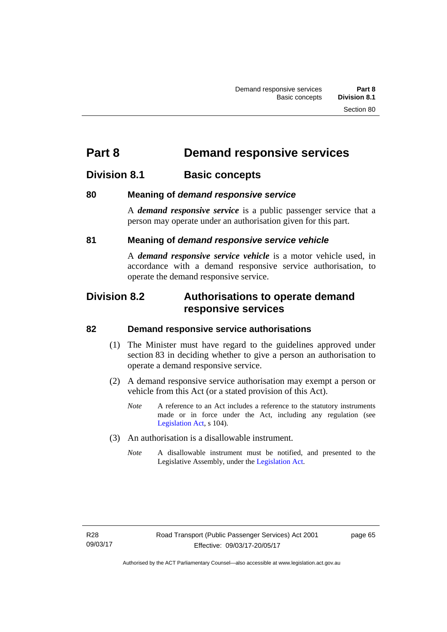# **Part 8 Demand responsive services**

## **Division 8.1 Basic concepts**

### **80 Meaning of** *demand responsive service*

A *demand responsive service* is a public passenger service that a person may operate under an authorisation given for this part.

### **81 Meaning of** *demand responsive service vehicle*

A *demand responsive service vehicle* is a motor vehicle used, in accordance with a demand responsive service authorisation, to operate the demand responsive service.

## **Division 8.2 Authorisations to operate demand responsive services**

#### **82 Demand responsive service authorisations**

- (1) The Minister must have regard to the guidelines approved under section 83 in deciding whether to give a person an authorisation to operate a demand responsive service.
- (2) A demand responsive service authorisation may exempt a person or vehicle from this Act (or a stated provision of this Act).
	- *Note* A reference to an Act includes a reference to the statutory instruments made or in force under the Act, including any regulation (see [Legislation Act,](http://www.legislation.act.gov.au/a/2001-14) s 104).
- (3) An authorisation is a disallowable instrument.
	- *Note* A disallowable instrument must be notified, and presented to the Legislative Assembly, under the [Legislation Act.](http://www.legislation.act.gov.au/a/2001-14)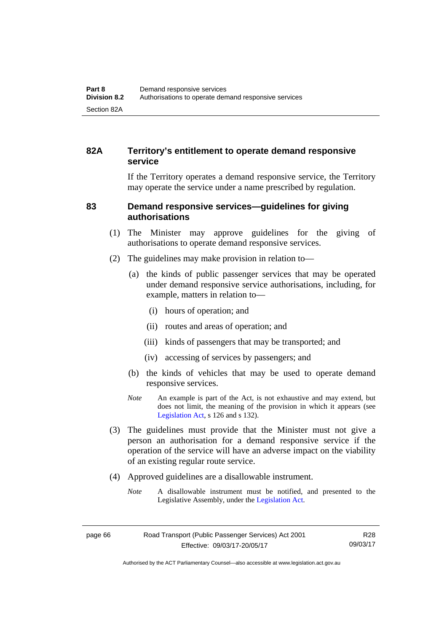## **82A Territory's entitlement to operate demand responsive service**

If the Territory operates a demand responsive service, the Territory may operate the service under a name prescribed by regulation.

#### **83 Demand responsive services—guidelines for giving authorisations**

- (1) The Minister may approve guidelines for the giving of authorisations to operate demand responsive services.
- (2) The guidelines may make provision in relation to—
	- (a) the kinds of public passenger services that may be operated under demand responsive service authorisations, including, for example, matters in relation to—
		- (i) hours of operation; and
		- (ii) routes and areas of operation; and
		- (iii) kinds of passengers that may be transported; and
		- (iv) accessing of services by passengers; and
	- (b) the kinds of vehicles that may be used to operate demand responsive services.
	- *Note* An example is part of the Act, is not exhaustive and may extend, but does not limit, the meaning of the provision in which it appears (see [Legislation Act,](http://www.legislation.act.gov.au/a/2001-14) s 126 and s 132).
- (3) The guidelines must provide that the Minister must not give a person an authorisation for a demand responsive service if the operation of the service will have an adverse impact on the viability of an existing regular route service.
- (4) Approved guidelines are a disallowable instrument.
	- *Note* A disallowable instrument must be notified, and presented to the Legislative Assembly, under the [Legislation Act.](http://www.legislation.act.gov.au/a/2001-14)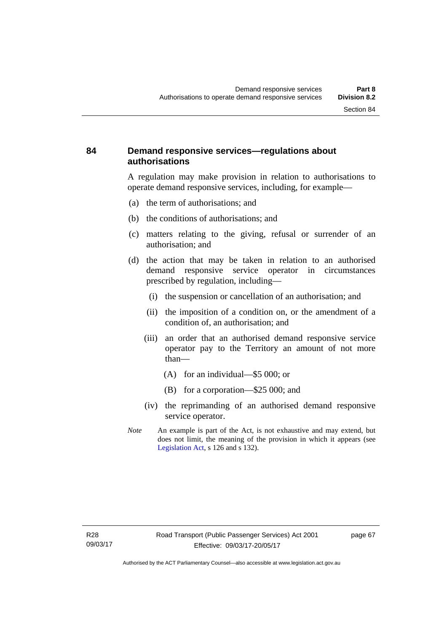#### **84 Demand responsive services—regulations about authorisations**

A regulation may make provision in relation to authorisations to operate demand responsive services, including, for example—

- (a) the term of authorisations; and
- (b) the conditions of authorisations; and
- (c) matters relating to the giving, refusal or surrender of an authorisation; and
- (d) the action that may be taken in relation to an authorised demand responsive service operator in circumstances prescribed by regulation, including—
	- (i) the suspension or cancellation of an authorisation; and
	- (ii) the imposition of a condition on, or the amendment of a condition of, an authorisation; and
	- (iii) an order that an authorised demand responsive service operator pay to the Territory an amount of not more than—
		- (A) for an individual—\$5 000; or
		- (B) for a corporation—\$25 000; and
	- (iv) the reprimanding of an authorised demand responsive service operator.
- *Note* An example is part of the Act, is not exhaustive and may extend, but does not limit, the meaning of the provision in which it appears (see [Legislation Act,](http://www.legislation.act.gov.au/a/2001-14) s 126 and s 132).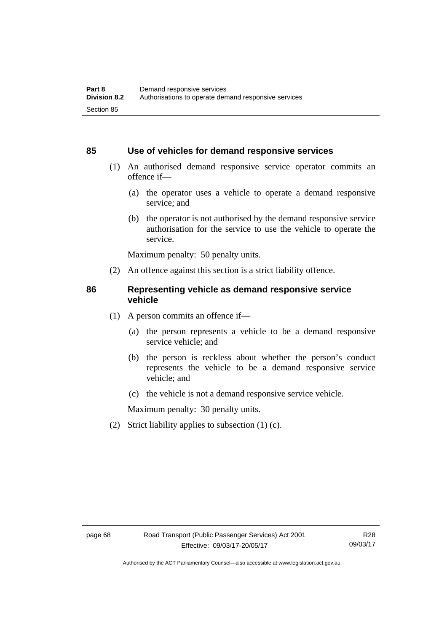#### **85 Use of vehicles for demand responsive services**

- (1) An authorised demand responsive service operator commits an offence if—
	- (a) the operator uses a vehicle to operate a demand responsive service; and
	- (b) the operator is not authorised by the demand responsive service authorisation for the service to use the vehicle to operate the service.

Maximum penalty: 50 penalty units.

(2) An offence against this section is a strict liability offence.

#### **86 Representing vehicle as demand responsive service vehicle**

- (1) A person commits an offence if—
	- (a) the person represents a vehicle to be a demand responsive service vehicle; and
	- (b) the person is reckless about whether the person's conduct represents the vehicle to be a demand responsive service vehicle; and
	- (c) the vehicle is not a demand responsive service vehicle.

Maximum penalty: 30 penalty units.

(2) Strict liability applies to subsection (1) (c).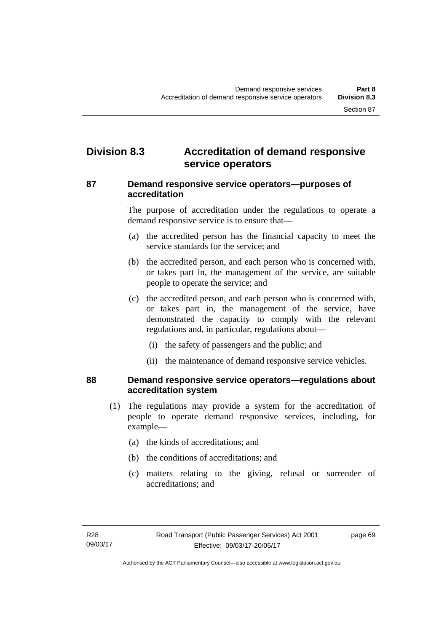# **Division 8.3 Accreditation of demand responsive service operators**

#### **87 Demand responsive service operators—purposes of accreditation**

The purpose of accreditation under the regulations to operate a demand responsive service is to ensure that—

- (a) the accredited person has the financial capacity to meet the service standards for the service; and
- (b) the accredited person, and each person who is concerned with, or takes part in, the management of the service, are suitable people to operate the service; and
- (c) the accredited person, and each person who is concerned with, or takes part in, the management of the service, have demonstrated the capacity to comply with the relevant regulations and, in particular, regulations about—
	- (i) the safety of passengers and the public; and
	- (ii) the maintenance of demand responsive service vehicles.

#### **88 Demand responsive service operators—regulations about accreditation system**

- (1) The regulations may provide a system for the accreditation of people to operate demand responsive services, including, for example—
	- (a) the kinds of accreditations; and
	- (b) the conditions of accreditations; and
	- (c) matters relating to the giving, refusal or surrender of accreditations; and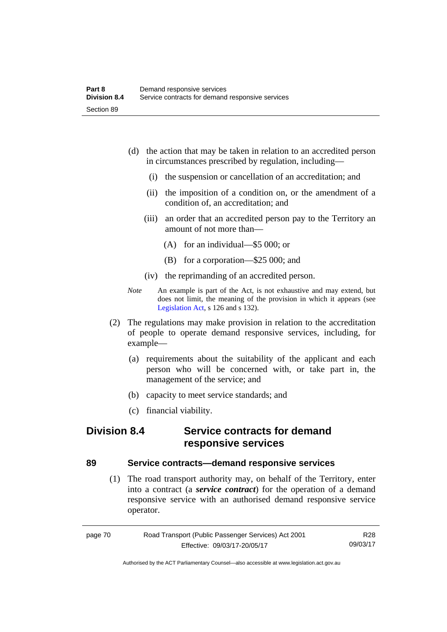- (d) the action that may be taken in relation to an accredited person in circumstances prescribed by regulation, including—
	- (i) the suspension or cancellation of an accreditation; and
	- (ii) the imposition of a condition on, or the amendment of a condition of, an accreditation; and
	- (iii) an order that an accredited person pay to the Territory an amount of not more than—
		- (A) for an individual—\$5 000; or
		- (B) for a corporation—\$25 000; and
	- (iv) the reprimanding of an accredited person.
- *Note* An example is part of the Act, is not exhaustive and may extend, but does not limit, the meaning of the provision in which it appears (see [Legislation Act,](http://www.legislation.act.gov.au/a/2001-14) s 126 and s 132).
- (2) The regulations may make provision in relation to the accreditation of people to operate demand responsive services, including, for example—
	- (a) requirements about the suitability of the applicant and each person who will be concerned with, or take part in, the management of the service; and
	- (b) capacity to meet service standards; and
	- (c) financial viability.

## **Division 8.4 Service contracts for demand responsive services**

#### **89 Service contracts—demand responsive services**

 (1) The road transport authority may, on behalf of the Territory, enter into a contract (a *service contract*) for the operation of a demand responsive service with an authorised demand responsive service operator.

| page 70 | Road Transport (Public Passenger Services) Act 2001 | R28      |
|---------|-----------------------------------------------------|----------|
|         | Effective: 09/03/17-20/05/17                        | 09/03/17 |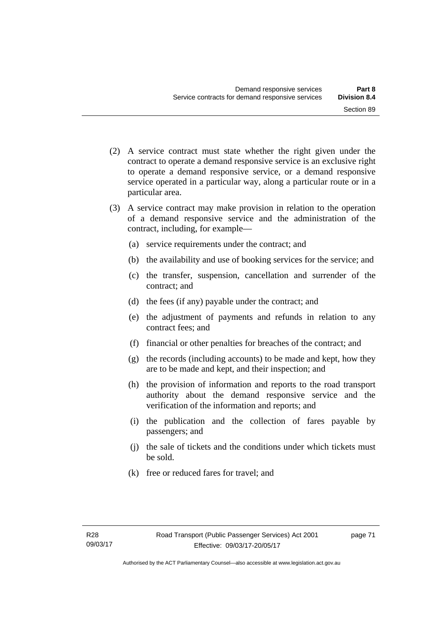- (2) A service contract must state whether the right given under the contract to operate a demand responsive service is an exclusive right to operate a demand responsive service, or a demand responsive service operated in a particular way, along a particular route or in a particular area.
- (3) A service contract may make provision in relation to the operation of a demand responsive service and the administration of the contract, including, for example—
	- (a) service requirements under the contract; and
	- (b) the availability and use of booking services for the service; and
	- (c) the transfer, suspension, cancellation and surrender of the contract; and
	- (d) the fees (if any) payable under the contract; and
	- (e) the adjustment of payments and refunds in relation to any contract fees; and
	- (f) financial or other penalties for breaches of the contract; and
	- (g) the records (including accounts) to be made and kept, how they are to be made and kept, and their inspection; and
	- (h) the provision of information and reports to the road transport authority about the demand responsive service and the verification of the information and reports; and
	- (i) the publication and the collection of fares payable by passengers; and
	- (j) the sale of tickets and the conditions under which tickets must be sold.
	- (k) free or reduced fares for travel; and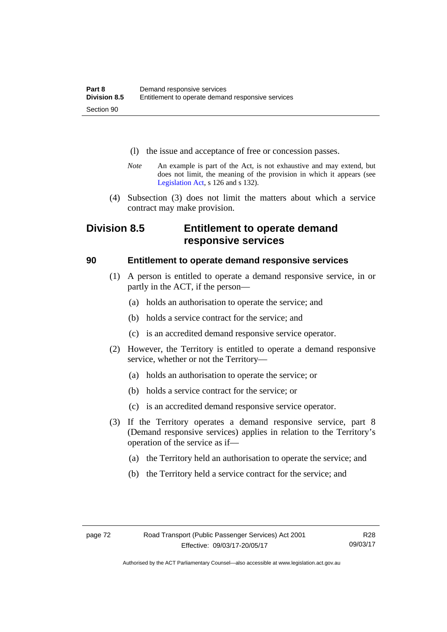- (l) the issue and acceptance of free or concession passes.
- *Note* An example is part of the Act, is not exhaustive and may extend, but does not limit, the meaning of the provision in which it appears (see [Legislation Act,](http://www.legislation.act.gov.au/a/2001-14) s 126 and s 132).
- (4) Subsection (3) does not limit the matters about which a service contract may make provision.

# **Division 8.5 Entitlement to operate demand responsive services**

#### **90 Entitlement to operate demand responsive services**

- (1) A person is entitled to operate a demand responsive service, in or partly in the ACT, if the person—
	- (a) holds an authorisation to operate the service; and
	- (b) holds a service contract for the service; and
	- (c) is an accredited demand responsive service operator.
- (2) However, the Territory is entitled to operate a demand responsive service, whether or not the Territory—
	- (a) holds an authorisation to operate the service; or
	- (b) holds a service contract for the service; or
	- (c) is an accredited demand responsive service operator.
- (3) If the Territory operates a demand responsive service, part 8 (Demand responsive services) applies in relation to the Territory's operation of the service as if—
	- (a) the Territory held an authorisation to operate the service; and
	- (b) the Territory held a service contract for the service; and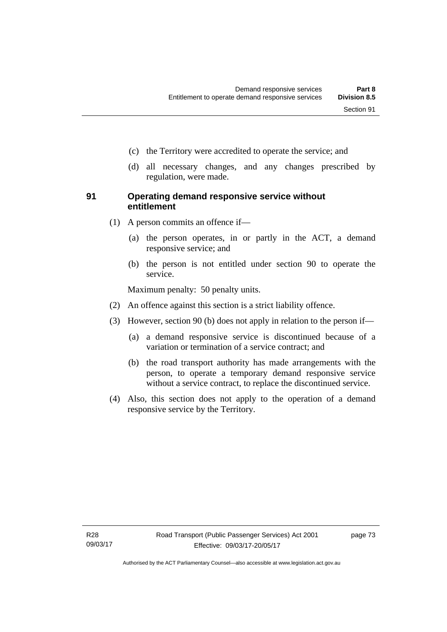- (c) the Territory were accredited to operate the service; and
- (d) all necessary changes, and any changes prescribed by regulation, were made.

#### **91 Operating demand responsive service without entitlement**

- (1) A person commits an offence if—
	- (a) the person operates, in or partly in the ACT, a demand responsive service; and
	- (b) the person is not entitled under section 90 to operate the service.

Maximum penalty: 50 penalty units.

- (2) An offence against this section is a strict liability offence.
- (3) However, section 90 (b) does not apply in relation to the person if—
	- (a) a demand responsive service is discontinued because of a variation or termination of a service contract; and
	- (b) the road transport authority has made arrangements with the person, to operate a temporary demand responsive service without a service contract, to replace the discontinued service.
- (4) Also, this section does not apply to the operation of a demand responsive service by the Territory.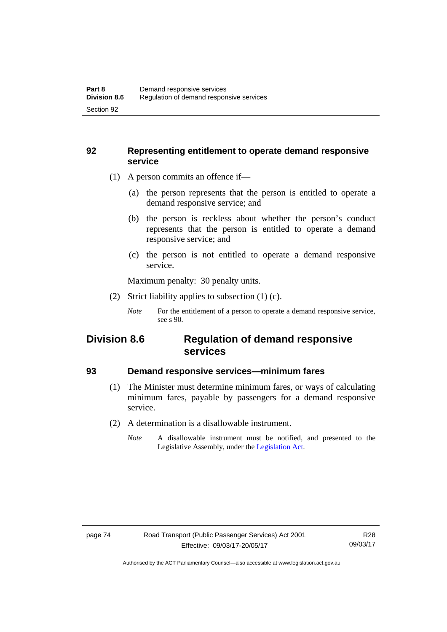#### **92 Representing entitlement to operate demand responsive service**

- (1) A person commits an offence if—
	- (a) the person represents that the person is entitled to operate a demand responsive service; and
	- (b) the person is reckless about whether the person's conduct represents that the person is entitled to operate a demand responsive service; and
	- (c) the person is not entitled to operate a demand responsive service.

Maximum penalty: 30 penalty units.

(2) Strict liability applies to subsection (1) (c).

## **Division 8.6 Regulation of demand responsive services**

#### **93 Demand responsive services—minimum fares**

- (1) The Minister must determine minimum fares, or ways of calculating minimum fares, payable by passengers for a demand responsive service.
- (2) A determination is a disallowable instrument.
	- *Note* A disallowable instrument must be notified, and presented to the Legislative Assembly, under the [Legislation Act.](http://www.legislation.act.gov.au/a/2001-14)

*Note* For the entitlement of a person to operate a demand responsive service, see s 90.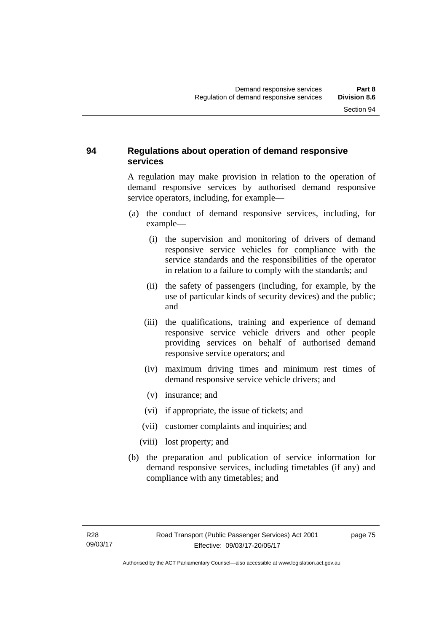### **94 Regulations about operation of demand responsive services**

A regulation may make provision in relation to the operation of demand responsive services by authorised demand responsive service operators, including, for example—

- (a) the conduct of demand responsive services, including, for example—
	- (i) the supervision and monitoring of drivers of demand responsive service vehicles for compliance with the service standards and the responsibilities of the operator in relation to a failure to comply with the standards; and
	- (ii) the safety of passengers (including, for example, by the use of particular kinds of security devices) and the public; and
	- (iii) the qualifications, training and experience of demand responsive service vehicle drivers and other people providing services on behalf of authorised demand responsive service operators; and
	- (iv) maximum driving times and minimum rest times of demand responsive service vehicle drivers; and
	- (v) insurance; and
	- (vi) if appropriate, the issue of tickets; and
	- (vii) customer complaints and inquiries; and
	- (viii) lost property; and
- (b) the preparation and publication of service information for demand responsive services, including timetables (if any) and compliance with any timetables; and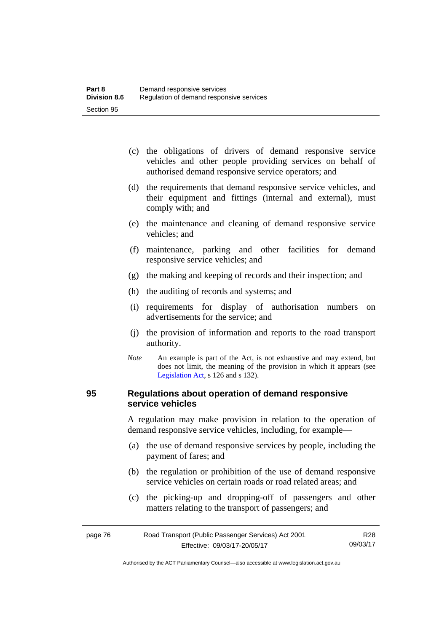- (c) the obligations of drivers of demand responsive service vehicles and other people providing services on behalf of authorised demand responsive service operators; and
- (d) the requirements that demand responsive service vehicles, and their equipment and fittings (internal and external), must comply with; and
- (e) the maintenance and cleaning of demand responsive service vehicles; and
- (f) maintenance, parking and other facilities for demand responsive service vehicles; and
- (g) the making and keeping of records and their inspection; and
- (h) the auditing of records and systems; and
- (i) requirements for display of authorisation numbers on advertisements for the service; and
- (j) the provision of information and reports to the road transport authority.
- *Note* An example is part of the Act, is not exhaustive and may extend, but does not limit, the meaning of the provision in which it appears (see [Legislation Act,](http://www.legislation.act.gov.au/a/2001-14) s 126 and s 132).

#### **95 Regulations about operation of demand responsive service vehicles**

A regulation may make provision in relation to the operation of demand responsive service vehicles, including, for example—

- (a) the use of demand responsive services by people, including the payment of fares; and
- (b) the regulation or prohibition of the use of demand responsive service vehicles on certain roads or road related areas; and
- (c) the picking-up and dropping-off of passengers and other matters relating to the transport of passengers; and

| page 76 | Road Transport (Public Passenger Services) Act 2001 | R28      |
|---------|-----------------------------------------------------|----------|
|         | Effective: 09/03/17-20/05/17                        | 09/03/17 |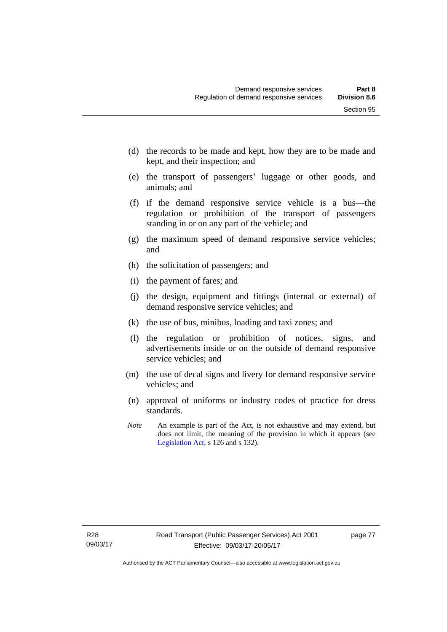- (d) the records to be made and kept, how they are to be made and kept, and their inspection; and
- (e) the transport of passengers' luggage or other goods, and animals; and
- (f) if the demand responsive service vehicle is a bus—the regulation or prohibition of the transport of passengers standing in or on any part of the vehicle; and
- (g) the maximum speed of demand responsive service vehicles; and
- (h) the solicitation of passengers; and
- (i) the payment of fares; and
- (j) the design, equipment and fittings (internal or external) of demand responsive service vehicles; and
- (k) the use of bus, minibus, loading and taxi zones; and
- (l) the regulation or prohibition of notices, signs, and advertisements inside or on the outside of demand responsive service vehicles; and
- (m) the use of decal signs and livery for demand responsive service vehicles; and
- (n) approval of uniforms or industry codes of practice for dress standards.
- *Note* An example is part of the Act, is not exhaustive and may extend, but does not limit, the meaning of the provision in which it appears (see [Legislation Act,](http://www.legislation.act.gov.au/a/2001-14) s 126 and s 132).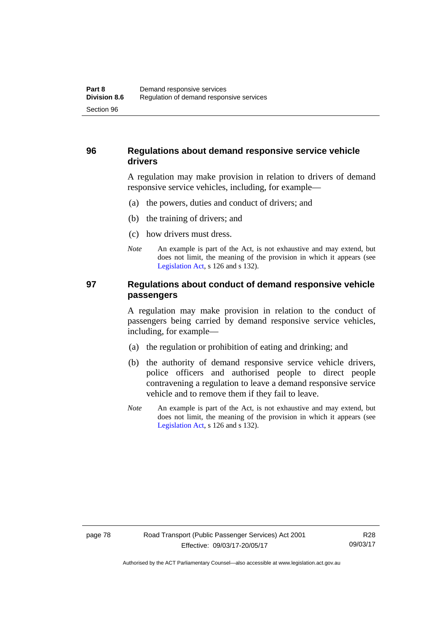### **96 Regulations about demand responsive service vehicle drivers**

A regulation may make provision in relation to drivers of demand responsive service vehicles, including, for example—

- (a) the powers, duties and conduct of drivers; and
- (b) the training of drivers; and
- (c) how drivers must dress.
- *Note* An example is part of the Act, is not exhaustive and may extend, but does not limit, the meaning of the provision in which it appears (see [Legislation Act,](http://www.legislation.act.gov.au/a/2001-14) s 126 and s 132).

#### **97 Regulations about conduct of demand responsive vehicle passengers**

A regulation may make provision in relation to the conduct of passengers being carried by demand responsive service vehicles, including, for example—

- (a) the regulation or prohibition of eating and drinking; and
- (b) the authority of demand responsive service vehicle drivers, police officers and authorised people to direct people contravening a regulation to leave a demand responsive service vehicle and to remove them if they fail to leave.
- *Note* An example is part of the Act, is not exhaustive and may extend, but does not limit, the meaning of the provision in which it appears (see [Legislation Act,](http://www.legislation.act.gov.au/a/2001-14) s 126 and s 132).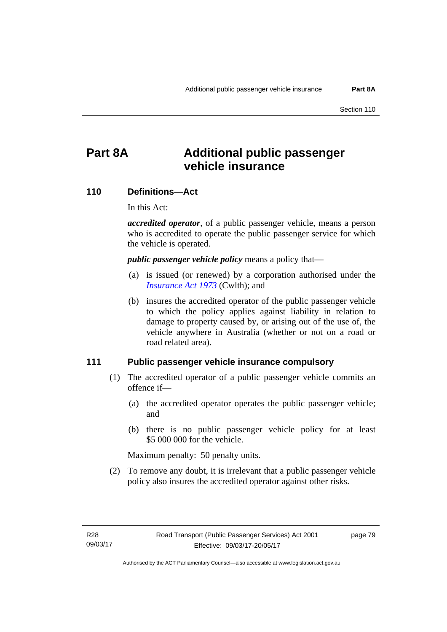# **Part 8A Additional public passenger vehicle insurance**

#### **110 Definitions—Act**

In this Act:

*accredited operator*, of a public passenger vehicle, means a person who is accredited to operate the public passenger service for which the vehicle is operated.

*public passenger vehicle policy* means a policy that—

- (a) is issued (or renewed) by a corporation authorised under the *[Insurance Act 1973](http://www.comlaw.gov.au/Details/C2013C00019)* (Cwlth); and
- (b) insures the accredited operator of the public passenger vehicle to which the policy applies against liability in relation to damage to property caused by, or arising out of the use of, the vehicle anywhere in Australia (whether or not on a road or road related area).

#### **111 Public passenger vehicle insurance compulsory**

- (1) The accredited operator of a public passenger vehicle commits an offence if—
	- (a) the accredited operator operates the public passenger vehicle; and
	- (b) there is no public passenger vehicle policy for at least \$5 000 000 for the vehicle.

Maximum penalty: 50 penalty units.

 (2) To remove any doubt, it is irrelevant that a public passenger vehicle policy also insures the accredited operator against other risks.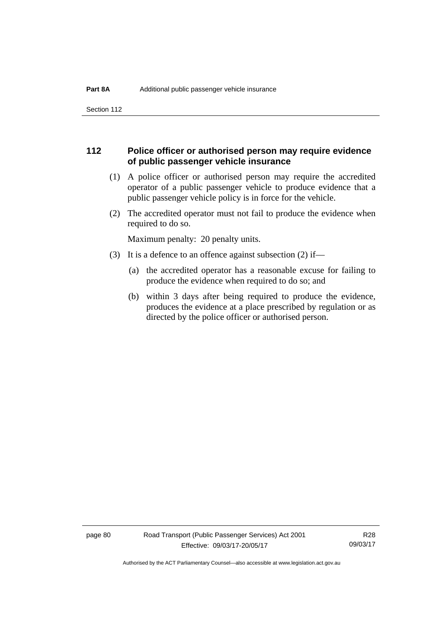Section 112

#### **112 Police officer or authorised person may require evidence of public passenger vehicle insurance**

- (1) A police officer or authorised person may require the accredited operator of a public passenger vehicle to produce evidence that a public passenger vehicle policy is in force for the vehicle.
- (2) The accredited operator must not fail to produce the evidence when required to do so.

Maximum penalty: 20 penalty units.

- (3) It is a defence to an offence against subsection (2) if—
	- (a) the accredited operator has a reasonable excuse for failing to produce the evidence when required to do so; and
	- (b) within 3 days after being required to produce the evidence, produces the evidence at a place prescribed by regulation or as directed by the police officer or authorised person.

page 80 Road Transport (Public Passenger Services) Act 2001 Effective: 09/03/17-20/05/17

R28 09/03/17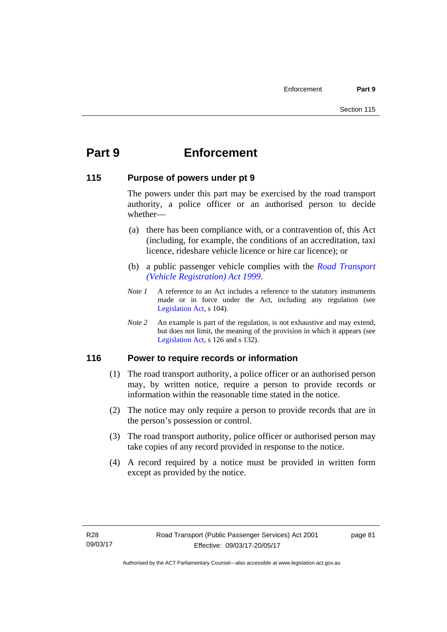# **Part 9 Enforcement**

#### **115 Purpose of powers under pt 9**

The powers under this part may be exercised by the road transport authority, a police officer or an authorised person to decide whether—

- (a) there has been compliance with, or a contravention of, this Act (including, for example, the conditions of an accreditation, taxi licence, rideshare vehicle licence or hire car licence); or
- (b) a public passenger vehicle complies with the *[Road Transport](http://www.legislation.act.gov.au/a/1999-81)  [\(Vehicle Registration\) Act 1999](http://www.legislation.act.gov.au/a/1999-81)*.
- *Note 1* A reference to an Act includes a reference to the statutory instruments made or in force under the Act, including any regulation (see [Legislation Act,](http://www.legislation.act.gov.au/a/2001-14) s 104).
- *Note 2* An example is part of the regulation, is not exhaustive and may extend, but does not limit, the meaning of the provision in which it appears (see [Legislation Act,](http://www.legislation.act.gov.au/a/2001-14) s 126 and s 132).

### **116 Power to require records or information**

- (1) The road transport authority, a police officer or an authorised person may, by written notice, require a person to provide records or information within the reasonable time stated in the notice.
- (2) The notice may only require a person to provide records that are in the person's possession or control.
- (3) The road transport authority, police officer or authorised person may take copies of any record provided in response to the notice.
- (4) A record required by a notice must be provided in written form except as provided by the notice.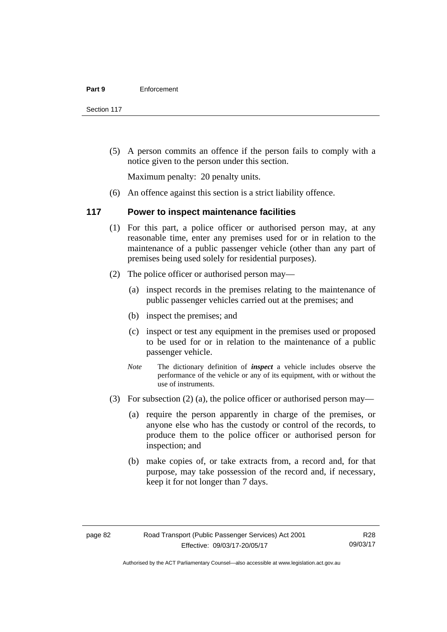Section 117

 (5) A person commits an offence if the person fails to comply with a notice given to the person under this section.

Maximum penalty: 20 penalty units.

(6) An offence against this section is a strict liability offence.

#### **117 Power to inspect maintenance facilities**

- (1) For this part, a police officer or authorised person may, at any reasonable time, enter any premises used for or in relation to the maintenance of a public passenger vehicle (other than any part of premises being used solely for residential purposes).
- (2) The police officer or authorised person may—
	- (a) inspect records in the premises relating to the maintenance of public passenger vehicles carried out at the premises; and
	- (b) inspect the premises; and
	- (c) inspect or test any equipment in the premises used or proposed to be used for or in relation to the maintenance of a public passenger vehicle.
	- *Note* The dictionary definition of *inspect* a vehicle includes observe the performance of the vehicle or any of its equipment, with or without the use of instruments.
- (3) For subsection (2) (a), the police officer or authorised person may—
	- (a) require the person apparently in charge of the premises, or anyone else who has the custody or control of the records, to produce them to the police officer or authorised person for inspection; and
	- (b) make copies of, or take extracts from, a record and, for that purpose, may take possession of the record and, if necessary, keep it for not longer than 7 days.

R28 09/03/17

Authorised by the ACT Parliamentary Counsel—also accessible at www.legislation.act.gov.au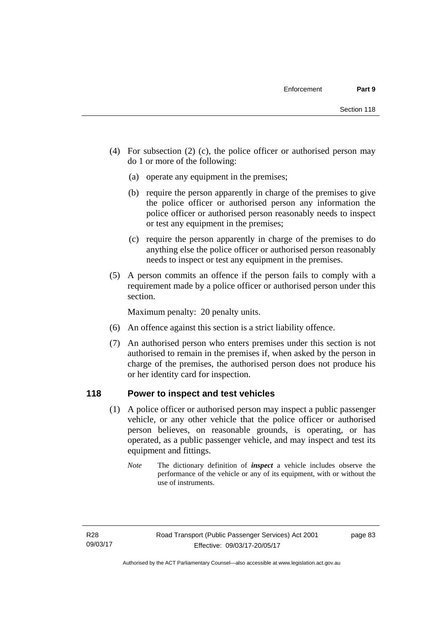- (4) For subsection (2) (c), the police officer or authorised person may do 1 or more of the following:
	- (a) operate any equipment in the premises;
	- (b) require the person apparently in charge of the premises to give the police officer or authorised person any information the police officer or authorised person reasonably needs to inspect or test any equipment in the premises;
	- (c) require the person apparently in charge of the premises to do anything else the police officer or authorised person reasonably needs to inspect or test any equipment in the premises.
- (5) A person commits an offence if the person fails to comply with a requirement made by a police officer or authorised person under this section.

Maximum penalty: 20 penalty units.

- (6) An offence against this section is a strict liability offence.
- (7) An authorised person who enters premises under this section is not authorised to remain in the premises if, when asked by the person in charge of the premises, the authorised person does not produce his or her identity card for inspection.

#### **118 Power to inspect and test vehicles**

- (1) A police officer or authorised person may inspect a public passenger vehicle, or any other vehicle that the police officer or authorised person believes, on reasonable grounds, is operating, or has operated, as a public passenger vehicle, and may inspect and test its equipment and fittings.
	- *Note* The dictionary definition of *inspect* a vehicle includes observe the performance of the vehicle or any of its equipment, with or without the use of instruments.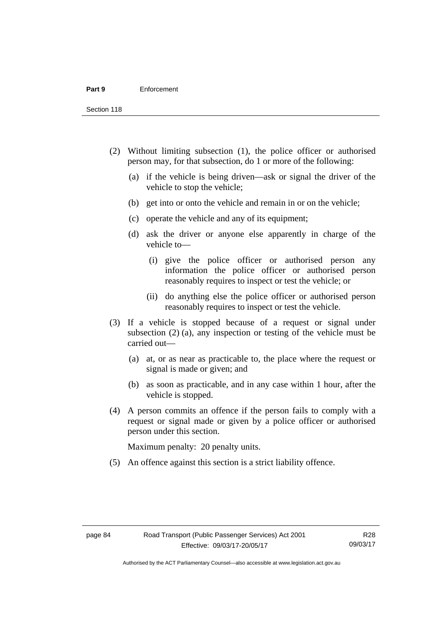Section 118

- (2) Without limiting subsection (1), the police officer or authorised person may, for that subsection, do 1 or more of the following:
	- (a) if the vehicle is being driven—ask or signal the driver of the vehicle to stop the vehicle;
	- (b) get into or onto the vehicle and remain in or on the vehicle;
	- (c) operate the vehicle and any of its equipment;
	- (d) ask the driver or anyone else apparently in charge of the vehicle to—
		- (i) give the police officer or authorised person any information the police officer or authorised person reasonably requires to inspect or test the vehicle; or
		- (ii) do anything else the police officer or authorised person reasonably requires to inspect or test the vehicle.
- (3) If a vehicle is stopped because of a request or signal under subsection (2) (a), any inspection or testing of the vehicle must be carried out—
	- (a) at, or as near as practicable to, the place where the request or signal is made or given; and
	- (b) as soon as practicable, and in any case within 1 hour, after the vehicle is stopped.
- (4) A person commits an offence if the person fails to comply with a request or signal made or given by a police officer or authorised person under this section.

Maximum penalty: 20 penalty units.

(5) An offence against this section is a strict liability offence.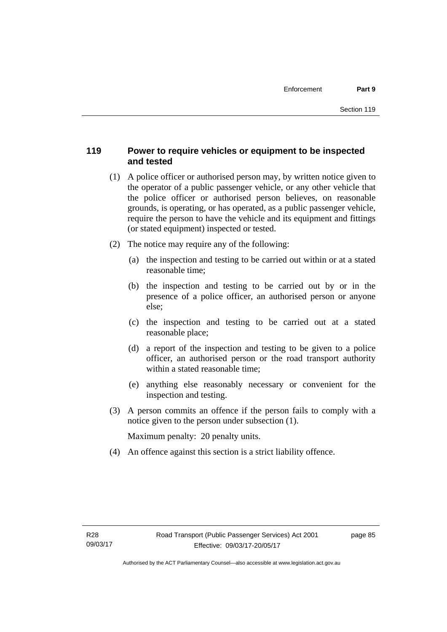## **119 Power to require vehicles or equipment to be inspected and tested**

- (1) A police officer or authorised person may, by written notice given to the operator of a public passenger vehicle, or any other vehicle that the police officer or authorised person believes, on reasonable grounds, is operating, or has operated, as a public passenger vehicle, require the person to have the vehicle and its equipment and fittings (or stated equipment) inspected or tested.
- (2) The notice may require any of the following:
	- (a) the inspection and testing to be carried out within or at a stated reasonable time;
	- (b) the inspection and testing to be carried out by or in the presence of a police officer, an authorised person or anyone else;
	- (c) the inspection and testing to be carried out at a stated reasonable place;
	- (d) a report of the inspection and testing to be given to a police officer, an authorised person or the road transport authority within a stated reasonable time;
	- (e) anything else reasonably necessary or convenient for the inspection and testing.
- (3) A person commits an offence if the person fails to comply with a notice given to the person under subsection (1).

Maximum penalty: 20 penalty units.

(4) An offence against this section is a strict liability offence.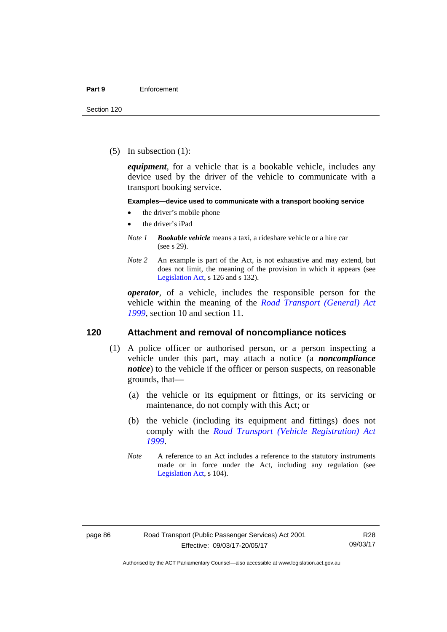(5) In subsection (1):

*equipment*, for a vehicle that is a bookable vehicle, includes any device used by the driver of the vehicle to communicate with a transport booking service.

#### **Examples—device used to communicate with a transport booking service**

- the driver's mobile phone
- the driver's iPad
- *Note 1 Bookable vehicle* means a taxi, a rideshare vehicle or a hire car (see s 29).
- *Note 2* An example is part of the Act, is not exhaustive and may extend, but does not limit, the meaning of the provision in which it appears (see [Legislation Act,](http://www.legislation.act.gov.au/a/2001-14) s 126 and s 132).

*operator*, of a vehicle, includes the responsible person for the vehicle within the meaning of the *[Road Transport \(General\) Act](http://www.legislation.act.gov.au/a/1999-77)  [1999](http://www.legislation.act.gov.au/a/1999-77)*, section 10 and section 11.

#### **120 Attachment and removal of noncompliance notices**

- (1) A police officer or authorised person, or a person inspecting a vehicle under this part, may attach a notice (a *noncompliance notice*) to the vehicle if the officer or person suspects, on reasonable grounds, that—
	- (a) the vehicle or its equipment or fittings, or its servicing or maintenance, do not comply with this Act; or
	- (b) the vehicle (including its equipment and fittings) does not comply with the *[Road Transport \(Vehicle Registration\) Act](http://www.legislation.act.gov.au/a/1999-81)  [1999](http://www.legislation.act.gov.au/a/1999-81)*.
	- *Note* A reference to an Act includes a reference to the statutory instruments made or in force under the Act, including any regulation (see [Legislation Act,](http://www.legislation.act.gov.au/a/2001-14) s 104).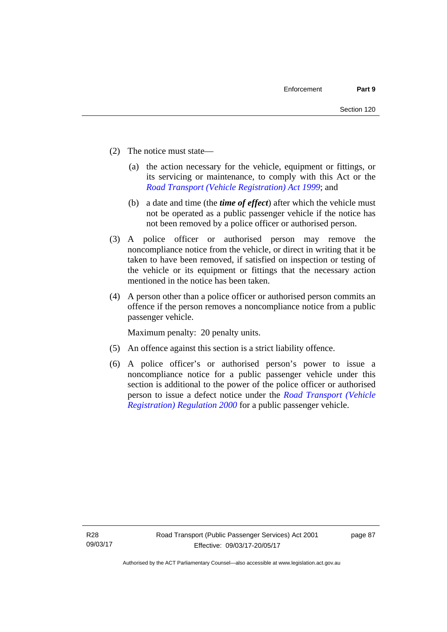- (2) The notice must state—
	- (a) the action necessary for the vehicle, equipment or fittings, or its servicing or maintenance, to comply with this Act or the *[Road Transport \(Vehicle Registration\) Act 1999](http://www.legislation.act.gov.au/a/1999-81)*; and
	- (b) a date and time (the *time of effect*) after which the vehicle must not be operated as a public passenger vehicle if the notice has not been removed by a police officer or authorised person.
- (3) A police officer or authorised person may remove the noncompliance notice from the vehicle, or direct in writing that it be taken to have been removed, if satisfied on inspection or testing of the vehicle or its equipment or fittings that the necessary action mentioned in the notice has been taken.
- (4) A person other than a police officer or authorised person commits an offence if the person removes a noncompliance notice from a public passenger vehicle.

Maximum penalty: 20 penalty units.

- (5) An offence against this section is a strict liability offence.
- (6) A police officer's or authorised person's power to issue a noncompliance notice for a public passenger vehicle under this section is additional to the power of the police officer or authorised person to issue a defect notice under the *[Road Transport \(Vehicle](http://www.legislation.act.gov.au/sl/2000-12)  [Registration\) Regulation 2000](http://www.legislation.act.gov.au/sl/2000-12)* for a public passenger vehicle.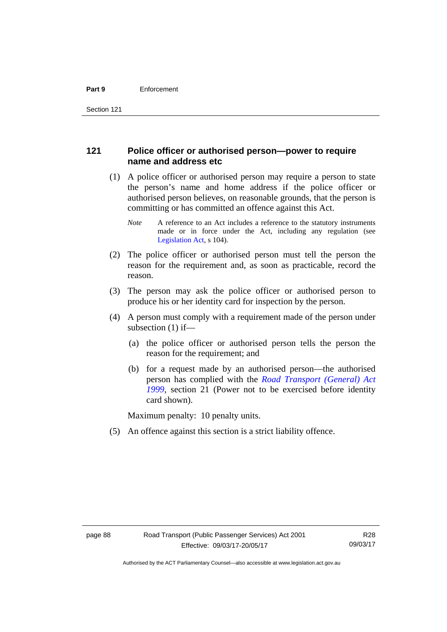#### **121 Police officer or authorised person—power to require name and address etc**

- (1) A police officer or authorised person may require a person to state the person's name and home address if the police officer or authorised person believes, on reasonable grounds, that the person is committing or has committed an offence against this Act.
	- *Note* A reference to an Act includes a reference to the statutory instruments made or in force under the Act, including any regulation (see [Legislation Act,](http://www.legislation.act.gov.au/a/2001-14) s 104).
- (2) The police officer or authorised person must tell the person the reason for the requirement and, as soon as practicable, record the reason.
- (3) The person may ask the police officer or authorised person to produce his or her identity card for inspection by the person.
- (4) A person must comply with a requirement made of the person under subsection (1) if—
	- (a) the police officer or authorised person tells the person the reason for the requirement; and
	- (b) for a request made by an authorised person—the authorised person has complied with the *[Road Transport \(General\) Act](http://www.legislation.act.gov.au/a/1999-77)  [1999](http://www.legislation.act.gov.au/a/1999-77)*, section 21 (Power not to be exercised before identity card shown).

Maximum penalty: 10 penalty units.

(5) An offence against this section is a strict liability offence.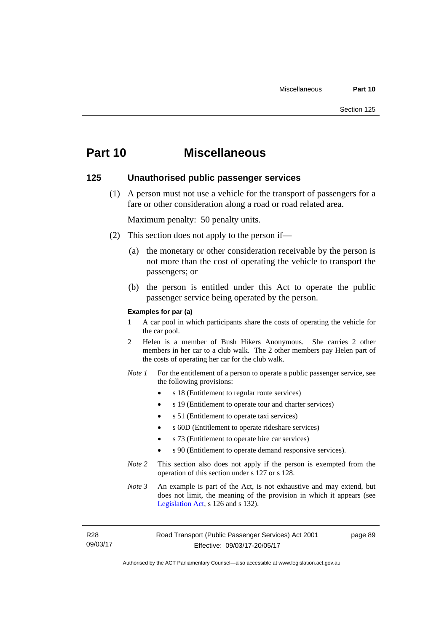# **Part 10 Miscellaneous**

#### **125 Unauthorised public passenger services**

 (1) A person must not use a vehicle for the transport of passengers for a fare or other consideration along a road or road related area.

Maximum penalty: 50 penalty units.

- (2) This section does not apply to the person if—
	- (a) the monetary or other consideration receivable by the person is not more than the cost of operating the vehicle to transport the passengers; or
	- (b) the person is entitled under this Act to operate the public passenger service being operated by the person.

#### **Examples for par (a)**

- 1 A car pool in which participants share the costs of operating the vehicle for the car pool.
- 2 Helen is a member of Bush Hikers Anonymous. She carries 2 other members in her car to a club walk. The 2 other members pay Helen part of the costs of operating her car for the club walk.
- *Note 1* For the entitlement of a person to operate a public passenger service, see the following provisions:
	- s 18 (Entitlement to regular route services)
	- s 19 (Entitlement to operate tour and charter services)
	- s 51 (Entitlement to operate taxi services)
	- s 60D (Entitlement to operate rideshare services)
	- s 73 (Entitlement to operate hire car services)
	- s 90 (Entitlement to operate demand responsive services).
- *Note 2* This section also does not apply if the person is exempted from the operation of this section under s 127 or s 128.
- *Note 3* An example is part of the Act, is not exhaustive and may extend, but does not limit, the meaning of the provision in which it appears (see [Legislation Act,](http://www.legislation.act.gov.au/a/2001-14) s 126 and s 132).

R28 09/03/17 page 89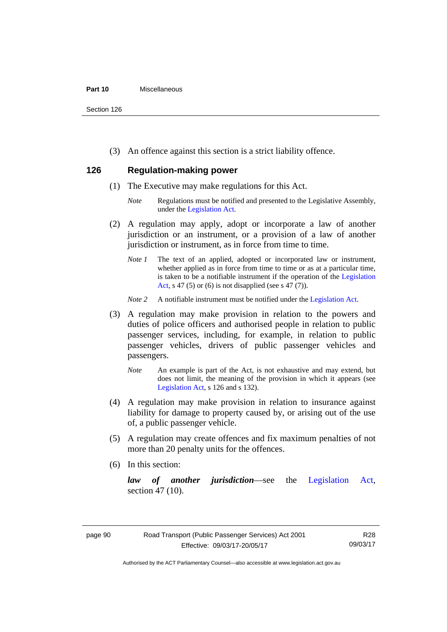#### **Part 10** Miscellaneous

Section 126

(3) An offence against this section is a strict liability offence.

### **126 Regulation-making power**

- (1) The Executive may make regulations for this Act.
	- *Note* Regulations must be notified and presented to the Legislative Assembly, under the [Legislation Act.](http://www.legislation.act.gov.au/a/2001-14)
- (2) A regulation may apply, adopt or incorporate a law of another jurisdiction or an instrument, or a provision of a law of another jurisdiction or instrument, as in force from time to time.
	- *Note 1* The text of an applied, adopted or incorporated law or instrument, whether applied as in force from time to time or as at a particular time, is taken to be a notifiable instrument if the operation of the [Legislation](http://www.legislation.act.gov.au/a/2001-14)  [Act](http://www.legislation.act.gov.au/a/2001-14), s 47 (5) or (6) is not disapplied (see s 47 (7)).
	- *Note 2* A notifiable instrument must be notified under the [Legislation Act](http://www.legislation.act.gov.au/a/2001-14).
- (3) A regulation may make provision in relation to the powers and duties of police officers and authorised people in relation to public passenger services, including, for example, in relation to public passenger vehicles, drivers of public passenger vehicles and passengers.
	- *Note* An example is part of the Act, is not exhaustive and may extend, but does not limit, the meaning of the provision in which it appears (see [Legislation Act,](http://www.legislation.act.gov.au/a/2001-14) s 126 and s 132).
- (4) A regulation may make provision in relation to insurance against liability for damage to property caused by, or arising out of the use of, a public passenger vehicle.
- (5) A regulation may create offences and fix maximum penalties of not more than 20 penalty units for the offences.
- (6) In this section:

*law of another jurisdiction*—see the [Legislation Act](http://www.legislation.act.gov.au/a/2001-14), section 47 (10).

Authorised by the ACT Parliamentary Counsel—also accessible at www.legislation.act.gov.au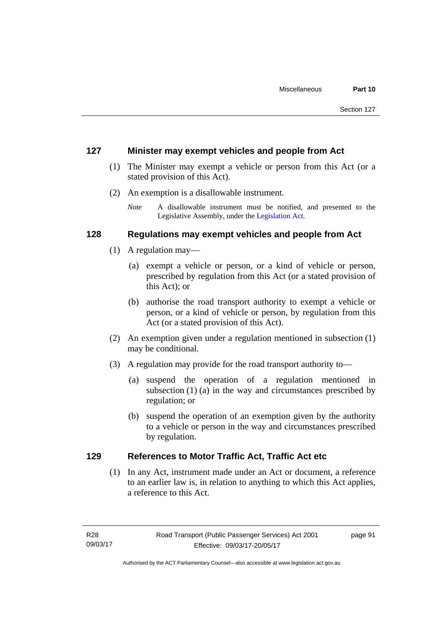#### **127 Minister may exempt vehicles and people from Act**

- (1) The Minister may exempt a vehicle or person from this Act (or a stated provision of this Act).
- (2) An exemption is a disallowable instrument.
	- *Note* A disallowable instrument must be notified, and presented to the Legislative Assembly, under the [Legislation Act.](http://www.legislation.act.gov.au/a/2001-14)

#### **128 Regulations may exempt vehicles and people from Act**

- (1) A regulation may—
	- (a) exempt a vehicle or person, or a kind of vehicle or person, prescribed by regulation from this Act (or a stated provision of this Act); or
	- (b) authorise the road transport authority to exempt a vehicle or person, or a kind of vehicle or person, by regulation from this Act (or a stated provision of this Act).
- (2) An exemption given under a regulation mentioned in subsection (1) may be conditional.
- (3) A regulation may provide for the road transport authority to—
	- (a) suspend the operation of a regulation mentioned in subsection (1) (a) in the way and circumstances prescribed by regulation; or
	- (b) suspend the operation of an exemption given by the authority to a vehicle or person in the way and circumstances prescribed by regulation.

### **129 References to Motor Traffic Act, Traffic Act etc**

(1) In any Act, instrument made under an Act or document, a reference to an earlier law is, in relation to anything to which this Act applies, a reference to this Act.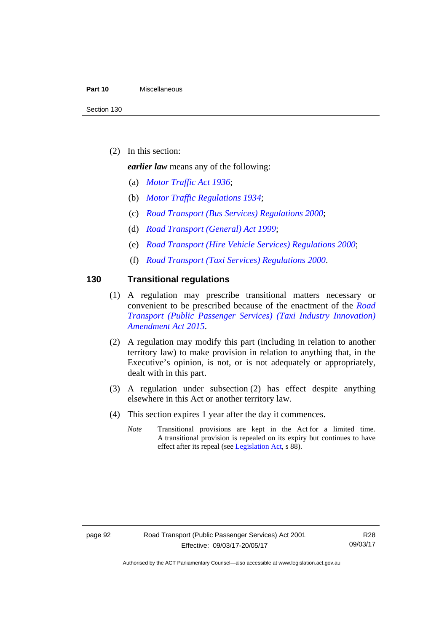#### **Part 10** Miscellaneous

(2) In this section:

*earlier law* means any of the following:

- (a) *[Motor Traffic Act 1936](http://www.legislation.act.gov.au/a/1936-45)*;
- (b) *[Motor Traffic Regulations 1934](http://www.legislation.act.gov.au/sl/1934-6)*;
- (c) *[Road Transport \(Bus Services\) Regulations 2000](http://www.legislation.act.gov.au/sl/2000-9)*;
- (d) *[Road Transport \(General\) Act 1999](http://www.legislation.act.gov.au/a/1999-77)*;
- (e) *[Road Transport \(Hire Vehicle Services\) Regulations 2000](http://www.legislation.act.gov.au/sl/2000-4)*;
- (f) *[Road Transport \(Taxi Services\) Regulations 2000](http://www.legislation.act.gov.au/sl/2000-5)*.

#### **130 Transitional regulations**

- (1) A regulation may prescribe transitional matters necessary or convenient to be prescribed because of the enactment of the *[Road](http://www.legislation.act.gov.au/a/2015-47/default.asp)  [Transport \(Public Passenger Services\) \(Taxi Industry Innovation\)](http://www.legislation.act.gov.au/a/2015-47/default.asp)  [Amendment Act 2015](http://www.legislation.act.gov.au/a/2015-47/default.asp)*.
- (2) A regulation may modify this part (including in relation to another territory law) to make provision in relation to anything that, in the Executive's opinion, is not, or is not adequately or appropriately, dealt with in this part.
- (3) A regulation under subsection (2) has effect despite anything elsewhere in this Act or another territory law.
- (4) This section expires 1 year after the day it commences.
	- *Note* Transitional provisions are kept in the Act for a limited time. A transitional provision is repealed on its expiry but continues to have effect after its repeal (see [Legislation Act,](http://www.legislation.act.gov.au/a/2001-14) s 88).

R28 09/03/17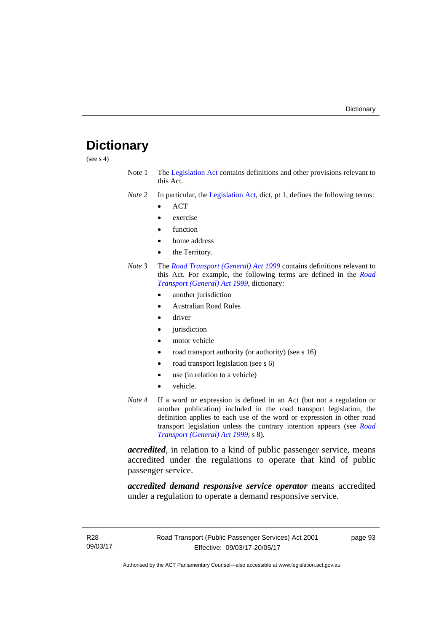# **Dictionary**

(see s 4)

- Note 1 The [Legislation Act](http://www.legislation.act.gov.au/a/2001-14) contains definitions and other provisions relevant to this Act.
- *Note 2* In particular, the [Legislation Act,](http://www.legislation.act.gov.au/a/2001-14) dict, pt 1, defines the following terms:
	- ACT
	- exercise
	- function
	- home address
	- the Territory.
- *Note 3* The *[Road Transport \(General\) Act 1999](http://www.legislation.act.gov.au/a/1999-77)* contains definitions relevant to this Act. For example, the following terms are defined in the *[Road](http://www.legislation.act.gov.au/a/1999-77)  [Transport \(General\) Act 1999](http://www.legislation.act.gov.au/a/1999-77)*, dictionary:
	- another jurisdiction
	- Australian Road Rules
	- driver
	- jurisdiction
	- motor vehicle
	- road transport authority (or authority) (see s 16)
	- road transport legislation (see s 6)
	- use (in relation to a vehicle)
	- vehicle.
- *Note 4* If a word or expression is defined in an Act (but not a regulation or another publication) included in the road transport legislation, the definition applies to each use of the word or expression in other road transport legislation unless the contrary intention appears (see *[Road](http://www.legislation.act.gov.au/a/1999-77)  [Transport \(General\) Act 1999](http://www.legislation.act.gov.au/a/1999-77)*, s 8).

*accredited*, in relation to a kind of public passenger service, means accredited under the regulations to operate that kind of public passenger service.

*accredited demand responsive service operator* means accredited under a regulation to operate a demand responsive service.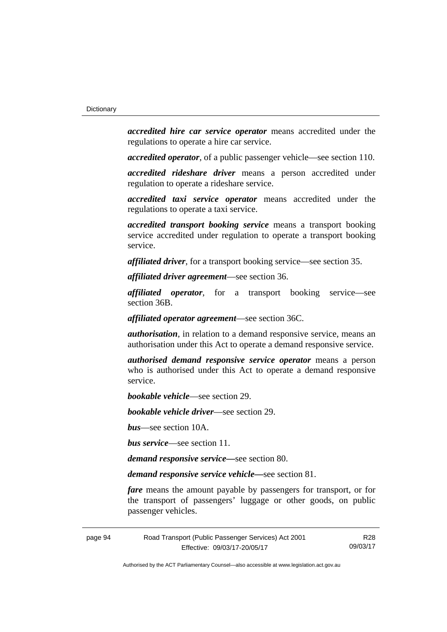*accredited hire car service operator* means accredited under the regulations to operate a hire car service.

*accredited operator*, of a public passenger vehicle—see section 110.

*accredited rideshare driver* means a person accredited under regulation to operate a rideshare service.

*accredited taxi service operator* means accredited under the regulations to operate a taxi service.

*accredited transport booking service* means a transport booking service accredited under regulation to operate a transport booking service.

*affiliated driver*, for a transport booking service—see section 35.

*affiliated driver agreement*—see section 36.

*affiliated operator*, for a transport booking service—see section 36B.

*affiliated operator agreement*—see section 36C.

*authorisation*, in relation to a demand responsive service, means an authorisation under this Act to operate a demand responsive service.

*authorised demand responsive service operator* means a person who is authorised under this Act to operate a demand responsive service.

*bookable vehicle*—see section 29.

*bookable vehicle driver*—see section 29.

*bus*—see section 10A.

*bus service*—see section 11.

*demand responsive service—*see section 80.

*demand responsive service vehicle—*see section 81.

*fare* means the amount payable by passengers for transport, or for the transport of passengers' luggage or other goods, on public passenger vehicles.

page 94 Road Transport (Public Passenger Services) Act 2001 Effective: 09/03/17-20/05/17

R28 09/03/17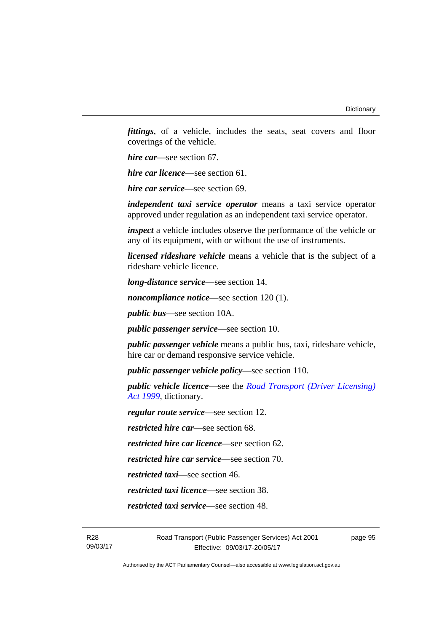*fittings*, of a vehicle, includes the seats, seat covers and floor coverings of the vehicle.

*hire car*—see section 67.

*hire car licence*—see section 61.

*hire car service*—see section 69.

*independent taxi service operator* means a taxi service operator approved under regulation as an independent taxi service operator.

*inspect* a vehicle includes observe the performance of the vehicle or any of its equipment, with or without the use of instruments.

*licensed rideshare vehicle* means a vehicle that is the subject of a rideshare vehicle licence.

*long-distance service*—see section 14.

*noncompliance notice*—see section 120 (1).

*public bus*—see section 10A.

*public passenger service*—see section 10.

*public passenger vehicle* means a public bus, taxi, rideshare vehicle, hire car or demand responsive service vehicle.

*public passenger vehicle policy*—see section 110.

*public vehicle licence*—see the *[Road Transport \(Driver Licensing\)](http://www.legislation.act.gov.au/a/1999-78)  [Act 1999](http://www.legislation.act.gov.au/a/1999-78)*, dictionary.

*regular route service*—see section 12.

*restricted hire car*—see section 68.

*restricted hire car licence*—see section 62.

*restricted hire car service*—see section 70.

*restricted taxi*—see section 46.

*restricted taxi licence*—see section 38.

*restricted taxi service*—see section 48.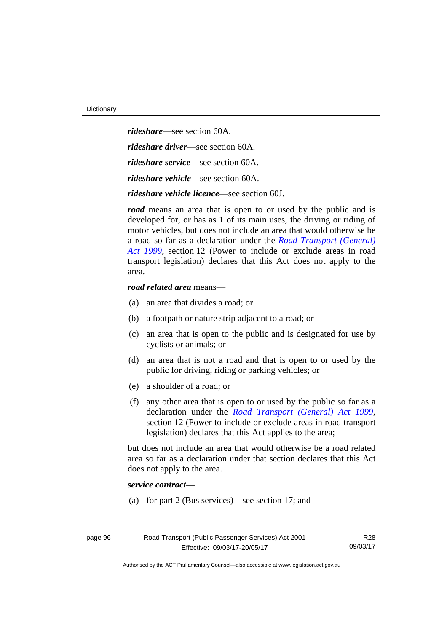*rideshare*—see section 60A. *rideshare driver*—see section 60A. *rideshare service*—see section 60A. *rideshare vehicle*—see section 60A. *rideshare vehicle licence*—see section 60J.

*road* means an area that is open to or used by the public and is developed for, or has as 1 of its main uses, the driving or riding of motor vehicles, but does not include an area that would otherwise be a road so far as a declaration under the *[Road Transport \(General\)](http://www.legislation.act.gov.au/a/1999-77)  [Act 1999](http://www.legislation.act.gov.au/a/1999-77)*, section 12 (Power to include or exclude areas in road transport legislation) declares that this Act does not apply to the area.

#### *road related area* means—

- (a) an area that divides a road; or
- (b) a footpath or nature strip adjacent to a road; or
- (c) an area that is open to the public and is designated for use by cyclists or animals; or
- (d) an area that is not a road and that is open to or used by the public for driving, riding or parking vehicles; or
- (e) a shoulder of a road; or
- (f) any other area that is open to or used by the public so far as a declaration under the *[Road Transport \(General\) Act 1999](http://www.legislation.act.gov.au/a/1999-77)*, section 12 (Power to include or exclude areas in road transport legislation) declares that this Act applies to the area;

but does not include an area that would otherwise be a road related area so far as a declaration under that section declares that this Act does not apply to the area.

#### *service contract—*

(a) for part 2 (Bus services)—see section 17; and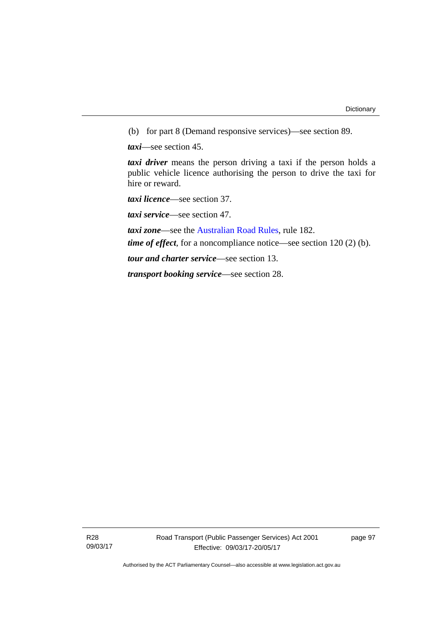(b) for part 8 (Demand responsive services)—see section 89.

*taxi*—see section 45.

*taxi driver* means the person driving a taxi if the person holds a public vehicle licence authorising the person to drive the taxi for hire or reward.

*taxi licence*—see section 37.

*taxi service*—see section 47.

*taxi zone*—see the [Australian Road Rules](http://www.legislation.act.gov.au//ni/db_37271/default.asp), rule 182.

*time of effect*, for a noncompliance notice—see section 120 (2) (b).

*tour and charter service*—see section 13.

*transport booking service*—see section 28.

R28 09/03/17 page 97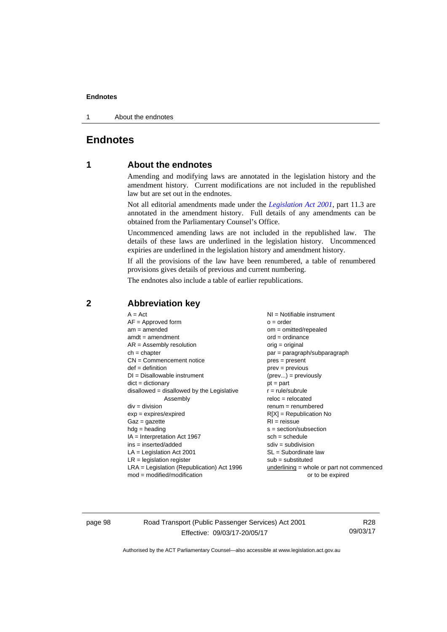#### **Endnotes**

1 About the endnotes

## **Endnotes**

#### **1 About the endnotes**

Amending and modifying laws are annotated in the legislation history and the amendment history. Current modifications are not included in the republished law but are set out in the endnotes.

Not all editorial amendments made under the *[Legislation Act 2001](http://www.legislation.act.gov.au/a/2001-14/default.asp)*, part 11.3 are annotated in the amendment history. Full details of any amendments can be obtained from the Parliamentary Counsel's Office.

Uncommenced amending laws are not included in the republished law. The details of these laws are underlined in the legislation history. Uncommenced expiries are underlined in the legislation history and amendment history.

If all the provisions of the law have been renumbered, a table of renumbered provisions gives details of previous and current numbering.

The endnotes also include a table of earlier republications.

| $A = Act$                                    | NI = Notifiable instrument                  |
|----------------------------------------------|---------------------------------------------|
| $AF =$ Approved form                         | $o = order$                                 |
| $am = amended$                               | $om = omitted/repealed$                     |
| $amdt = amendment$                           | $ord = ordinance$                           |
| $AR = Assembly resolution$                   | $orig = original$                           |
| $ch = chapter$                               | $par = paragraph/subparagraph$              |
| $CN =$ Commencement notice                   | $pres = present$                            |
| $def = definition$                           | $prev = previous$                           |
| $DI = Disallowable instrument$               | $(\text{prev}) = \text{previously}$         |
| $dict = dictionary$                          | $pt = part$                                 |
| disallowed = disallowed by the Legislative   | $r = rule/subrule$                          |
| Assembly                                     | $reloc = relocated$                         |
| $div = division$                             | $remum = renumbered$                        |
| $exp = expires/expired$                      | $R[X]$ = Republication No                   |
| $Gaz = gazette$                              | $RI = reissue$                              |
| $hdg =$ heading                              | $s = section/subsection$                    |
| $IA = Interpretation Act 1967$               | $sch = schedule$                            |
| $ins = inserted/added$                       | $sdiv = subdivision$                        |
| $LA =$ Legislation Act 2001                  | $SL = Subordinate$ law                      |
| $LR =$ legislation register                  | $sub =$ substituted                         |
| $LRA =$ Legislation (Republication) Act 1996 | $underlining = whole or part not commenced$ |
| $mod = modified/modification$                | or to be expired                            |

#### **2 Abbreviation key**

page 98 Road Transport (Public Passenger Services) Act 2001 Effective: 09/03/17-20/05/17

R28 09/03/17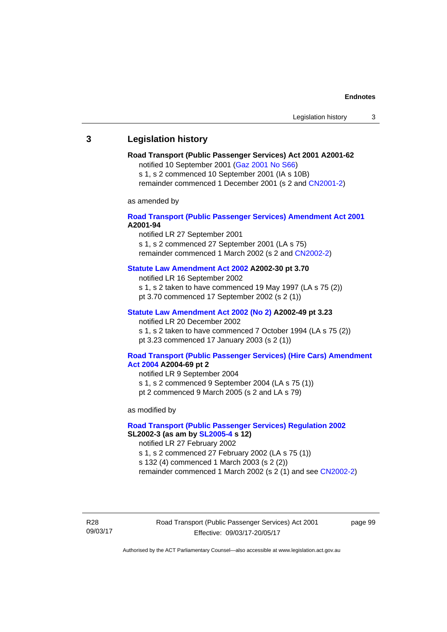# **3 Legislation history**

# **Road Transport (Public Passenger Services) Act 2001 A2001-62**

notified 10 September 2001 [\(Gaz 2001 No S66\)](http://www.legislation.act.gov.au/gaz/2001-S66/default.asp)

s 1, s 2 commenced 10 September 2001 (IA s 10B) remainder commenced 1 December 2001 (s 2 and [CN2001-2\)](http://www.legislation.act.gov.au/cn/2001-2/default.asp)

as amended by

# **[Road Transport \(Public Passenger Services\) Amendment Act 2001](http://www.legislation.act.gov.au/a/2001-94) A2001-94**

notified LR 27 September 2001

s 1, s 2 commenced 27 September 2001 (LA s 75) remainder commenced 1 March 2002 (s 2 and [CN2002-2\)](http://www.legislation.act.gov.au/cn/2002-2/default.asp)

# **[Statute Law Amendment Act 2002](http://www.legislation.act.gov.au/a/2002-30) A2002-30 pt 3.70**

notified LR 16 September 2002

s 1, s 2 taken to have commenced 19 May 1997 (LA s 75 (2))

pt 3.70 commenced 17 September 2002 (s 2 (1))

# **[Statute Law Amendment Act 2002 \(No 2\)](http://www.legislation.act.gov.au/a/2002-49) A2002-49 pt 3.23**

notified LR 20 December 2002 s 1, s 2 taken to have commenced 7 October 1994 (LA s 75 (2)) pt 3.23 commenced 17 January 2003 (s 2 (1))

### **[Road Transport \(Public Passenger Services\) \(Hire Cars\) Amendment](http://www.legislation.act.gov.au/a/2004-69)  [Act 2004](http://www.legislation.act.gov.au/a/2004-69) A2004-69 pt 2**

notified LR 9 September 2004 s 1, s 2 commenced 9 September 2004 (LA s 75 (1)) pt 2 commenced 9 March 2005 (s 2 and LA s 79)

as modified by

# **[Road Transport \(Public Passenger Services\) Regulation 2002](http://www.legislation.act.gov.au/sl/2002-3) SL2002-3 (as am by [SL2005-4](http://www.legislation.act.gov.au/sl/2005-4) s 12)**

notified LR 27 February 2002

s 1, s 2 commenced 27 February 2002 (LA s 75 (1))

s 132 (4) commenced 1 March 2003 (s 2 (2))

remainder commenced 1 March 2002 (s 2 (1) and see [CN2002-2](http://www.legislation.act.gov.au/cn/2002-2/default.asp))

R28 09/03/17 Road Transport (Public Passenger Services) Act 2001 Effective: 09/03/17-20/05/17

page 99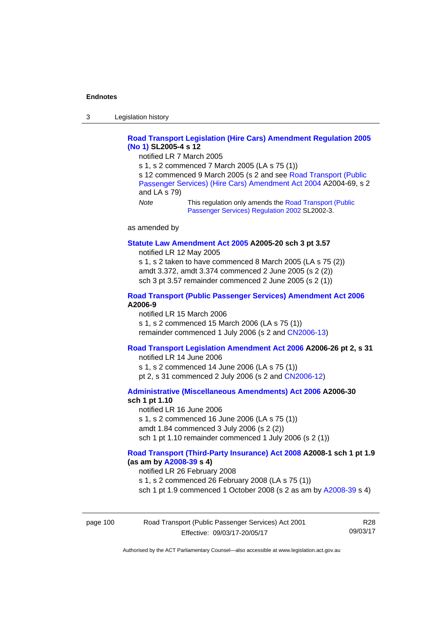3 Legislation history

# **[Road Transport Legislation \(Hire Cars\) Amendment Regulation 2005](http://www.legislation.act.gov.au/sl/2005-4)  [\(No 1\)](http://www.legislation.act.gov.au/sl/2005-4) SL2005-4 s 12**

notified LR 7 March 2005

s 1, s 2 commenced 7 March 2005 (LA s 75 (1))

s 12 commenced 9 March 2005 (s 2 and see [Road Transport \(Public](http://www.legislation.act.gov.au/a/2004-69)  [Passenger Services\) \(Hire Cars\) Amendment Act 2004](http://www.legislation.act.gov.au/a/2004-69) A2004-69, s 2 and LA s 79)

*Note* This regulation only amends the [Road Transport \(Public](http://www.legislation.act.gov.au/sl/2002-3)  [Passenger Services\) Regulation 2002](http://www.legislation.act.gov.au/sl/2002-3) SL2002-3.

as amended by

### **[Statute Law Amendment Act 2005](http://www.legislation.act.gov.au/a/2005-20) A2005-20 sch 3 pt 3.57**

notified LR 12 May 2005

s 1, s 2 taken to have commenced 8 March 2005 (LA s 75 (2)) amdt 3.372, amdt 3.374 commenced 2 June 2005 (s 2 (2)) sch 3 pt 3.57 remainder commenced 2 June 2005 (s 2 (1))

# **[Road Transport \(Public Passenger Services\) Amendment Act 2006](http://www.legislation.act.gov.au/a/2006-9) A2006-9**

notified LR 15 March 2006 s 1, s 2 commenced 15 March 2006 (LA s 75 (1)) remainder commenced 1 July 2006 (s 2 and [CN2006-13](http://www.legislation.act.gov.au/cn/2006-13/default.asp))

# **[Road Transport Legislation Amendment Act 2006](http://www.legislation.act.gov.au/a/2006-26) A2006-26 pt 2, s 31**

notified LR 14 June 2006 s 1, s 2 commenced 14 June 2006 (LA s 75 (1)) pt 2, s 31 commenced 2 July 2006 (s 2 and [CN2006-12](http://www.legislation.act.gov.au/cn/2006-12/default.asp))

**[Administrative \(Miscellaneous Amendments\) Act 2006](http://www.legislation.act.gov.au/a/2006-30) A2006-30 sch 1 pt 1.10** 

notified LR 16 June 2006 s 1, s 2 commenced 16 June 2006 (LA s 75 (1)) amdt 1.84 commenced 3 July 2006 (s 2 (2)) sch 1 pt 1.10 remainder commenced 1 July 2006 (s 2 (1))

# **[Road Transport \(Third-Party Insurance\) Act 2008](http://www.legislation.act.gov.au/a/2008-1) A2008-1 sch 1 pt 1.9 (as am by [A2008-39](http://www.legislation.act.gov.au/a/2008-39) s 4)**

notified LR 26 February 2008

s 1, s 2 commenced 26 February 2008 (LA s 75 (1))

sch 1 pt 1.9 commenced 1 October 2008 (s 2 as am by [A2008-39](http://www.legislation.act.gov.au/a/2008-39) s 4)

| page 100 | Road Transport (Public Passenger Services) Act 2001 | R28      |
|----------|-----------------------------------------------------|----------|
|          | Effective: 09/03/17-20/05/17                        | 09/03/17 |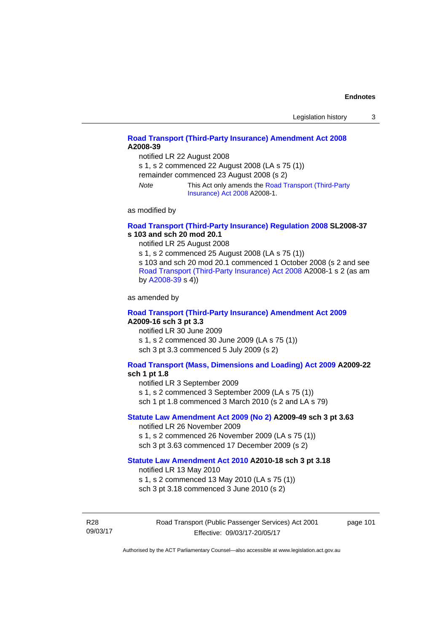# **[Road Transport \(Third-Party Insurance\) Amendment Act 2008](http://www.legislation.act.gov.au/a/2008-39) A2008-39**

notified LR 22 August 2008

s 1, s 2 commenced 22 August 2008 (LA s 75 (1))

remainder commenced 23 August 2008 (s 2)

*Note* This Act only amends the [Road Transport \(Third-Party](http://www.legislation.act.gov.au/a/2008-1)  [Insurance\) Act 2008](http://www.legislation.act.gov.au/a/2008-1) A2008-1.

as modified by

# **[Road Transport \(Third-Party Insurance\) Regulation 2008](http://www.legislation.act.gov.au/sl/2008-37) SL2008-37 s 103 and sch 20 mod 20.1**

notified LR 25 August 2008

s 1, s 2 commenced 25 August 2008 (LA s 75 (1)) s 103 and sch 20 mod 20.1 commenced 1 October 2008 (s 2 and see [Road Transport \(Third-Party Insurance\) Act 2008](http://www.legislation.act.gov.au/a/2008-1) A2008-1 s 2 (as am by [A2008-39](http://www.legislation.act.gov.au/a/2008-39) s 4))

as amended by

### **[Road Transport \(Third-Party Insurance\) Amendment Act 2009](http://www.legislation.act.gov.au/a/2009-16) A2009-16 sch 3 pt 3.3**

notified LR 30 June 2009 s 1, s 2 commenced 30 June 2009 (LA s 75 (1)) sch 3 pt 3.3 commenced 5 July 2009 (s 2)

# **[Road Transport \(Mass, Dimensions and Loading\) Act 2009](http://www.legislation.act.gov.au/a/2009-22/default.asp) A2009-22**

# **sch 1 pt 1.8**

notified LR 3 September 2009

s 1, s 2 commenced 3 September 2009 (LA s 75 (1))

sch 1 pt 1.8 commenced 3 March 2010 (s 2 and LA s 79)

# **[Statute Law Amendment Act 2009 \(No 2\)](http://www.legislation.act.gov.au/a/2009-49) A2009-49 sch 3 pt 3.63**

notified LR 26 November 2009 s 1, s 2 commenced 26 November 2009 (LA s 75 (1)) sch 3 pt 3.63 commenced 17 December 2009 (s 2)

#### **[Statute Law Amendment Act 2010](http://www.legislation.act.gov.au/a/2010-18) A2010-18 sch 3 pt 3.18**

notified LR 13 May 2010

s 1, s 2 commenced 13 May 2010 (LA s 75 (1))

sch 3 pt 3.18 commenced 3 June 2010 (s 2)

R28 09/03/17 Road Transport (Public Passenger Services) Act 2001 Effective: 09/03/17-20/05/17

page 101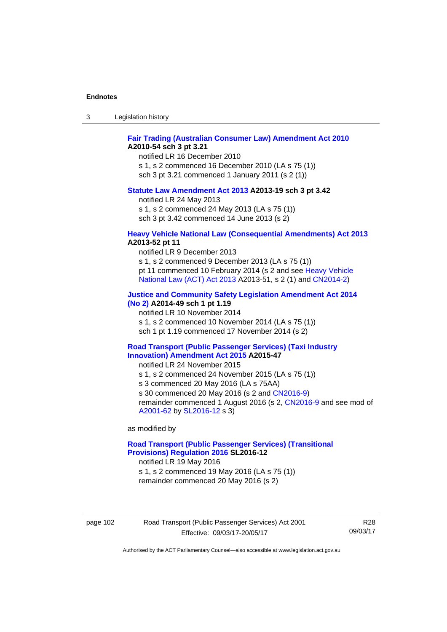| -3 | Legislation history |  |
|----|---------------------|--|
|----|---------------------|--|

# **[Fair Trading \(Australian Consumer Law\) Amendment Act 2010](http://www.legislation.act.gov.au/a/2010-54) A2010-54 sch 3 pt 3.21**

notified LR 16 December 2010 s 1, s 2 commenced 16 December 2010 (LA s 75 (1)) sch 3 pt 3.21 commenced 1 January 2011 (s 2 (1))

#### **[Statute Law Amendment Act 2013](http://www.legislation.act.gov.au/a/2013-19) A2013-19 sch 3 pt 3.42**

notified LR 24 May 2013

s 1, s 2 commenced 24 May 2013 (LA s 75 (1))

sch 3 pt 3.42 commenced 14 June 2013 (s 2)

#### **[Heavy Vehicle National Law \(Consequential Amendments\) Act 2013](http://www.legislation.act.gov.au/a/2013-52) A2013-52 pt 11**

notified LR 9 December 2013

s 1, s 2 commenced 9 December 2013 (LA s 75 (1)) pt 11 commenced 10 February 2014 (s 2 and see [Heavy Vehicle](http://www.legislation.act.gov.au/a/2013-51/default.asp)  [National Law \(ACT\) Act 2013](http://www.legislation.act.gov.au/a/2013-51/default.asp) A2013-51, s 2 (1) and [CN2014-2](http://www.legislation.act.gov.au/cn/2014-2/default.asp))

# **[Justice and Community Safety Legislation Amendment Act 2014](http://www.legislation.act.gov.au/a/2014-49)**

**[\(No 2\)](http://www.legislation.act.gov.au/a/2014-49) A2014-49 sch 1 pt 1.19** 

notified LR 10 November 2014

s 1, s 2 commenced 10 November 2014 (LA s 75 (1))

sch 1 pt 1.19 commenced 17 November 2014 (s 2)

### **[Road Transport \(Public Passenger Services\) \(Taxi Industry](http://www.legislation.act.gov.au/a/2015-47/default.asp)  [Innovation\) Amendment Act 2015](http://www.legislation.act.gov.au/a/2015-47/default.asp) A2015-47**

notified LR 24 November 2015

s 1, s 2 commenced 24 November 2015 (LA s 75 (1))

s 3 commenced 20 May 2016 (LA s 75AA)

s 30 commenced 20 May 2016 (s 2 and [CN2016-9](http://www.legislation.act.gov.au/cn/2016-9/default.asp))

remainder commenced 1 August 2016 (s 2, [CN2016-9](http://www.legislation.act.gov.au/cn/2016-9/default.asp) and see mod of [A2001-62](http://www.legislation.act.gov.au/a/2001-62/default.asp) by [SL2016-12](http://www.legislation.act.gov.au/sl/2016-12/default.asp) s 3)

as modified by

# **[Road Transport \(Public Passenger Services\) \(Transitional](http://www.legislation.act.gov.au/sl/2016-12/default.asp)  [Provisions\) Regulation 2016](http://www.legislation.act.gov.au/sl/2016-12/default.asp) SL2016-12**

notified LR 19 May 2016

s 1, s 2 commenced 19 May 2016 (LA s 75 (1)) remainder commenced 20 May 2016 (s 2)

page 102 Road Transport (Public Passenger Services) Act 2001 Effective: 09/03/17-20/05/17

R28 09/03/17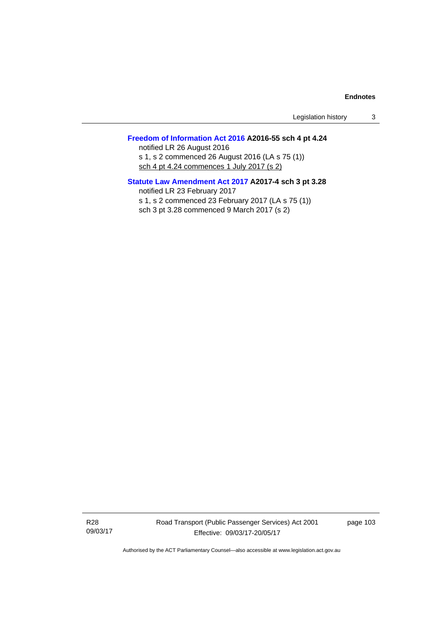Legislation history 3

# **[Freedom of Information Act 2016](http://www.legislation.act.gov.au/a/2016-55/default.asp) A2016-55 sch 4 pt 4.24**

notified LR 26 August 2016 s 1, s 2 commenced 26 August 2016 (LA s 75 (1)) sch 4 pt 4.24 commences 1 July 2017 (s 2)

# **[Statute Law Amendment Act 2017](http://www.legislation.act.gov.au/a/2017-4/default.asp) A2017-4 sch 3 pt 3.28**

notified LR 23 February 2017 s 1, s 2 commenced 23 February 2017 (LA s 75 (1)) sch 3 pt 3.28 commenced 9 March 2017 (s 2)

R28 09/03/17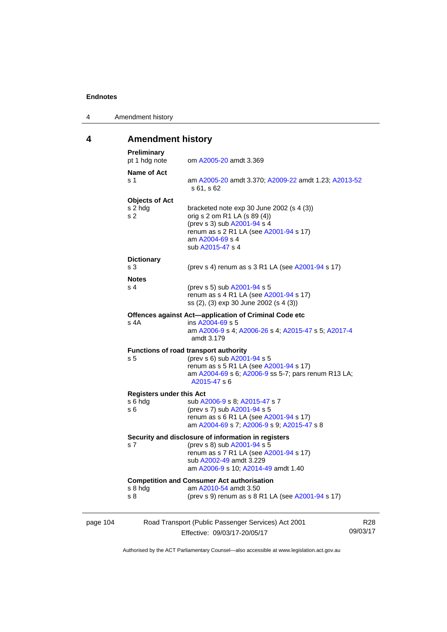4 Amendment history

# **4 Amendment history**

|          | <b>Preliminary</b><br>pt 1 hdg note                | om A2005-20 amdt 3.369                                                                                                                                                                         |                 |
|----------|----------------------------------------------------|------------------------------------------------------------------------------------------------------------------------------------------------------------------------------------------------|-----------------|
|          | <b>Name of Act</b><br>s 1                          | am A2005-20 amdt 3.370; A2009-22 amdt 1.23; A2013-52<br>s 61, s 62                                                                                                                             |                 |
|          | <b>Objects of Act</b><br>s 2 hdg<br>s <sub>2</sub> | bracketed note exp 30 June 2002 (s 4 (3))<br>orig s 2 om R1 LA (s 89 (4))<br>(prev s 3) sub A2001-94 s 4<br>renum as s 2 R1 LA (see A2001-94 s 17)<br>am A2004-69 s 4<br>sub A2015-47 s 4      |                 |
|          | <b>Dictionary</b><br>s 3                           | (prev s 4) renum as s 3 R1 LA (see A2001-94 s 17)                                                                                                                                              |                 |
|          | <b>Notes</b>                                       |                                                                                                                                                                                                |                 |
|          | s <sub>4</sub>                                     | (prev s 5) sub A2001-94 s 5<br>renum as s 4 R1 LA (see A2001-94 s 17)<br>ss (2), (3) exp 30 June 2002 (s 4 (3))                                                                                |                 |
|          | s 4A                                               | Offences against Act-application of Criminal Code etc<br>ins A2004-69 s 5<br>am A2006-9 s 4; A2006-26 s 4; A2015-47 s 5; A2017-4<br>amdt 3.179                                                 |                 |
|          | s <sub>5</sub>                                     | <b>Functions of road transport authority</b><br>(prev s 6) sub A2001-94 s 5<br>renum as s 5 R1 LA (see A2001-94 s 17)<br>am A2004-69 s 6; A2006-9 ss 5-7; pars renum R13 LA;<br>A2015-47 s 6   |                 |
|          | <b>Registers under this Act</b>                    |                                                                                                                                                                                                |                 |
|          | s 6 hda<br>s 6                                     | sub A2006-9 s 8; A2015-47 s 7<br>(prev s 7) sub A2001-94 s 5<br>renum as s 6 R1 LA (see A2001-94 s 17)<br>am A2004-69 s 7; A2006-9 s 9; A2015-47 s 8                                           |                 |
|          | s 7                                                | Security and disclosure of information in registers<br>(prev s 8) sub A2001-94 s 5<br>renum as s 7 R1 LA (see A2001-94 s 17)<br>sub A2002-49 amdt 3.229<br>am A2006-9 s 10; A2014-49 amdt 1.40 |                 |
|          | s 8 hdg<br>s 8                                     | <b>Competition and Consumer Act authorisation</b><br>am A2010-54 amdt 3.50<br>(prev s 9) renum as s 8 R1 LA (see A2001-94 s 17)                                                                |                 |
| page 104 |                                                    | Road Transport (Public Passenger Services) Act 2001<br>Effective: 09/03/17-20/05/17                                                                                                            | R28<br>09/03/17 |
|          |                                                    |                                                                                                                                                                                                |                 |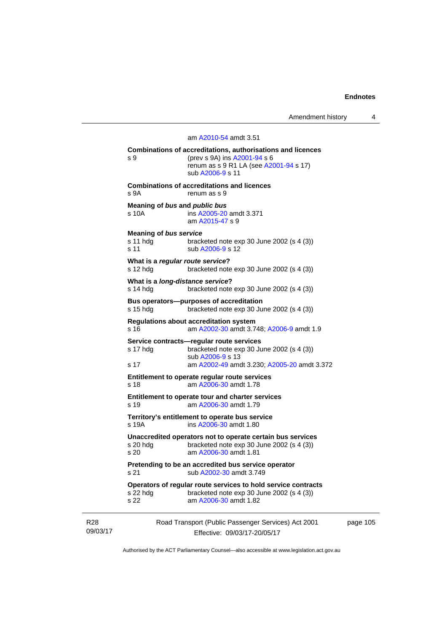Amendment history 4

# Road Transport (Public Passenger Services) Act 2001 am [A2010-54](http://www.legislation.act.gov.au/a/2010-54) amdt 3.51 **Combinations of accreditations, authorisations and licences**  s 9 (prev s 9A) ins [A2001-94](http://www.legislation.act.gov.au/a/2001-94) s 6 renum as s 9 R1 LA (see [A2001-94](http://www.legislation.act.gov.au/a/2001-94) s 17) sub [A2006-9](http://www.legislation.act.gov.au/a/2006-9) s 11 **Combinations of accreditations and licences**  s 9A renum as s 9 **Meaning of** *bus* **and** *public bus* s 10A ins [A2005-20](http://www.legislation.act.gov.au/a/2005-20) amdt 3.371 am [A2015-47](http://www.legislation.act.gov.au/a/2015-47) s 9 **Meaning of** *bus service* s 11 hdg bracketed note exp 30 June 2002 (s 4 (3)) s 11 sub [A2006-9](http://www.legislation.act.gov.au/a/2006-9) s 12 **What is a** *regular route service***?**  s 12 hdg bracketed note exp 30 June 2002 (s 4 (3)) **What is a** *long-distance service***?**  s 14 hdg bracketed note exp 30 June 2002 (s 4 (3)) **Bus operators—purposes of accreditation**  s 15 hdg bracketed note exp 30 June 2002 (s 4 (3)) **Regulations about accreditation system**  s 16 am [A2002-30](http://www.legislation.act.gov.au/a/2002-30) amdt 3.748; [A2006-9](http://www.legislation.act.gov.au/a/2006-9) amdt 1.9 **Service contracts—regular route services**  s 17 hdg bracketed note exp 30 June 2002 (s 4 (3)) sub [A2006-9](http://www.legislation.act.gov.au/a/2006-9) s 13 s 17 am [A2002-49](http://www.legislation.act.gov.au/a/2002-49) amdt 3.230; [A2005-20](http://www.legislation.act.gov.au/a/2005-20) amdt 3.372 **Entitlement to operate regular route services**  s 18 am [A2006-30](http://www.legislation.act.gov.au/a/2006-30) amdt 1.78 **Entitlement to operate tour and charter services**  s 19 am [A2006-30](http://www.legislation.act.gov.au/a/2006-30) amdt 1.79 **Territory's entitlement to operate bus service**  s 19A ins [A2006-30](http://www.legislation.act.gov.au/a/2006-30) amdt 1.80 **Unaccredited operators not to operate certain bus services**  bracketed note exp 30 June 2002 (s  $4$  (3)) s 20 am [A2006-30](http://www.legislation.act.gov.au/a/2006-30) amdt 1.81 **Pretending to be an accredited bus service operator**  s 21 sub [A2002-30](http://www.legislation.act.gov.au/a/2002-30) amdt 3.749 **Operators of regular route services to hold service contracts**  s 22 hdg bracketed note exp 30 June 2002 (s 4 (3)) s 22 am [A2006-30](http://www.legislation.act.gov.au/a/2006-30) amdt 1.82

R28 09/03/17

Effective: 09/03/17-20/05/17

page 105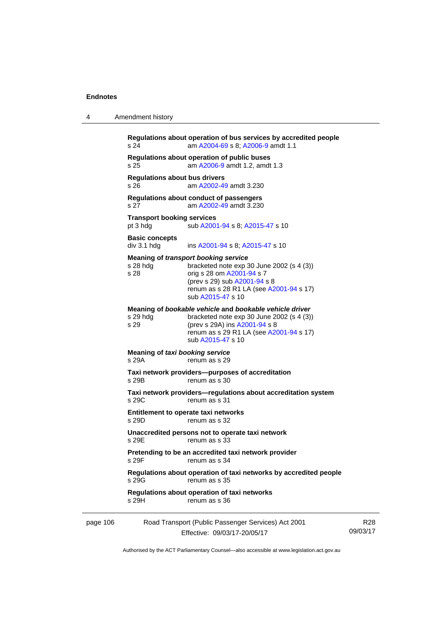4 Amendment history

|          | s 24                                          | Regulations about operation of bus services by accredited people<br>am A2004-69 s 8; A2006-9 amdt 1.1                                                                                                                   |                 |
|----------|-----------------------------------------------|-------------------------------------------------------------------------------------------------------------------------------------------------------------------------------------------------------------------------|-----------------|
|          | s 25                                          | Regulations about operation of public buses<br>am A2006-9 amdt 1.2, amdt 1.3                                                                                                                                            |                 |
|          | <b>Regulations about bus drivers</b><br>s 26  | am A2002-49 amdt 3.230                                                                                                                                                                                                  |                 |
|          | s 27                                          | Regulations about conduct of passengers<br>am A2002-49 amdt 3.230                                                                                                                                                       |                 |
|          | <b>Transport booking services</b><br>pt 3 hdg | sub A2001-94 s 8; A2015-47 s 10                                                                                                                                                                                         |                 |
|          | <b>Basic concepts</b><br>div 3.1 hdg          | ins A2001-94 s 8; A2015-47 s 10                                                                                                                                                                                         |                 |
|          | s 28 hdg<br>s 28                              | <b>Meaning of transport booking service</b><br>bracketed note $exp 30$ June 2002 (s 4 (3))<br>orig s 28 om A2001-94 s 7<br>(prev s 29) sub A2001-94 s 8<br>renum as s 28 R1 LA (see A2001-94 s 17)<br>sub A2015-47 s 10 |                 |
|          | s 29 hdg<br>s 29                              | Meaning of bookable vehicle and bookable vehicle driver<br>bracketed note $exp 30$ June 2002 (s 4 (3))<br>(prev s 29A) ins A2001-94 s 8<br>renum as s 29 R1 LA (see A2001-94 s 17)<br>sub A2015-47 s 10                 |                 |
|          | Meaning of taxi booking service<br>s 29A      | renum as s 29                                                                                                                                                                                                           |                 |
|          | s 29B                                         | Taxi network providers--purposes of accreditation<br>renum as s 30                                                                                                                                                      |                 |
|          | s 29C                                         | Taxi network providers-regulations about accreditation system<br>renum as s 31                                                                                                                                          |                 |
|          | s 29D                                         | Entitlement to operate taxi networks<br>renum as s 32                                                                                                                                                                   |                 |
|          | s 29E                                         | Unaccredited persons not to operate taxi network<br>renum as s 33                                                                                                                                                       |                 |
|          | s 29F                                         | Pretending to be an accredited taxi network provider<br>renum as s 34                                                                                                                                                   |                 |
|          | s 29G                                         | Regulations about operation of taxi networks by accredited people<br>renum as s 35                                                                                                                                      |                 |
|          | s 29H                                         | Regulations about operation of taxi networks<br>renum as s 36                                                                                                                                                           |                 |
| page 106 |                                               | Road Transport (Public Passenger Services) Act 2001<br>Effective: 09/03/17-20/05/17                                                                                                                                     | R28<br>09/03/17 |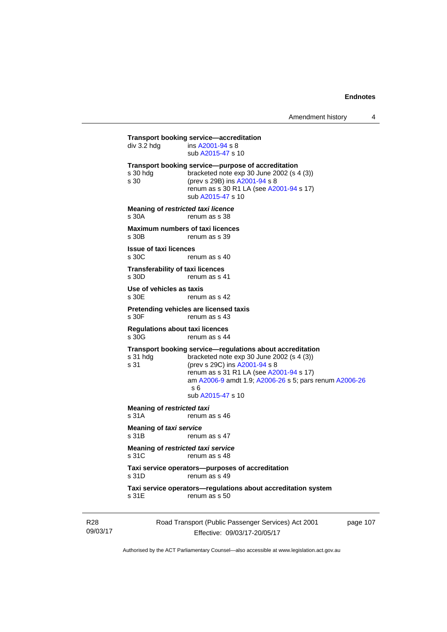**Transport booking service—accreditation**<br>div 3.2 hdg ins A2001-94 s 8  $\overline{a}$  ins [A2001-94](http://www.legislation.act.gov.au/a/2001-94) s 8 sub [A2015-47](http://www.legislation.act.gov.au/a/2015-47) s 10 **Transport booking service—purpose of accreditation**  s 30 hdg bracketed note exp 30 June 2002 (s 4 (3)) s 30 (prev s 29B) ins [A2001-94](http://www.legislation.act.gov.au/a/2001-94) s 8 renum as s 30 R1 LA (see [A2001-94](http://www.legislation.act.gov.au/a/2001-94) s 17) sub [A2015-47](http://www.legislation.act.gov.au/a/2015-47) s 10 **Meaning of** *restricted taxi licence*  s 30A renum as s 38 **Maximum numbers of taxi licences**<br>s 30B renum as s 39 renum as s 39 **Issue of taxi licences**  s 30C renum as s 40 **Transferability of taxi licences**  s 30D renum as s 41 **Use of vehicles as taxis**  s 30E renum as s 42 **Pretending vehicles are licensed taxis**  renum as s 43 **Regulations about taxi licences**  s 30G renum as s 44 **Transport booking service—regulations about accreditation**  s 31 hdg bracketed note exp 30 June 2002 (s 4 (3))<br>s 31 (prev s 29C) ins  $\frac{\text{A2001-94 s}}{8}$ (prev s 29C) ins [A2001-94](http://www.legislation.act.gov.au/a/2001-94) s 8 renum as s 31 R1 LA (see [A2001-94](http://www.legislation.act.gov.au/a/2001-94) s 17) am [A2006-9](http://www.legislation.act.gov.au/a/2006-9) amdt 1.9; [A2006-26](http://www.legislation.act.gov.au/a/2006-26) s 5; pars renum [A2006-26](http://www.legislation.act.gov.au/a/2006-26) s 6 sub [A2015-47](http://www.legislation.act.gov.au/a/2015-47) s 10 **Meaning of** *restricted taxi*<br>s 31A renum a renum as s 46 **Meaning of** *taxi service*  s 31B renum as s 47 **Meaning of** *restricted taxi service*  s 31C renum as s 48 **Taxi service operators—purposes of accreditation**  s 31D renum as s 49 **Taxi service operators—regulations about accreditation system**  s 31E renum as s 50

R28 09/03/17 Road Transport (Public Passenger Services) Act 2001 Effective: 09/03/17-20/05/17

page 107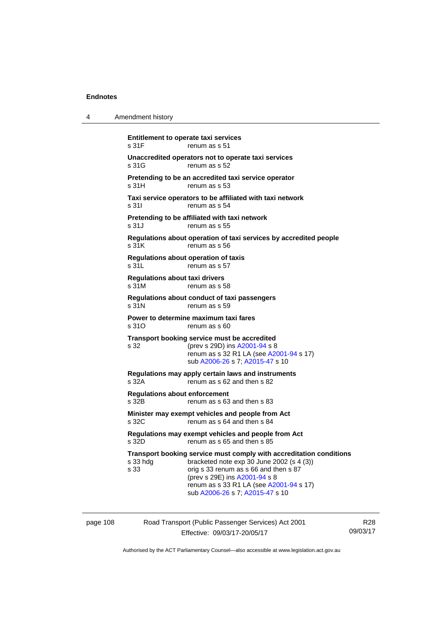|                                                                                                                                                                                                                                                                          | Amendment history                              | 4 |
|--------------------------------------------------------------------------------------------------------------------------------------------------------------------------------------------------------------------------------------------------------------------------|------------------------------------------------|---|
| <b>Entitlement to operate taxi services</b><br>renum as s 51                                                                                                                                                                                                             | s 31F                                          |   |
| Unaccredited operators not to operate taxi services<br>renum as s 52                                                                                                                                                                                                     | s 31G                                          |   |
| Pretending to be an accredited taxi service operator<br>renum as s 53                                                                                                                                                                                                    | s 31H                                          |   |
| Taxi service operators to be affiliated with taxi network<br>renum as s 54                                                                                                                                                                                               | s 311                                          |   |
| Pretending to be affiliated with taxi network<br>renum as s 55                                                                                                                                                                                                           | s 31J                                          |   |
| Regulations about operation of taxi services by accredited people<br>renum as s 56                                                                                                                                                                                       | s 31K                                          |   |
| <b>Regulations about operation of taxis</b><br>renum as s 57                                                                                                                                                                                                             | s 31L                                          |   |
| renum as s 58                                                                                                                                                                                                                                                            | <b>Regulations about taxi drivers</b><br>s 31M |   |
| Regulations about conduct of taxi passengers<br>renum as s 59                                                                                                                                                                                                            | s 31N                                          |   |
| Power to determine maximum taxi fares<br>renum as s 60                                                                                                                                                                                                                   | s 31O                                          |   |
| Transport booking service must be accredited<br>(prev s 29D) ins A2001-94 s 8<br>renum as s 32 R1 LA (see A2001-94 s 17)<br>sub A2006-26 s 7; A2015-47 s 10                                                                                                              | s 32                                           |   |
| Regulations may apply certain laws and instruments<br>renum as s 62 and then s 82                                                                                                                                                                                        | s 32A                                          |   |
| renum as s 63 and then s 83                                                                                                                                                                                                                                              | <b>Regulations about enforcement</b><br>s 32B  |   |
| Minister may exempt vehicles and people from Act<br>renum as s 64 and then s 84                                                                                                                                                                                          | s 32C                                          |   |
| Regulations may exempt vehicles and people from Act<br>renum as s 65 and then s 85                                                                                                                                                                                       | s 32D                                          |   |
| Transport booking service must comply with accreditation conditions<br>bracketed note exp 30 June 2002 (s 4 (3))<br>orig s 33 renum as s 66 and then s 87<br>(prev s 29E) ins A2001-94 s 8<br>renum as s 33 R1 LA (see A2001-94 s 17)<br>sub A2006-26 s 7; A2015-47 s 10 | s 33 hdg<br>s 33                               |   |
|                                                                                                                                                                                                                                                                          |                                                |   |

page 108 Road Transport (Public Passenger Services) Act 2001 Effective: 09/03/17-20/05/17

R28 09/03/17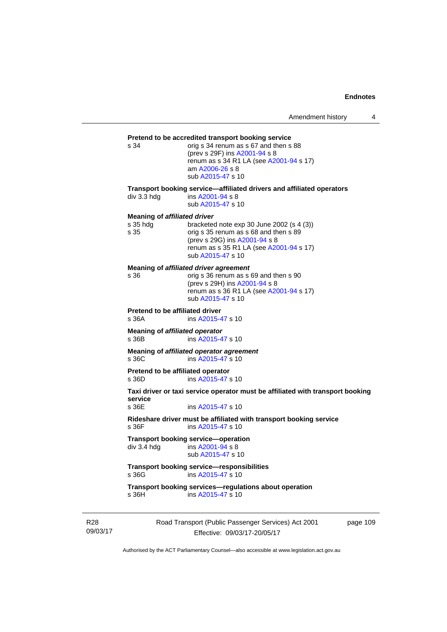# **Pretend to be accredited transport booking service**<br>s 34 corig s 34 renum as s 67 and then s

orig s 34 renum as s 67 and then s 88 (prev s 29F) ins [A2001-94](http://www.legislation.act.gov.au/a/2001-94) s 8 renum as s 34 R1 LA (see [A2001-94](http://www.legislation.act.gov.au/a/2001-94) s 17) am [A2006-26](http://www.legislation.act.gov.au/a/2006-26) s 8 sub [A2015-47](http://www.legislation.act.gov.au/a/2015-47) s 10

**Transport booking service—affiliated drivers and affiliated operators** 

div 3.3 hdg ins [A2001-94](http://www.legislation.act.gov.au/a/2001-94) s 8 sub [A2015-47](http://www.legislation.act.gov.au/a/2015-47) s 10

#### **Meaning of** *affiliated driver*

| orig s 35 renum as s 68 and then s 89   |
|-----------------------------------------|
|                                         |
| renum as s 35 R1 LA (see A2001-94 s 17) |
|                                         |
|                                         |

**Meaning of** *affiliated driver agreement*

| s 36 | orig s 36 renum as s 69 and then s 90   |
|------|-----------------------------------------|
|      | (prev s 29H) ins A2001-94 s 8           |
|      | renum as s 36 R1 LA (see A2001-94 s 17) |
|      | sub A2015-47 s 10                       |
|      |                                         |

**Pretend to be affiliated driver** 

s 36A ins [A2015-47](http://www.legislation.act.gov.au/a/2015-47) s 10

**Meaning of** *affiliated operator* s 36B ins [A2015-47](http://www.legislation.act.gov.au/a/2015-47) s 10

**Meaning of** *affiliated operator agreement*<br>s 36C ins A2015-47 s 10 ins [A2015-47](http://www.legislation.act.gov.au/a/2015-47) s 10

**Pretend to be affiliated operator**  s 36D ins [A2015-47](http://www.legislation.act.gov.au/a/2015-47) s 10

**Taxi driver or taxi service operator must be affiliated with transport booking service** 

ins [A2015-47](http://www.legislation.act.gov.au/a/2015-47) s 10

**Rideshare driver must be affiliated with transport booking service**  s 36F ins [A2015-47](http://www.legislation.act.gov.au/a/2015-47) s 10

**Transport booking service—operation**<br>div 3.4 hdg ins A2001-94 s 8  $\overline{a}$  ins [A2001-94](http://www.legislation.act.gov.au/a/2001-94) s 8 sub [A2015-47](http://www.legislation.act.gov.au/a/2015-47) s 10

**Transport booking service—responsibilities**  s 36G ins [A2015-47](http://www.legislation.act.gov.au/a/2015-47) s 10

**Transport booking services—regulations about operation**  s 36H ins [A2015-47](http://www.legislation.act.gov.au/a/2015-47) s 10

R28 09/03/17 Road Transport (Public Passenger Services) Act 2001 Effective: 09/03/17-20/05/17

page 109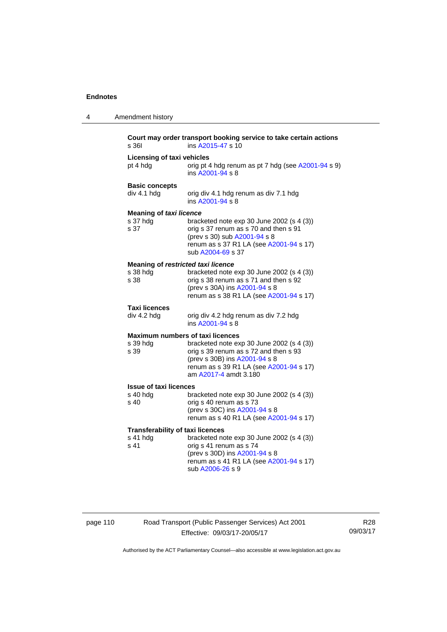| 4 | Amendment history                                           |                                                                                                                                                                                         |
|---|-------------------------------------------------------------|-----------------------------------------------------------------------------------------------------------------------------------------------------------------------------------------|
|   | s 361                                                       | Court may order transport booking service to take certain actions<br>ins A2015-47 s 10                                                                                                  |
|   | <b>Licensing of taxi vehicles</b><br>pt 4 hdg               | orig pt 4 hdg renum as pt 7 hdg (see A2001-94 s 9)<br>ins A2001-94 s 8                                                                                                                  |
|   | <b>Basic concepts</b><br>div 4.1 hdg                        | orig div 4.1 hdg renum as div 7.1 hdg<br>ins A2001-94 s 8                                                                                                                               |
|   | <b>Meaning of taxi licence</b><br>s 37 hdg<br>s 37          | bracketed note $exp 30$ June 2002 (s 4 (3))<br>orig s 37 renum as s 70 and then s 91<br>(prev s 30) sub A2001-94 s 8<br>renum as s 37 R1 LA (see A2001-94 s 17)<br>sub A2004-69 s 37    |
|   | Meaning of restricted taxi licence<br>s 38 hdg<br>s 38      | bracketed note exp 30 June 2002 (s 4 (3))<br>orig s 38 renum as s 71 and then s 92<br>(prev s 30A) ins A2001-94 s 8<br>renum as s 38 R1 LA (see A2001-94 s 17)                          |
|   | <b>Taxi licences</b><br>div 4.2 hdg                         | orig div 4.2 hdg renum as div 7.2 hdg<br>ins A2001-94 s 8                                                                                                                               |
|   | Maximum numbers of taxi licences<br>s 39 hdg<br>s 39        | bracketed note exp 30 June 2002 (s 4 (3))<br>orig s 39 renum as s 72 and then s 93<br>(prev s 30B) ins A2001-94 s 8<br>renum as s 39 R1 LA (see A2001-94 s 17)<br>am A2017-4 amdt 3.180 |
|   | <b>Issue of taxi licences</b><br>s 40 hdg<br>s 40           | bracketed note $exp 30$ June 2002 (s 4 (3))<br>orig s 40 renum as s 73<br>(prev s 30C) ins A2001-94 s 8<br>renum as s 40 R1 LA (see A2001-94 s 17)                                      |
|   | <b>Transferability of taxi licences</b><br>s 41 hdg<br>s 41 | bracketed note exp 30 June 2002 (s 4 (3))<br>orig s 41 renum as s 74<br>(prev s 30D) ins A2001-94 s 8<br>renum as s 41 R1 LA (see A2001-94 s 17)<br>sub A2006-26 s 9                    |

# page 110 Road Transport (Public Passenger Services) Act 2001 Effective: 09/03/17-20/05/17

R28 09/03/17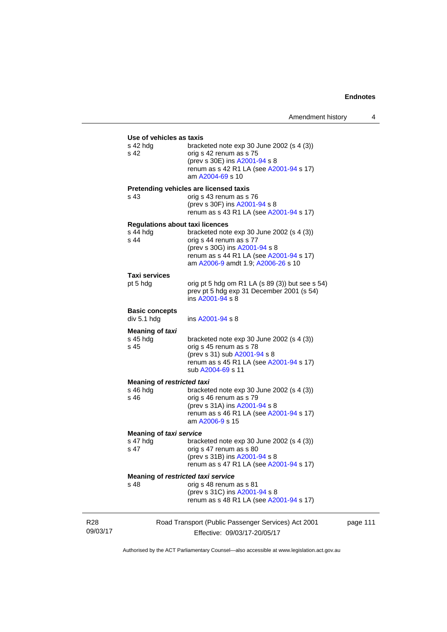|                             | Use of vehicles as taxis                                     |                                                                                                                                                                                        |
|-----------------------------|--------------------------------------------------------------|----------------------------------------------------------------------------------------------------------------------------------------------------------------------------------------|
|                             | s 42 hda<br>s 42                                             | bracketed note exp 30 June 2002 (s 4 (3))<br>orig s 42 renum as s 75<br>(prev s 30E) ins A2001-94 s 8<br>renum as s 42 R1 LA (see A2001-94 s 17)<br>am A2004-69 s 10                   |
|                             | s 43                                                         | Pretending vehicles are licensed taxis<br>orig s 43 renum as s 76<br>(prev s 30F) ins A2001-94 s 8<br>renum as s 43 R1 LA (see A2001-94 s 17)                                          |
|                             | <b>Regulations about taxi licences</b><br>$s$ 44 hdg<br>s 44 | bracketed note exp 30 June 2002 (s 4 (3))<br>orig s 44 renum as s 77<br>(prev s 30G) ins A2001-94 s 8<br>renum as s 44 R1 LA (see A2001-94 s 17)<br>am A2006-9 amdt 1.9; A2006-26 s 10 |
|                             | Taxi services<br>pt 5 hdg                                    | orig pt 5 hdg om R1 LA $(s 89 (3))$ but see s 54)<br>prev pt 5 hdg exp 31 December 2001 (s 54)<br>ins A2001-94 s 8                                                                     |
|                             | <b>Basic concepts</b><br>div 5.1 hdg                         | ins A2001-94 s 8                                                                                                                                                                       |
|                             | Meaning of taxi<br>$s$ 45 hdg<br>s 45                        | bracketed note $exp 30$ June 2002 (s 4 (3))<br>orig s 45 renum as s 78<br>(prev s 31) sub A2001-94 s 8<br>renum as s 45 R1 LA (see A2001-94 s 17)<br>sub A2004-69 s 11                 |
|                             | <b>Meaning of restricted taxi</b><br>$s$ 46 hdg<br>s 46      | bracketed note exp 30 June 2002 (s 4 (3))<br>orig s 46 renum as s 79<br>(prev s 31A) ins A2001-94 s 8<br>renum as s 46 R1 LA (see A2001-94 s 17)<br>am A2006-9 s 15                    |
|                             | <b>Meaning of taxi service</b>                               |                                                                                                                                                                                        |
|                             | s 47 hdg<br>s 47                                             | bracketed note $exp 30$ June 2002 (s 4 (3))<br>orig s 47 renum as s 80<br>(prev s 31B) ins A2001-94 s 8<br>renum as s 47 R1 LA (see A2001-94 s 17)                                     |
|                             | Meaning of restricted taxi service<br>s 48                   | orig s 48 renum as s 81<br>(prev s 31C) ins A2001-94 s 8<br>renum as s 48 R1 LA (see A2001-94 s 17)                                                                                    |
| R <sub>28</sub><br>09/03/17 |                                                              | Road Transport (Public Passenger Services) Act 2001<br>Effective: 09/03/17-20/05/17                                                                                                    |

page 111

Authorised by the ACT Parliamentary Counsel—also accessible at www.legislation.act.gov.au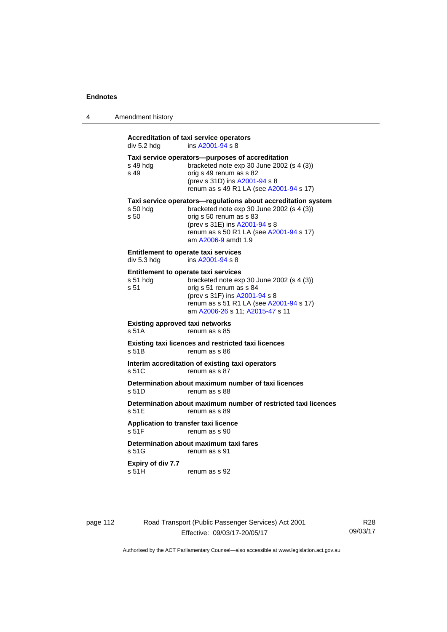| 4 | Amendment history |  |
|---|-------------------|--|
|   |                   |  |

# **Accreditation of taxi service operators**   $div 5.2$  hdg ins  $A2001 - 94$  s 8 **Taxi service operators—purposes of accreditation**  s 49 hdg bracketed note exp 30 June 2002 (s 4 (3)) s 49 orig s 49 renum as s 82 (prev s 31D) ins [A2001-94](http://www.legislation.act.gov.au/a/2001-94) s 8 renum as s 49 R1 LA (see [A2001-94](http://www.legislation.act.gov.au/a/2001-94) s 17) **Taxi service operators—regulations about accreditation system**<br>s 50 hdg bracketed note exp 30 June 2002 (s 4 (3)) bracketed note exp 30 June 2002 (s 4  $(3)$ ) s 50 orig s 50 renum as s 83 (prev s 31E) ins [A2001-94](http://www.legislation.act.gov.au/a/2001-94) s 8 renum as s 50 R1 LA (see [A2001-94](http://www.legislation.act.gov.au/a/2001-94) s 17) am [A2006-9](http://www.legislation.act.gov.au/a/2006-9) amdt 1.9 **Entitlement to operate taxi services**<br>div 5.3 hdg ins A2001-94 s 8 ins  $A2001 - 94$  s 8 **Entitlement to operate taxi services**  s 51 hdg bracketed note exp 30 June 2002 (s 4 (3)) s 51 orig s 51 renum as s 84 (prev s 31F) ins [A2001-94](http://www.legislation.act.gov.au/a/2001-94) s 8 renum as s 51 R1 LA (see [A2001-94](http://www.legislation.act.gov.au/a/2001-94) s 17) am [A2006-26](http://www.legislation.act.gov.au/a/2006-26) s 11; [A2015-47](http://www.legislation.act.gov.au/a/2015-47) s 11 **Existing approved taxi networks**  s 51A renum as s 85 **Existing taxi licences and restricted taxi licences**  s 51B renum as s 86 **Interim accreditation of existing taxi operators**  s 51C renum as s 87 **Determination about maximum number of taxi licences**  s 51D renum as s 88 **Determination about maximum number of restricted taxi licences**  s 51E renum as s 89 **Application to transfer taxi licence**  s 51F renum as s 90 **Determination about maximum taxi fares**  s 51G renum as s 91 **Expiry of div 7.7**  s 51H renum as s 92

page 112 Road Transport (Public Passenger Services) Act 2001 Effective: 09/03/17-20/05/17

R28 09/03/17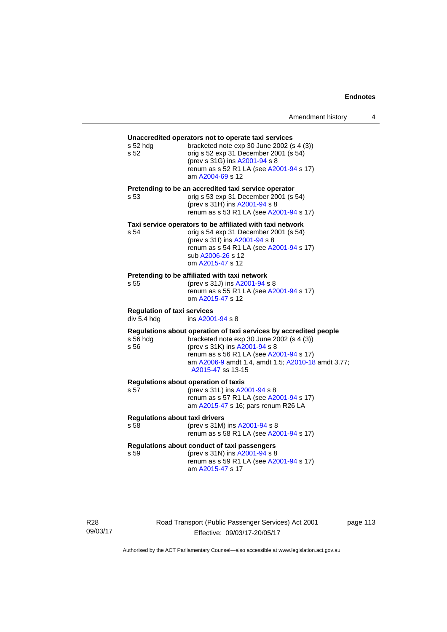# **Unaccredited operators not to operate taxi services**  s 52 hdg bracketed note exp 30 June 2002 (s 4 (3)) s 52 orig s 52 exp 31 December 2001 (s 54) (prev s 31G) ins [A2001-94](http://www.legislation.act.gov.au/a/2001-94) s 8 renum as s 52 R1 LA (see [A2001-94](http://www.legislation.act.gov.au/a/2001-94) s 17) am [A2004-69](http://www.legislation.act.gov.au/a/2004-69) s 12 **Pretending to be an accredited taxi service operator**  s 53 orig s 53 exp 31 December 2001 (s 54) (prev s 31H) ins [A2001-94](http://www.legislation.act.gov.au/a/2001-94) s 8 renum as s 53 R1 LA (see [A2001-94](http://www.legislation.act.gov.au/a/2001-94) s 17) **Taxi service operators to be affiliated with taxi network**  s 54 orig s 54 exp 31 December 2001 (s 54) (prev s 31I) ins [A2001-94](http://www.legislation.act.gov.au/a/2001-94) s 8 renum as s 54 R1 LA (see [A2001-94](http://www.legislation.act.gov.au/a/2001-94) s 17) sub [A2006-26](http://www.legislation.act.gov.au/a/2006-26) s 12 om [A2015-47](http://www.legislation.act.gov.au/a/2015-47) s 12 **Pretending to be affiliated with taxi network**  s 55 (prev s 31J) ins [A2001-94](http://www.legislation.act.gov.au/a/2001-94) s 8 renum as s 55 R1 LA (see [A2001-94](http://www.legislation.act.gov.au/a/2001-94) s 17) om [A2015-47](http://www.legislation.act.gov.au/a/2015-47) s 12 **Regulation of taxi services**  div 5.4 hdg ins [A2001-94](http://www.legislation.act.gov.au/a/2001-94) s 8 **Regulations about operation of taxi services by accredited people**  s 56 hdg bracketed note exp 30 June 2002 (s 4 (3)) s 56 (prev s 31K) ins [A2001-94](http://www.legislation.act.gov.au/a/2001-94) s 8 renum as s 56 R1 LA (see [A2001-94](http://www.legislation.act.gov.au/a/2001-94) s 17) am [A2006-9](http://www.legislation.act.gov.au/a/2006-9) amdt 1.4, amdt 1.5; [A2010-18](http://www.legislation.act.gov.au/a/2010-18) amdt 3.77; [A2015-47](http://www.legislation.act.gov.au/a/2015-47) ss 13-15 **Regulations about operation of taxis**  (prev s 31L) ins [A2001-94](http://www.legislation.act.gov.au/a/2001-94) s 8 renum as s 57 R1 LA (see [A2001-94](http://www.legislation.act.gov.au/a/2001-94) s 17) am [A2015-47](http://www.legislation.act.gov.au/a/2015-47) s 16; pars renum R26 LA **Regulations about taxi drivers**  s 58 (prev s 31M) ins [A2001-94](http://www.legislation.act.gov.au/a/2001-94) s 8 renum as s 58 R1 LA (see [A2001-94](http://www.legislation.act.gov.au/a/2001-94) s 17) **Regulations about conduct of taxi passengers**  s 59 (prev s 31N) ins [A2001-94](http://www.legislation.act.gov.au/a/2001-94) s 8 renum as s 59 R1 LA (see [A2001-94](http://www.legislation.act.gov.au/a/2001-94) s 17) am [A2015-47](http://www.legislation.act.gov.au/a/2015-47) s 17

page 113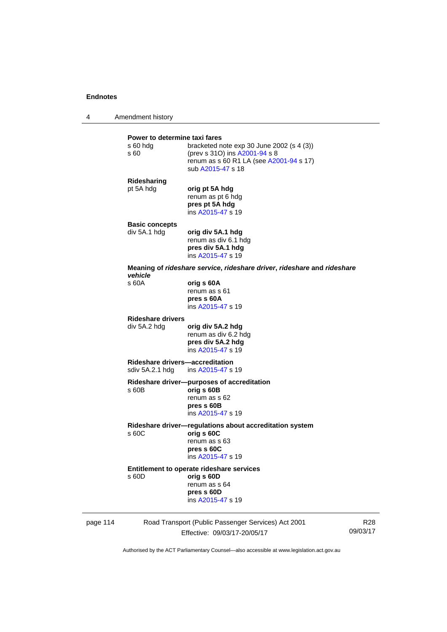4 Amendment history

# **Power to determine taxi fares**<br>s 60 hdg bracketed n bracketed note exp 30 June 2002 (s  $4$  (3)) s 60 (prev s 31O) ins [A2001-94](http://www.legislation.act.gov.au/a/2001-94) s 8 renum as s 60 R1 LA (see [A2001-94](http://www.legislation.act.gov.au/a/2001-94) s 17) sub [A2015-47](http://www.legislation.act.gov.au/a/2015-47) s 18 **Ridesharing**  pt 5A hdg **orig pt 5A hdg** renum as pt 6 hdg **pres pt 5A hdg**  ins [A2015-47](http://www.legislation.act.gov.au/a/2015-47) s 19 **Basic concepts**  div 5A.1 hdg **orig div 5A.1 hdg**  renum as div 6.1 hdg **pres div 5A.1 hdg**  ins [A2015-47](http://www.legislation.act.gov.au/a/2015-47) s 19 **Meaning of** *rideshare service***,** *rideshare driver***,** *rideshare* **and** *rideshare vehicle*  s 60A **orig s 60A**  renum as s 61 **pres s 60A**  ins [A2015-47](http://www.legislation.act.gov.au/a/2015-47) s 19 **Rideshare drivers**  div 5A.2 hdg **orig div 5A.2 hdg**  renum as div 6.2 hdg **pres div 5A.2 hdg**  ins [A2015-47](http://www.legislation.act.gov.au/a/2015-47) s 19 **Rideshare drivers—accreditation**  sdiv 5A.2.1 hdg ins [A2015-47](http://www.legislation.act.gov.au/a/2015-47) s 19 **Rideshare driver—purposes of accreditation** s 60B **orig s 60B**  renum as s 62 **pres s 60B**  ins [A2015-47](http://www.legislation.act.gov.au/a/2015-47) s 19 **Rideshare driver—regulations about accreditation system**  s 60C **orig s 60C**  renum as s 63 **pres s 60C**  ins [A2015-47](http://www.legislation.act.gov.au/a/2015-47) s 19 **Entitlement to operate rideshare services**  s 60D **orig s 60D**  renum as s 64 **pres s 60D**  ins [A2015-47](http://www.legislation.act.gov.au/a/2015-47) s 19

page 114 Road Transport (Public Passenger Services) Act 2001 Effective: 09/03/17-20/05/17

R28 09/03/17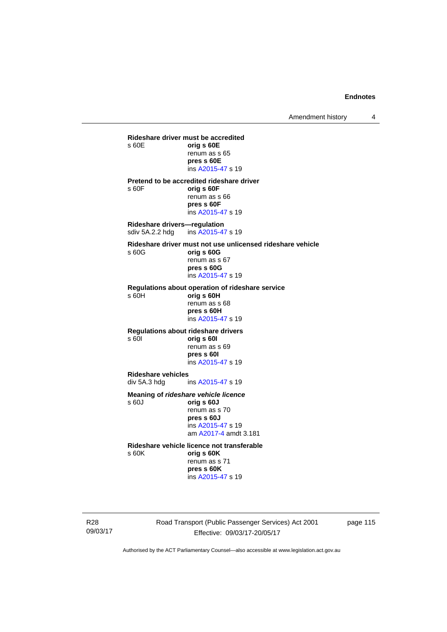Amendment history 4

**Rideshare driver must be accredited**  s 60E **orig s 60E**  renum as s 65 **pres s 60E**  ins [A2015-47](http://www.legislation.act.gov.au/a/2015-47) s 19 **Pretend to be accredited rideshare driver**  s 60F **orig s 60F**  renum as s 66 **pres s 60F**  ins [A2015-47](http://www.legislation.act.gov.au/a/2015-47) s 19 **Rideshare drivers—regulation**  sdiv 5A.2.2 hdg ins [A2015-47](http://www.legislation.act.gov.au/a/2015-47) s 19 **Rideshare driver must not use unlicensed rideshare vehicle** s 60G **orig s 60G**  renum as s 67 **pres s 60G**  ins [A2015-47](http://www.legislation.act.gov.au/a/2015-47) s 19 **Regulations about operation of rideshare service** s 60H **orig s 60H**  renum as s 68 **pres s 60H**  ins [A2015-47](http://www.legislation.act.gov.au/a/2015-47) s 19 **Regulations about rideshare drivers** s 60I **orig s 60I**  renum as s 69 **pres s 60I**  ins [A2015-47](http://www.legislation.act.gov.au/a/2015-47) s 19 **Rideshare vehicles**  ins [A2015-47](http://www.legislation.act.gov.au/a/2015-47) s 19 **Meaning of** *rideshare vehicle licence*  s 60J **orig s 60J**  renum as s 70 **pres s 60J**  ins [A2015-47](http://www.legislation.act.gov.au/a/2015-47) s 19 am [A2017-4](http://www.legislation.act.gov.au/a/2017-4/default.asp) amdt 3.181 **Rideshare vehicle licence not transferable**  s 60K **orig s 60K**  renum as s 71

> **pres s 60K**  ins [A2015-47](http://www.legislation.act.gov.au/a/2015-47) s 19

R28 09/03/17 Road Transport (Public Passenger Services) Act 2001 Effective: 09/03/17-20/05/17

page 115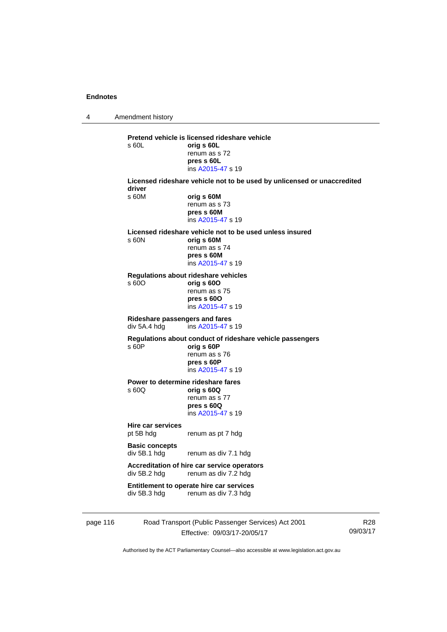4 Amendment history page 116 Road Transport (Public Passenger Services) Act 2001 R28 **Pretend vehicle is licensed rideshare vehicle**  s 60L **orig s 60L**  renum as s 72 **pres s 60L**  ins [A2015-47](http://www.legislation.act.gov.au/a/2015-47) s 19 **Licensed rideshare vehicle not to be used by unlicensed or unaccredited driver**  s 60M **orig s 60M**  renum as s 73 **pres s 60M**  ins [A2015-47](http://www.legislation.act.gov.au/a/2015-47) s 19 **Licensed rideshare vehicle not to be used unless insured**  s 60N **orig s 60M**  renum as s 74 **pres s 60M**  ins [A2015-47](http://www.legislation.act.gov.au/a/2015-47) s 19 **Regulations about rideshare vehicles**  s 60O **orig s 60O**  renum as s 75 **pres s 60O**  ins [A2015-47](http://www.legislation.act.gov.au/a/2015-47) s 19 **Rideshare passengers and fares**   $ins A2015-47 s 19$  $ins A2015-47 s 19$  $ins A2015-47 s 19$ **Regulations about conduct of rideshare vehicle passengers**  s 60P **orig s 60P**  renum as s 76 **pres s 60P**  ins [A2015-47](http://www.legislation.act.gov.au/a/2015-47) s 19 **Power to determine rideshare fares**<br>  $\frac{60Q}{q}$  orig **s** 60Q s 60Q **orig s 60Q**  renum as s 77 **pres s 60Q**  ins [A2015-47](http://www.legislation.act.gov.au/a/2015-47) s 19 **Hire car services**  pt 5B hdg renum as pt 7 hdg **Basic concepts**  div 5B.1 hdg renum as div 7.1 hdg **Accreditation of hire car service operators**  div 5B.2 hdg renum as div 7.2 hdg **Entitlement to operate hire car services**  div 5B.3 hdg renum as div 7.3 hdg

> Effective: 09/03/17-20/05/17 Authorised by the ACT Parliamentary Counsel—also accessible at www.legislation.act.gov.au

09/03/17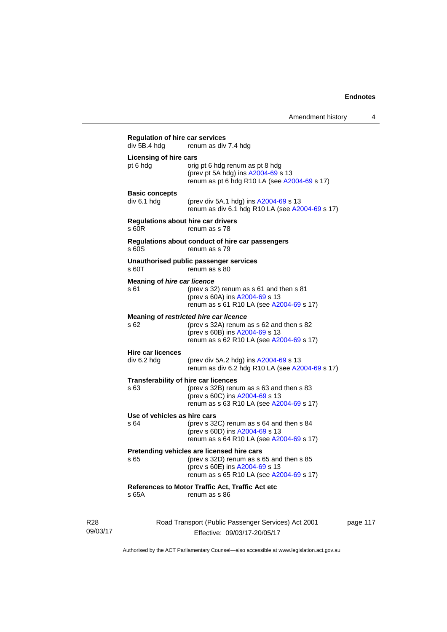| div 5B.4 hdg                              | renum as div 7.4 hdg                                                                                                                                                 |
|-------------------------------------------|----------------------------------------------------------------------------------------------------------------------------------------------------------------------|
| <b>Licensing of hire cars</b><br>pt 6 hdg | orig pt 6 hdg renum as pt 8 hdg<br>(prev pt 5A hdg) ins A2004-69 s 13<br>renum as pt 6 hdg R10 LA (see A2004-69 s 17)                                                |
| <b>Basic concepts</b><br>div 6.1 hdg      | (prev div 5A.1 hdg) ins A2004-69 s 13<br>renum as div 6.1 hdg R10 LA (see A2004-69 s 17)                                                                             |
| s 60R                                     | <b>Regulations about hire car drivers</b><br>renum as s 78                                                                                                           |
| s 60S                                     | Regulations about conduct of hire car passengers<br>renum as s 79                                                                                                    |
| s 60T                                     | Unauthorised public passenger services<br>renum as s 80                                                                                                              |
| Meaning of hire car licence<br>s 61       | (prev s 32) renum as s 61 and then s 81<br>(prev s 60A) ins A2004-69 s 13<br>renum as s 61 R10 LA (see A2004-69 s 17)                                                |
| \$62                                      | Meaning of restricted hire car licence<br>(prev s 32A) renum as s 62 and then s 82<br>(prev s 60B) ins A2004-69 s 13<br>renum as s 62 R10 LA (see A2004-69 s 17)     |
| <b>Hire car licences</b><br>div 6.2 hdg   | (prev div 5A.2 hdg) ins A2004-69 s 13<br>renum as div 6.2 hdg R10 LA (see A2004-69 s 17)                                                                             |
| s 63                                      | Transferability of hire car licences<br>(prev s 32B) renum as s 63 and then s 83<br>(prev s 60C) ins A2004-69 s 13<br>renum as s 63 R10 LA (see A2004-69 s 17)       |
| Use of vehicles as hire cars<br>s 64      | (prev s 32C) renum as s 64 and then s 84<br>(prev s 60D) ins A2004-69 s 13<br>renum as s 64 R10 LA (see A2004-69 s 17)                                               |
| s 65                                      | Pretending vehicles are licensed hire cars<br>(prev s 32D) renum as s 65 and then s 85<br>(prev s 60E) ins A2004-69 s 13<br>renum as s 65 R10 LA (see A2004-69 s 17) |
| s 65A                                     | References to Motor Traffic Act, Traffic Act etc<br>renum as s 86                                                                                                    |

R28 09/03/17 Road Transport (Public Passenger Services) Act 2001 Effective: 09/03/17-20/05/17

page 117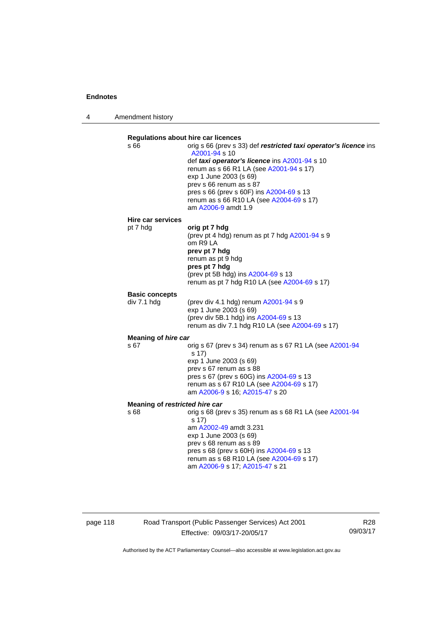4 Amendment history

| <b>Regulations about hire car licences</b><br>s 66 | orig s 66 (prev s 33) def restricted taxi operator's licence ins<br>A2001-94 s 10<br>def taxi operator's licence ins A2001-94 s 10<br>renum as s 66 R1 LA (see A2001-94 s 17)<br>exp 1 June 2003 (s 69)<br>prev s 66 renum as s 87<br>pres s 66 (prev s 60F) ins A2004-69 s 13<br>renum as s 66 R10 LA (see A2004-69 s 17)<br>am A2006-9 amdt 1.9 |
|----------------------------------------------------|---------------------------------------------------------------------------------------------------------------------------------------------------------------------------------------------------------------------------------------------------------------------------------------------------------------------------------------------------|
| Hire car services                                  |                                                                                                                                                                                                                                                                                                                                                   |
| pt 7 hdg                                           | orig pt 7 hdg<br>(prev pt 4 hdg) renum as pt 7 hdg A2001-94 s 9<br>om R9 LA<br>prev pt 7 hdg<br>renum as pt 9 hdg<br>pres pt 7 hdg<br>(prev pt 5B hdg) ins A2004-69 s 13<br>renum as pt 7 hdg R10 LA (see A2004-69 s 17)                                                                                                                          |
| <b>Basic concepts</b>                              |                                                                                                                                                                                                                                                                                                                                                   |
| div 7.1 hdg                                        | (prev div 4.1 hdg) renum $A2001 - 94$ s 9<br>exp 1 June 2003 (s 69)<br>(prev div 5B.1 hdg) ins A2004-69 s 13<br>renum as div 7.1 hdg R10 LA (see A2004-69 s 17)                                                                                                                                                                                   |
| <b>Meaning of hire car</b>                         |                                                                                                                                                                                                                                                                                                                                                   |
| s 67                                               | orig s 67 (prev s 34) renum as s 67 R1 LA (see A2001-94<br>s 17)<br>exp 1 June 2003 (s 69)<br>prev s 67 renum as s 88<br>pres s 67 (prev s 60G) ins A2004-69 s 13<br>renum as s 67 R10 LA (see A2004-69 s 17)<br>am A2006-9 s 16; A2015-47 s 20                                                                                                   |
| Meaning of restricted hire car                     |                                                                                                                                                                                                                                                                                                                                                   |
| s 68                                               | orig s 68 (prev s 35) renum as s 68 R1 LA (see A2001-94<br>s 17)<br>am A2002-49 amdt 3.231<br>exp 1 June 2003 (s 69)<br>prev s 68 renum as s 89<br>pres s 68 (prev s 60H) ins A2004-69 s 13<br>renum as s 68 R10 LA (see A2004-69 s 17)<br>am A2006-9 s 17; A2015-47 s 21                                                                         |

page 118 Road Transport (Public Passenger Services) Act 2001 Effective: 09/03/17-20/05/17

R28 09/03/17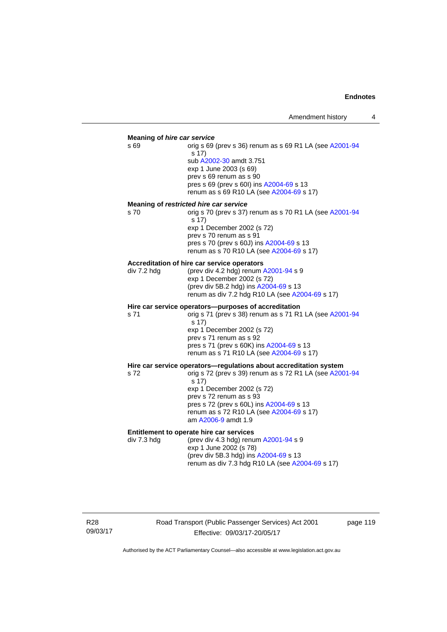#### **Meaning of** *hire car service*

s 69 orig s 69 (prev s 36) renum as s 69 R1 LA (see [A2001-94](http://www.legislation.act.gov.au/a/2001-94) s 17) sub [A2002-30](http://www.legislation.act.gov.au/a/2002-30) amdt 3.751 exp 1 June 2003 (s 69) prev s 69 renum as s 90 pres s 69 (prev s 60I) ins [A2004-69](http://www.legislation.act.gov.au/a/2004-69) s 13 renum as s 69 R10 LA (see [A2004-69](http://www.legislation.act.gov.au/a/2004-69) s 17)

#### **Meaning of** *restricted hire car service*

s 70 orig s 70 (prev s 37) renum as s 70 R1 LA (see [A2001-94](http://www.legislation.act.gov.au/a/2001-94) s 17) exp 1 December 2002 (s 72) prev s 70 renum as s 91 pres s 70 (prev s 60J) ins [A2004-69](http://www.legislation.act.gov.au/a/2004-69) s 13 renum as s 70 R10 LA (see [A2004-69](http://www.legislation.act.gov.au/a/2004-69) s 17)

#### **Accreditation of hire car service operators**

div 7.2 hdg (prev div 4.2 hdg) renum [A2001-94](http://www.legislation.act.gov.au/a/2001-94) s 9 exp 1 December 2002 (s 72) (prev div 5B.2 hdg) ins [A2004-69](http://www.legislation.act.gov.au/a/2004-69) s 13 renum as div 7.2 hdg R10 LA (see [A2004-69](http://www.legislation.act.gov.au/a/2004-69) s 17)

#### **Hire car service operators—purposes of accreditation**

s 71 orig s 71 (prev s 38) renum as s 71 R1 LA (see [A2001-94](http://www.legislation.act.gov.au/a/2001-94) s 17) exp 1 December 2002 (s 72) prev s 71 renum as s 92 pres s 71 (prev s 60K) ins [A2004-69](http://www.legislation.act.gov.au/a/2004-69) s 13 renum as s 71 R10 LA (see [A2004-69](http://www.legislation.act.gov.au/a/2004-69) s 17)

# **Hire car service operators—regulations about accreditation system s 72**<br>s 72<br>**compared 39** renum as s 72 R1 LA (see A200

orig s 72 (prev s 39) renum as s 72 R1 LA (see [A2001-94](http://www.legislation.act.gov.au/a/2001-94) s 17) exp 1 December 2002 (s 72) prev s 72 renum as s 93 pres s 72 (prev s 60L) ins [A2004-69](http://www.legislation.act.gov.au/a/2004-69) s 13 renum as s 72 R10 LA (see [A2004-69](http://www.legislation.act.gov.au/a/2004-69) s 17) am [A2006-9](http://www.legislation.act.gov.au/a/2006-9) amdt 1.9

### **Entitlement to operate hire car services**

div 7.3 hdg (prev div 4.3 hdg) renum [A2001-94](http://www.legislation.act.gov.au/a/2001-94) s 9 exp 1 June 2002 (s 78) (prev div 5B.3 hdg) ins [A2004-69](http://www.legislation.act.gov.au/a/2004-69) s 13 renum as div 7.3 hdg R10 LA (see [A2004-69](http://www.legislation.act.gov.au/a/2004-69) s 17)

R28 09/03/17 Road Transport (Public Passenger Services) Act 2001 Effective: 09/03/17-20/05/17

page 119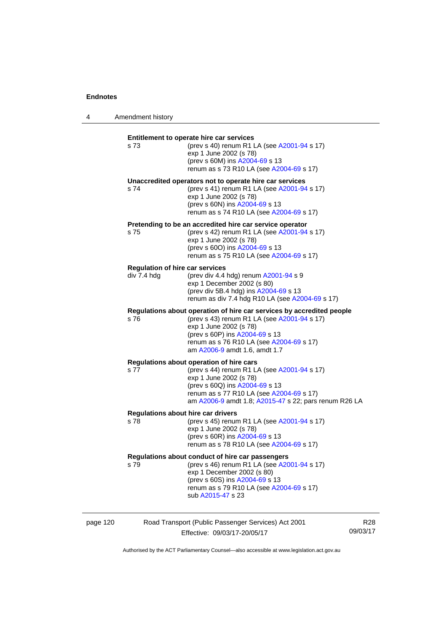4 Amendment history

| s 73        | (prev s 40) renum R1 LA (see A2001-94 s 17)<br>exp 1 June 2002 (s 78)<br>(prev s 60M) ins A2004-69 s 13<br>renum as s 73 R10 LA (see A2004-69 s 17)                                                                                                           |
|-------------|---------------------------------------------------------------------------------------------------------------------------------------------------------------------------------------------------------------------------------------------------------------|
| s 74        | Unaccredited operators not to operate hire car services<br>(prev s 41) renum R1 LA (see A2001-94 s 17)<br>exp 1 June 2002 (s 78)<br>(prev s 60N) ins A2004-69 s 13<br>renum as s 74 R10 LA (see A2004-69 s 17)                                                |
| s 75        | Pretending to be an accredited hire car service operator<br>(prev s 42) renum R1 LA (see A2001-94 s 17)<br>exp 1 June 2002 (s 78)<br>(prev s 600) ins A2004-69 s 13<br>renum as s 75 R10 LA (see A2004-69 s 17)                                               |
| div 7.4 hdg | <b>Regulation of hire car services</b><br>(prev div 4.4 hdg) renum A2001-94 s 9<br>exp 1 December 2002 (s 80)<br>(prev div 5B.4 hdg) ins A2004-69 s 13<br>renum as div 7.4 hdg R10 LA (see A2004-69 s 17)                                                     |
| s 76        | Regulations about operation of hire car services by accredited people<br>(prev s 43) renum R1 LA (see A2001-94 s 17)<br>exp 1 June 2002 (s 78)<br>(prev s 60P) ins A2004-69 s 13<br>renum as s 76 R10 LA (see A2004-69 s 17)<br>am A2006-9 amdt 1.6, amdt 1.7 |
| s 77        | Regulations about operation of hire cars<br>(prev s 44) renum R1 LA (see A2001-94 s 17)<br>exp 1 June 2002 (s 78)<br>(prev s 60Q) ins A2004-69 s 13<br>renum as s 77 R10 LA (see A2004-69 s 17)<br>am A2006-9 amdt 1.8; A2015-47 s 22; pars renum R26 LA      |
| s 78        | <b>Regulations about hire car drivers</b><br>(prev s 45) renum R1 LA (see A2001-94 s 17)<br>exp 1 June 2002 (s 78)<br>(prev s 60R) ins A2004-69 s 13<br>renum as s 78 R10 LA (see A2004-69 s 17)                                                              |
| s 79        | Regulations about conduct of hire car passengers<br>(prev s 46) renum R1 LA (see A2001-94 s 17)<br>exp 1 December 2002 (s 80)<br>(prev s 60S) ins A2004-69 s 13<br>renum as s 79 R10 LA (see A2004-69 s 17)<br>sub A2015-47 s 23                              |

| page 120 | Road Transport (Public Passenger Services) Act 2001 | R28      |
|----------|-----------------------------------------------------|----------|
|          | Effective: 09/03/17-20/05/17                        | 09/03/17 |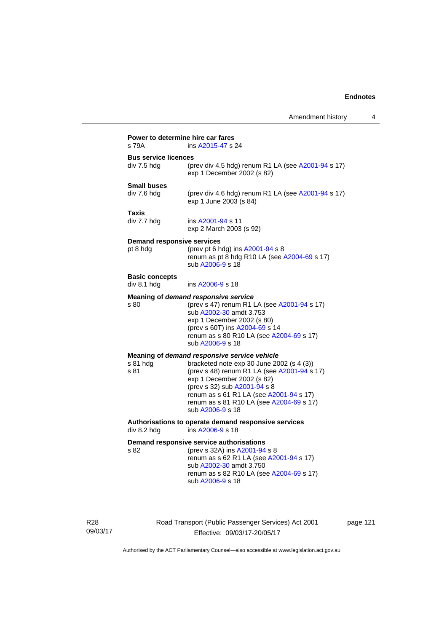| s 79A                                | ins A2015-47 s 24                                                                                                                                                                                                                                                 |
|--------------------------------------|-------------------------------------------------------------------------------------------------------------------------------------------------------------------------------------------------------------------------------------------------------------------|
| <b>Bus service licences</b>          |                                                                                                                                                                                                                                                                   |
| div 7.5 hdg                          | (prev div 4.5 hdg) renum R1 LA (see A2001-94 s 17)<br>exp 1 December 2002 (s 82)                                                                                                                                                                                  |
| <b>Small buses</b>                   |                                                                                                                                                                                                                                                                   |
| div 7.6 hdg                          | (prev div 4.6 hdg) renum R1 LA (see A2001-94 s 17)<br>exp 1 June 2003 (s 84)                                                                                                                                                                                      |
| Taxis                                |                                                                                                                                                                                                                                                                   |
| div 7.7 hdg                          | ins A2001-94 s 11<br>exp 2 March 2003 (s 92)                                                                                                                                                                                                                      |
| <b>Demand responsive services</b>    |                                                                                                                                                                                                                                                                   |
| pt 8 hdg                             | (prev pt 6 hdg) ins A2001-94 s 8<br>renum as pt 8 hdg R10 LA (see A2004-69 s 17)<br>sub A2006-9 s 18                                                                                                                                                              |
| <b>Basic concepts</b><br>div 8.1 hdg | ins A2006-9 s 18                                                                                                                                                                                                                                                  |
|                                      | Meaning of demand responsive service                                                                                                                                                                                                                              |
| s 80                                 | (prev s 47) renum R1 LA (see A2001-94 s 17)<br>sub A2002-30 amdt 3.753<br>exp 1 December 2002 (s 80)<br>(prev s 60T) ins A2004-69 s 14<br>renum as s 80 R10 LA (see A2004-69 s 17)<br>sub A2006-9 s 18                                                            |
|                                      | Meaning of demand responsive service vehicle                                                                                                                                                                                                                      |
| s 81 hdg<br>s 81                     | bracketed note exp 30 June 2002 (s 4 (3))<br>(prev s 48) renum R1 LA (see A2001-94 s 17)<br>exp 1 December 2002 (s 82)<br>(prev s 32) sub A2001-94 s 8<br>renum as s 61 R1 LA (see A2001-94 s 17)<br>renum as s 81 R10 LA (see A2004-69 s 17)<br>sub A2006-9 s 18 |
| div 8.2 hdg                          | Authorisations to operate demand responsive services<br>ins A2006-9 s 18                                                                                                                                                                                          |
|                                      | Demand responsive service authorisations                                                                                                                                                                                                                          |
| s 82                                 | (prev s 32A) ins A2001-94 s 8<br>renum as s 62 R1 LA (see A2001-94 s 17)<br>sub A2002-30 amdt 3.750<br>renum as s 82 R10 LA (see A2004-69 s 17)<br>sub A2006-9 s 18                                                                                               |

R28 09/03/17 Road Transport (Public Passenger Services) Act 2001 Effective: 09/03/17-20/05/17

page 121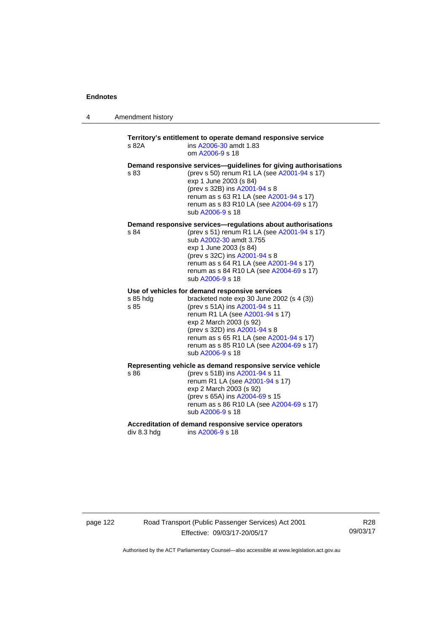| 4 | Amendment history |  |
|---|-------------------|--|
|---|-------------------|--|

## **Territory's entitlement to operate demand responsive service**  s 82A ins [A2006-30](http://www.legislation.act.gov.au/a/2006-30) amdt 1.83 om [A2006-9](http://www.legislation.act.gov.au/a/2006-9) s 18 **Demand responsive services—guidelines for giving authorisations**  s 83 (prev s 50) renum R1 LA (see [A2001-94](http://www.legislation.act.gov.au/a/2001-94) s 17) exp 1 June 2003 (s 84) (prev s 32B) ins [A2001-94](http://www.legislation.act.gov.au/a/2001-94) s 8 renum as s 63 R1 LA (see [A2001-94](http://www.legislation.act.gov.au/a/2001-94) s 17) renum as s 83 R10 LA (see [A2004-69](http://www.legislation.act.gov.au/a/2004-69) s 17) sub [A2006-9](http://www.legislation.act.gov.au/a/2006-9) s 18 **Demand responsive services—regulations about authorisations**  s 84 (prev s 51) renum R1 LA (see [A2001-94](http://www.legislation.act.gov.au/a/2001-94) s 17) sub [A2002-30](http://www.legislation.act.gov.au/a/2002-30) amdt 3.755 exp 1 June 2003 (s 84) (prev s 32C) ins [A2001-94](http://www.legislation.act.gov.au/a/2001-94) s 8 renum as s 64 R1 LA (see [A2001-94](http://www.legislation.act.gov.au/a/2001-94) s 17) renum as s 84 R10 LA (see [A2004-69](http://www.legislation.act.gov.au/a/2004-69) s 17) sub [A2006-9](http://www.legislation.act.gov.au/a/2006-9) s 18 **Use of vehicles for demand responsive services**  s 85 hdg bracketed note exp 30 June 2002 (s 4 (3)) s 85 (prev s 51A) ins [A2001-94](http://www.legislation.act.gov.au/a/2001-94) s 11 renum R1 LA (see [A2001-94](http://www.legislation.act.gov.au/a/2001-94) s 17) exp 2 March 2003 (s 92) (prev s 32D) ins [A2001-94](http://www.legislation.act.gov.au/a/2001-94) s 8 renum as s 65 R1 LA (see [A2001-94](http://www.legislation.act.gov.au/a/2001-94) s 17) renum as s 85 R10 LA (see [A2004-69](http://www.legislation.act.gov.au/a/2004-69) s 17) sub [A2006-9](http://www.legislation.act.gov.au/a/2006-9) s 18 **Representing vehicle as demand responsive service vehicle**  (prev s 51B) ins [A2001-94](http://www.legislation.act.gov.au/a/2001-94) s 11 renum R1 LA (see [A2001-94](http://www.legislation.act.gov.au/a/2001-94) s 17) exp 2 March 2003 (s 92) (prev s 65A) ins [A2004-69](http://www.legislation.act.gov.au/a/2004-69) s 15 renum as s 86 R10 LA (see [A2004-69](http://www.legislation.act.gov.au/a/2004-69) s 17) sub [A2006-9](http://www.legislation.act.gov.au/a/2006-9) s 18

Accreditation of demand responsive service operators<br>div 8.3 hdg ins A2006-9 s 18 ins [A2006-9](http://www.legislation.act.gov.au/a/2006-9) s 18

page 122 Road Transport (Public Passenger Services) Act 2001 Effective: 09/03/17-20/05/17

R28 09/03/17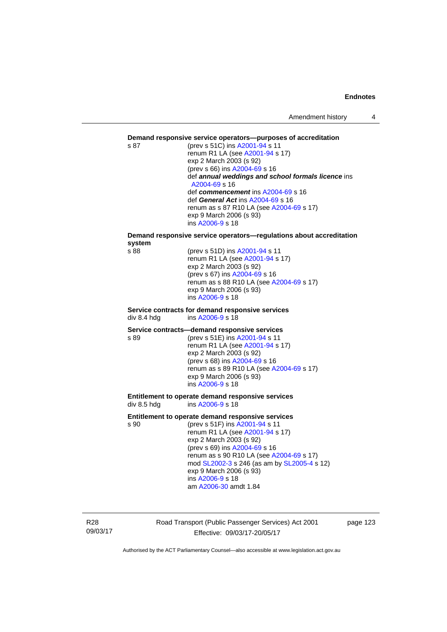### **Demand responsive service operators—purposes of accreditation**

s 87 (prev s 51C) ins [A2001-94](http://www.legislation.act.gov.au/a/2001-94) s 11 renum R1 LA (see [A2001-94](http://www.legislation.act.gov.au/a/2001-94) s 17) exp 2 March 2003 (s 92) (prev s 66) ins [A2004-69](http://www.legislation.act.gov.au/a/2004-69) s 16 def *annual weddings and school formals licence* ins [A2004-69](http://www.legislation.act.gov.au/a/2004-69) s 16 def *commencement* ins [A2004-69](http://www.legislation.act.gov.au/a/2004-69) s 16 def *General Act* ins [A2004-69](http://www.legislation.act.gov.au/a/2004-69) s 16 renum as s 87 R10 LA (see [A2004-69](http://www.legislation.act.gov.au/a/2004-69) s 17) exp 9 March 2006 (s 93) ins [A2006-9](http://www.legislation.act.gov.au/a/2006-9) s 18

# **Demand responsive service operators—regulations about accreditation system**

(prev s 51D) ins [A2001-94](http://www.legislation.act.gov.au/a/2001-94) s 11 renum R1 LA (see [A2001-94](http://www.legislation.act.gov.au/a/2001-94) s 17) exp 2 March 2003 (s 92) (prev s 67) ins [A2004-69](http://www.legislation.act.gov.au/a/2004-69) s 16 renum as s 88 R10 LA (see [A2004-69](http://www.legislation.act.gov.au/a/2004-69) s 17) exp 9 March 2006 (s 93) ins [A2006-9](http://www.legislation.act.gov.au/a/2006-9) s 18

#### **Service contracts for demand responsive services**  div 8.4 hdg ins [A2006-9](http://www.legislation.act.gov.au/a/2006-9) s 18

#### **Service contracts—demand responsive services**

s 89 (prev s 51E) ins [A2001-94](http://www.legislation.act.gov.au/a/2001-94) s 11 renum R1 LA (see [A2001-94](http://www.legislation.act.gov.au/a/2001-94) s 17) exp 2 March 2003 (s 92) (prev s 68) ins [A2004-69](http://www.legislation.act.gov.au/a/2004-69) s 16 renum as s 89 R10 LA (see [A2004-69](http://www.legislation.act.gov.au/a/2004-69) s 17) exp 9 March 2006 (s 93) ins [A2006-9](http://www.legislation.act.gov.au/a/2006-9) s 18

#### **Entitlement to operate demand responsive services**  div 8.5 hdg ins [A2006-9](http://www.legislation.act.gov.au/a/2006-9) s 18

#### **Entitlement to operate demand responsive services**

s 90 (prev s 51F) ins [A2001-94](http://www.legislation.act.gov.au/a/2001-94) s 11 renum R1 LA (see [A2001-94](http://www.legislation.act.gov.au/a/2001-94) s 17) exp 2 March 2003 (s 92) (prev s 69) ins [A2004-69](http://www.legislation.act.gov.au/a/2004-69) s 16 renum as s 90 R10 LA (see [A2004-69](http://www.legislation.act.gov.au/a/2004-69) s 17) mod [SL2002-3](http://www.legislation.act.gov.au/sl/2002-3) s 246 (as am by [SL2005-4](http://www.legislation.act.gov.au/sl/2005-4) s 12) exp 9 March 2006 (s 93) ins [A2006-9](http://www.legislation.act.gov.au/a/2006-9) s 18 am [A2006-30](http://www.legislation.act.gov.au/a/2006-30) amdt 1.84

R28 09/03/17 Road Transport (Public Passenger Services) Act 2001 Effective: 09/03/17-20/05/17

page 123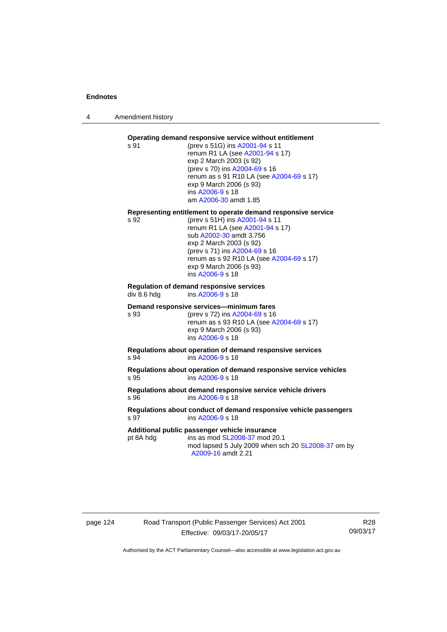4 Amendment history

#### **Operating demand responsive service without entitlement**  s 91 (prev s 51G) ins [A2001-94](http://www.legislation.act.gov.au/a/2001-94) s 11

renum R1 LA (see [A2001-94](http://www.legislation.act.gov.au/a/2001-94) s 17) exp 2 March 2003 (s 92) (prev s 70) ins [A2004-69](http://www.legislation.act.gov.au/a/2004-69) s 16 renum as s 91 R10 LA (see [A2004-69](http://www.legislation.act.gov.au/a/2004-69) s 17) exp 9 March 2006 (s 93) ins [A2006-9](http://www.legislation.act.gov.au/a/2006-9) s 18 am [A2006-30](http://www.legislation.act.gov.au/a/2006-30) amdt 1.85

#### **Representing entitlement to operate demand responsive service**

s 92 (prev s 51H) ins [A2001-94](http://www.legislation.act.gov.au/a/2001-94) s 11 renum R1 LA (see [A2001-94](http://www.legislation.act.gov.au/a/2001-94) s 17) sub [A2002-30](http://www.legislation.act.gov.au/a/2002-30) amdt 3.756 exp 2 March 2003 (s 92) (prev s 71) ins [A2004-69](http://www.legislation.act.gov.au/a/2004-69) s 16 renum as s 92 R10 LA (see [A2004-69](http://www.legislation.act.gov.au/a/2004-69) s 17) exp 9 March 2006 (s 93) ins [A2006-9](http://www.legislation.act.gov.au/a/2006-9) s 18

# **Regulation of demand responsive services**

div 8.6 hdg ins [A2006-9](http://www.legislation.act.gov.au/a/2006-9) s 18

#### **Demand responsive services—minimum fares**

s 93 (prev s 72) ins [A2004-69](http://www.legislation.act.gov.au/a/2004-69) s 16 renum as s 93 R10 LA (see [A2004-69](http://www.legislation.act.gov.au/a/2004-69) s 17) exp 9 March 2006 (s 93) ins [A2006-9](http://www.legislation.act.gov.au/a/2006-9) s 18

**Regulations about operation of demand responsive services**  s 94 ins [A2006-9](http://www.legislation.act.gov.au/a/2006-9) s 18

**Regulations about operation of demand responsive service vehicles**  s 95 ins [A2006-9](http://www.legislation.act.gov.au/a/2006-9) s 18

**Regulations about demand responsive service vehicle drivers**  s 96 ins [A2006-9](http://www.legislation.act.gov.au/a/2006-9) s 18

#### **Regulations about conduct of demand responsive vehicle passengers**  ins [A2006-9](http://www.legislation.act.gov.au/a/2006-9) s 18

**Additional public passenger vehicle insurance** 

pt 8A hdg ins as mod [SL2008-37](http://www.legislation.act.gov.au/sl/2008-37) mod 20.1 mod lapsed 5 July 2009 when sch 20 [SL2008-37](http://www.legislation.act.gov.au/sl/2008-37) om by [A2009-16](http://www.legislation.act.gov.au/a/2009-16) amdt 2.21

# page 124 Road Transport (Public Passenger Services) Act 2001 Effective: 09/03/17-20/05/17

R28 09/03/17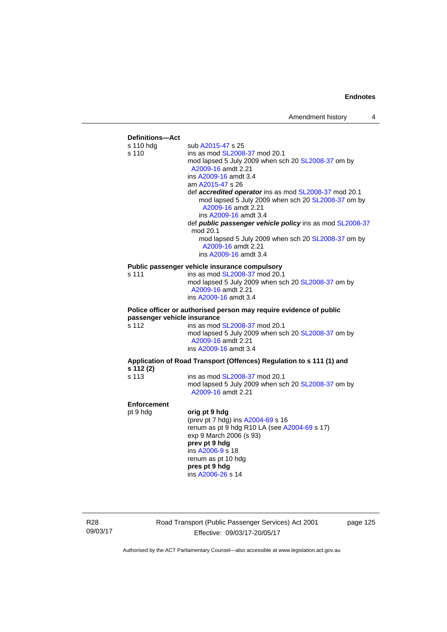

R28 09/03/17 Road Transport (Public Passenger Services) Act 2001 Effective: 09/03/17-20/05/17

page 125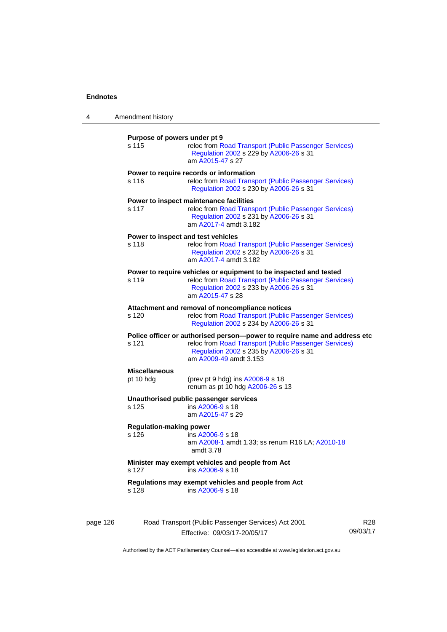| 4        | Amendment history                       |                                                                                                                                                                                                         |                 |
|----------|-----------------------------------------|---------------------------------------------------------------------------------------------------------------------------------------------------------------------------------------------------------|-----------------|
|          | Purpose of powers under pt 9<br>s 115   | reloc from Road Transport (Public Passenger Services)<br>Regulation 2002 s 229 by A2006-26 s 31<br>am A2015-47 s 27                                                                                     |                 |
|          | s 116                                   | Power to require records or information<br>reloc from Road Transport (Public Passenger Services)<br>Regulation 2002 s 230 by A2006-26 s 31                                                              |                 |
|          | s 117                                   | Power to inspect maintenance facilities<br>reloc from Road Transport (Public Passenger Services)<br>Regulation 2002 s 231 by A2006-26 s 31<br>am A2017-4 amdt 3.182                                     |                 |
|          | s 118                                   | Power to inspect and test vehicles<br>reloc from Road Transport (Public Passenger Services)<br>Regulation 2002 s 232 by A2006-26 s 31<br>am A2017-4 amdt 3.182                                          |                 |
|          | s 119                                   | Power to require vehicles or equipment to be inspected and tested<br>reloc from Road Transport (Public Passenger Services)<br>Regulation 2002 s 233 by A2006-26 s 31<br>am A2015-47 s 28                |                 |
|          | s 120                                   | Attachment and removal of noncompliance notices<br>reloc from Road Transport (Public Passenger Services)<br>Regulation 2002 s 234 by A2006-26 s 31                                                      |                 |
|          | s 121                                   | Police officer or authorised person--power to require name and address etc<br>reloc from Road Transport (Public Passenger Services)<br>Regulation 2002 s 235 by A2006-26 s 31<br>am A2009-49 amdt 3.153 |                 |
|          | <b>Miscellaneous</b><br>pt 10 hdg       | (prev pt 9 hdg) ins A2006-9 s 18<br>renum as pt 10 hdg A2006-26 s 13                                                                                                                                    |                 |
|          | s 125                                   | Unauthorised public passenger services<br>ins A2006-9 s 18<br>am A2015-47 s 29                                                                                                                          |                 |
|          | <b>Regulation-making power</b><br>s 126 | ins A2006-9 s 18<br>am A2008-1 amdt 1.33; ss renum R16 LA; A2010-18<br>amdt 3.78                                                                                                                        |                 |
|          | s 127                                   | Minister may exempt vehicles and people from Act<br>ins A2006-9 s 18                                                                                                                                    |                 |
|          | s 128                                   | Regulations may exempt vehicles and people from Act<br>ins A2006-9 s 18                                                                                                                                 |                 |
| page 126 |                                         | Road Transport (Public Passenger Services) Act 2001<br>Effective: 09/03/17-20/05/17                                                                                                                     | R28<br>09/03/17 |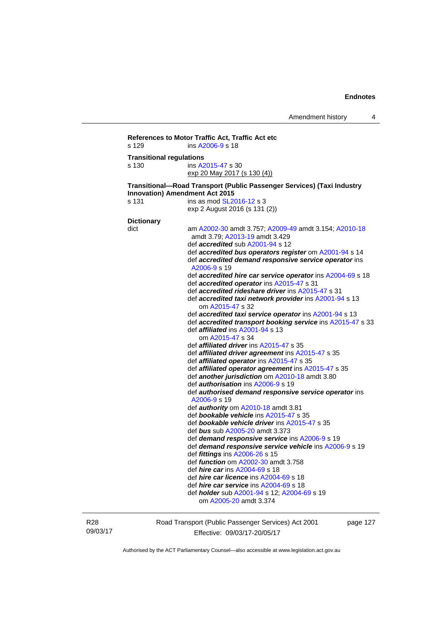```
References to Motor Traffic Act, Traffic Act etc 
s 129 ins A2006-9 s 18 
Transitional regulations 
s 130 ins A2015-47 s 30 
                   exp 20 May 2017 (s 130 (4))
Transitional—Road Transport (Public Passenger Services) (Taxi Industry 
Innovation) Amendment Act 2015 
s 131 ins as mod SL2016-12 s 3
                   exp 2 August 2016 (s 131 (2)) 
Dictionary 
dict am A2002-30 amdt 3.757; A2009-49 amdt 3.154; A2010-18
                    amdt 3.79; A2013-19 amdt 3.429 
                    def accredited sub A2001-94 s 12 
                    def accredited bus operators register om A2001-94 s 14 
                    def accredited demand responsive service operator ins 
                    A2006-9 s 19 
                    def accredited hire car service operator ins A2004-69 s 18 
                    def accredited operator ins A2015-47 s 31 
                    def accredited rideshare driver ins A2015-47 s 31 
                    def accredited taxi network provider ins A2001-94 s 13 
                        om A2015-47 s 32 
                    def accredited taxi service operator ins A2001-94 s 13 
                    def accredited transport booking service ins A2015-47 s 33 
                    def affiliated ins A2001-94 s 13 
                       om A2015-47 s 34 
                    def affiliated driver ins A2015-47 s 35 
                    def affiliated driver agreement ins A2015-47 s 35 
                    def affiliated operator ins A2015-47 s 35 
                    def affiliated operator agreement ins A2015-47 s 35 
                    def another jurisdiction om A2010-18 amdt 3.80 
                    def authorisation ins A2006-9 s 19 
                    def authorised demand responsive service operator ins 
                    A2006-9 s 19 
                    def authority om A2010-18 amdt 3.81 
                    def bookable vehicle ins A2015-47 s 35 
                    def bookable vehicle driver ins A2015-47 s 35 
                    def bus sub A2005-20 amdt 3.373 
                    def demand responsive service ins A2006-9 s 19 
                    def demand responsive service vehicle ins A2006-9 s 19 
                    def fittings ins A2006-26 s 15 
                    def function om A2002-30 amdt 3.758 
                    def hire car ins A2004-69 s 18 
                    def hire car licence ins A2004-69 s 18 
                    def hire car service ins A2004-69 s 18 
                    def holder sub A2001-94 s 12; A2004-69 s 19 
                       om A2005-20 amdt 3.374
```
R28 09/03/17 Road Transport (Public Passenger Services) Act 2001 Effective: 09/03/17-20/05/17

page 127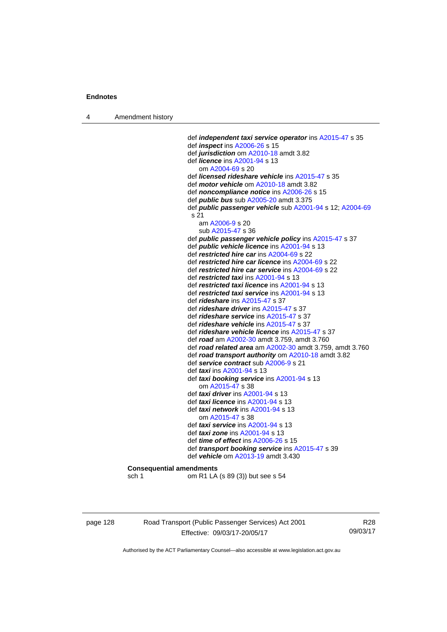4 Amendment history

 def *independent taxi service operator* ins [A2015-47](http://www.legislation.act.gov.au/a/2015-47) s 35 def *inspect* ins [A2006-26](http://www.legislation.act.gov.au/a/2006-26) s 15 def *jurisdiction* om [A2010-18](http://www.legislation.act.gov.au/a/2010-18) amdt 3.82 def *licence* ins [A2001-94](http://www.legislation.act.gov.au/a/2001-94) s 13 om [A2004-69](http://www.legislation.act.gov.au/a/2004-69) s 20 def *licensed rideshare vehicle* ins [A2015-47](http://www.legislation.act.gov.au/a/2015-47) s 35 def *motor vehicle* om [A2010-18](http://www.legislation.act.gov.au/a/2010-18) amdt 3.82 def *noncompliance notice* ins [A2006-26](http://www.legislation.act.gov.au/a/2006-26) s 15 def *public bus* sub [A2005-20](http://www.legislation.act.gov.au/a/2005-20) amdt 3.375 def *public passenger vehicle* sub [A2001-94](http://www.legislation.act.gov.au/a/2001-94) s 12; [A2004-69](http://www.legislation.act.gov.au/a/2004-69) s 21 am [A2006-9](http://www.legislation.act.gov.au/a/2006-9) s 20 sub [A2015-47](http://www.legislation.act.gov.au/a/2015-47) s 36 def *public passenger vehicle policy* ins [A2015-47](http://www.legislation.act.gov.au/a/2015-47) s 37 def *public vehicle licence* ins [A2001-94](http://www.legislation.act.gov.au/a/2001-94) s 13 def *restricted hire car* ins [A2004-69](http://www.legislation.act.gov.au/a/2004-69) s 22 def *restricted hire car licence* ins [A2004-69](http://www.legislation.act.gov.au/a/2004-69) s 22 def *restricted hire car service* ins [A2004-69](http://www.legislation.act.gov.au/a/2004-69) s 22 def *restricted taxi* ins [A2001-94](http://www.legislation.act.gov.au/a/2001-94) s 13 def *restricted taxi licence* ins [A2001-94](http://www.legislation.act.gov.au/a/2001-94) s 13 def *restricted taxi service* ins [A2001-94](http://www.legislation.act.gov.au/a/2001-94) s 13 def *rideshare* ins [A2015-47](http://www.legislation.act.gov.au/a/2015-47) s 37 def *rideshare driver* ins [A2015-47](http://www.legislation.act.gov.au/a/2015-47) s 37 def *rideshare service* ins [A2015-47](http://www.legislation.act.gov.au/a/2015-47) s 37 def *rideshare vehicle* ins [A2015-47](http://www.legislation.act.gov.au/a/2015-47) s 37 def *rideshare vehicle licence* ins [A2015-47](http://www.legislation.act.gov.au/a/2015-47) s 37 def *road* am [A2002-30](http://www.legislation.act.gov.au/a/2002-30) amdt 3.759, amdt 3.760 def *road related area* am [A2002-30](http://www.legislation.act.gov.au/a/2002-30) amdt 3.759, amdt 3.760 def *road transport authority* om [A2010-18](http://www.legislation.act.gov.au/a/2010-18) amdt 3.82 def *service contract* sub [A2006-9](http://www.legislation.act.gov.au/a/2006-9) s 21 def *taxi* ins [A2001-94](http://www.legislation.act.gov.au/a/2001-94) s 13 def *taxi booking service* ins [A2001-94](http://www.legislation.act.gov.au/a/2001-94) s 13 om [A2015-47](http://www.legislation.act.gov.au/a/2015-47) s 38 def *taxi driver* ins [A2001-94](http://www.legislation.act.gov.au/a/2001-94) s 13 def *taxi licence* ins [A2001-94](http://www.legislation.act.gov.au/a/2001-94) s 13 def *taxi network* ins [A2001-94](http://www.legislation.act.gov.au/a/2001-94) s 13 om [A2015-47](http://www.legislation.act.gov.au/a/2015-47) s 38 def *taxi service* ins [A2001-94](http://www.legislation.act.gov.au/a/2001-94) s 13 def *taxi zone* ins [A2001-94](http://www.legislation.act.gov.au/a/2001-94) s 13 def *time of effect* ins [A2006-26](http://www.legislation.act.gov.au/a/2006-26) s 15 def *transport booking service* ins [A2015-47](http://www.legislation.act.gov.au/a/2015-47) s 39 def *vehicle* om [A2013-19](http://www.legislation.act.gov.au/a/2013-19) amdt 3.430 **Consequential amendments** 

sch 1 om R1 LA (s 89 (3)) but see s 54

page 128 Road Transport (Public Passenger Services) Act 2001 Effective: 09/03/17-20/05/17

R28 09/03/17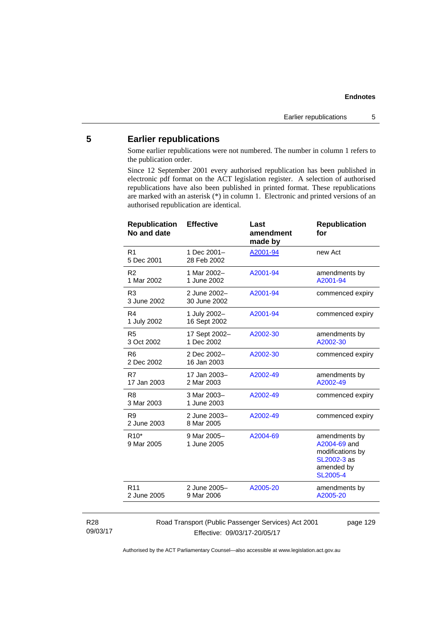# **5 Earlier republications**

Some earlier republications were not numbered. The number in column 1 refers to the publication order.

Since 12 September 2001 every authorised republication has been published in electronic pdf format on the ACT legislation register. A selection of authorised republications have also been published in printed format. These republications are marked with an asterisk (\*) in column 1. Electronic and printed versions of an authorised republication are identical.

| <b>Republication</b><br>No and date | <b>Effective</b>             | Last<br>amendment<br>made by | <b>Republication</b><br>for                                                                       |
|-------------------------------------|------------------------------|------------------------------|---------------------------------------------------------------------------------------------------|
| R1<br>5 Dec 2001                    | 1 Dec 2001-<br>28 Feb 2002   | A2001-94                     | new Act                                                                                           |
| R <sub>2</sub><br>1 Mar 2002        | 1 Mar 2002-<br>1 June 2002   | A2001-94                     | amendments by<br>A2001-94                                                                         |
| R <sub>3</sub><br>3 June 2002       | 2 June 2002-<br>30 June 2002 | A2001-94                     | commenced expiry                                                                                  |
| R4<br>1 July 2002                   | 1 July 2002-<br>16 Sept 2002 | A2001-94                     | commenced expiry                                                                                  |
| R <sub>5</sub><br>3 Oct 2002        | 17 Sept 2002-<br>1 Dec 2002  | A2002-30                     | amendments by<br>A2002-30                                                                         |
| R <sub>6</sub><br>2 Dec 2002        | 2 Dec 2002-<br>16 Jan 2003   | A2002-30                     | commenced expiry                                                                                  |
| R7<br>17 Jan 2003                   | 17 Jan 2003-<br>2 Mar 2003   | A2002-49                     | amendments by<br>A2002-49                                                                         |
| R <sub>8</sub><br>3 Mar 2003        | 3 Mar 2003-<br>1 June 2003   | A2002-49                     | commenced expiry                                                                                  |
| R <sub>9</sub><br>2 June 2003       | 2 June 2003-<br>8 Mar 2005   | A2002-49                     | commenced expiry                                                                                  |
| $R10*$<br>9 Mar 2005                | 9 Mar 2005-<br>1 June 2005   | A2004-69                     | amendments by<br>A2004-69 and<br>modifications by<br>SL2002-3 as<br>amended by<br><b>SL2005-4</b> |
| R <sub>11</sub><br>2 June 2005      | 2 June 2005-<br>9 Mar 2006   | A2005-20                     | amendments by<br>A2005-20                                                                         |
|                                     |                              |                              |                                                                                                   |

#### R28 09/03/17

Road Transport (Public Passenger Services) Act 2001 Effective: 09/03/17-20/05/17

page 129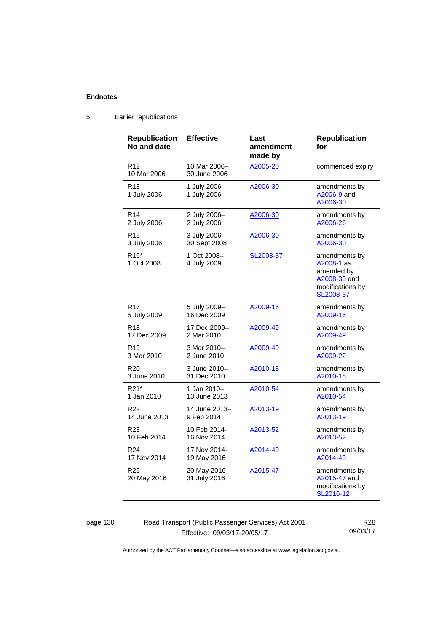| <b>Republication</b><br>No and date | <b>Effective</b>             | Last<br>amendment<br>made by | <b>Republication</b><br>for                                                                |
|-------------------------------------|------------------------------|------------------------------|--------------------------------------------------------------------------------------------|
| R <sub>12</sub><br>10 Mar 2006      | 10 Mar 2006-<br>30 June 2006 | A2005-20                     | commenced expiry                                                                           |
| R <sub>13</sub><br>1 July 2006      | 1 July 2006-<br>1 July 2006  | A2006-30                     | amendments by<br>A2006-9 and<br>A2006-30                                                   |
| R <sub>14</sub>                     | 2 July 2006-                 | A2006-30                     | amendments by                                                                              |
| 2 July 2006                         | 2 July 2006                  |                              | A2006-26                                                                                   |
| R <sub>15</sub>                     | 3 July 2006-                 | A2006-30                     | amendments by                                                                              |
| 3 July 2006                         | 30 Sept 2008                 |                              | A2006-30                                                                                   |
| R <sub>16</sub> *<br>1 Oct 2008     | 1 Oct 2008-<br>4 July 2009   | SL2008-37                    | amendments by<br>A2008-1 as<br>amended by<br>A2008-39 and<br>modifications by<br>SL2008-37 |
| R <sub>17</sub>                     | 5 July 2009-                 | A2009-16                     | amendments by                                                                              |
| 5 July 2009                         | 16 Dec 2009                  |                              | A2009-16                                                                                   |
| R <sub>18</sub>                     | 17 Dec 2009-                 | A2009-49                     | amendments by                                                                              |
| 17 Dec 2009                         | 2 Mar 2010                   |                              | A2009-49                                                                                   |
| R <sub>19</sub>                     | 3 Mar 2010-                  | A2009-49                     | amendments by                                                                              |
| 3 Mar 2010                          | 2 June 2010                  |                              | A2009-22                                                                                   |
| R <sub>20</sub>                     | 3 June 2010-                 | A2010-18                     | amendments by                                                                              |
| 3 June 2010                         | 31 Dec 2010                  |                              | A2010-18                                                                                   |
| R21*                                | 1 Jan 2010–                  | A2010-54                     | amendments by                                                                              |
| 1 Jan 2010                          | 13 June 2013                 |                              | A2010-54                                                                                   |
| R <sub>22</sub>                     | 14 June 2013-                | A2013-19                     | amendments by                                                                              |
| 14 June 2013                        | 9 Feb 2014                   |                              | A2013-19                                                                                   |
| R <sub>23</sub>                     | 10 Feb 2014-                 | A2013-52                     | amendments by                                                                              |
| 10 Feb 2014                         | 16 Nov 2014                  |                              | A2013-52                                                                                   |
| R <sub>24</sub>                     | 17 Nov 2014-                 | A2014-49                     | amendments by                                                                              |
| 17 Nov 2014                         | 19 May 2016                  |                              | A2014-49                                                                                   |
| R <sub>25</sub><br>20 May 2016      | 20 May 2016-<br>31 July 2016 | A2015-47                     | amendments by<br>A2015-47 and<br>modifications by<br>SL2016-12                             |

# 5 Earlier republications

page 130 Road Transport (Public Passenger Services) Act 2001 Effective: 09/03/17-20/05/17

R28 09/03/17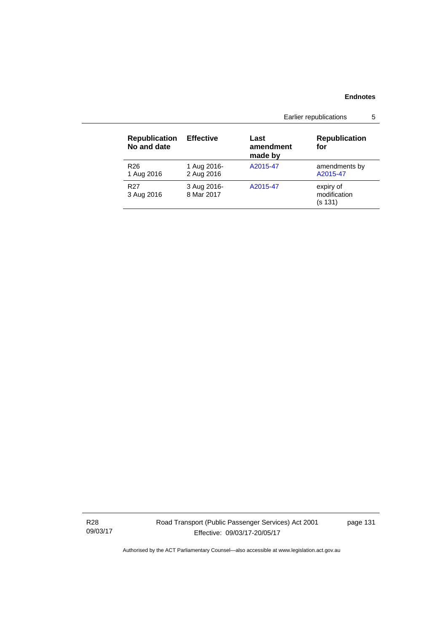|                                     |                           | Earlier republications       |                                      |  |
|-------------------------------------|---------------------------|------------------------------|--------------------------------------|--|
| <b>Republication</b><br>No and date | <b>Effective</b>          | Last<br>amendment<br>made by | <b>Republication</b><br>for          |  |
| R <sub>26</sub><br>1 Aug 2016       | 1 Aug 2016-<br>2 Aug 2016 | A2015-47                     | amendments by<br>A2015-47            |  |
| R <sub>27</sub><br>3 Aug 2016       | 3 Aug 2016-<br>8 Mar 2017 | A2015-47                     | expiry of<br>modification<br>(s 131) |  |

R28 09/03/17 Road Transport (Public Passenger Services) Act 2001 Effective: 09/03/17-20/05/17

page 131